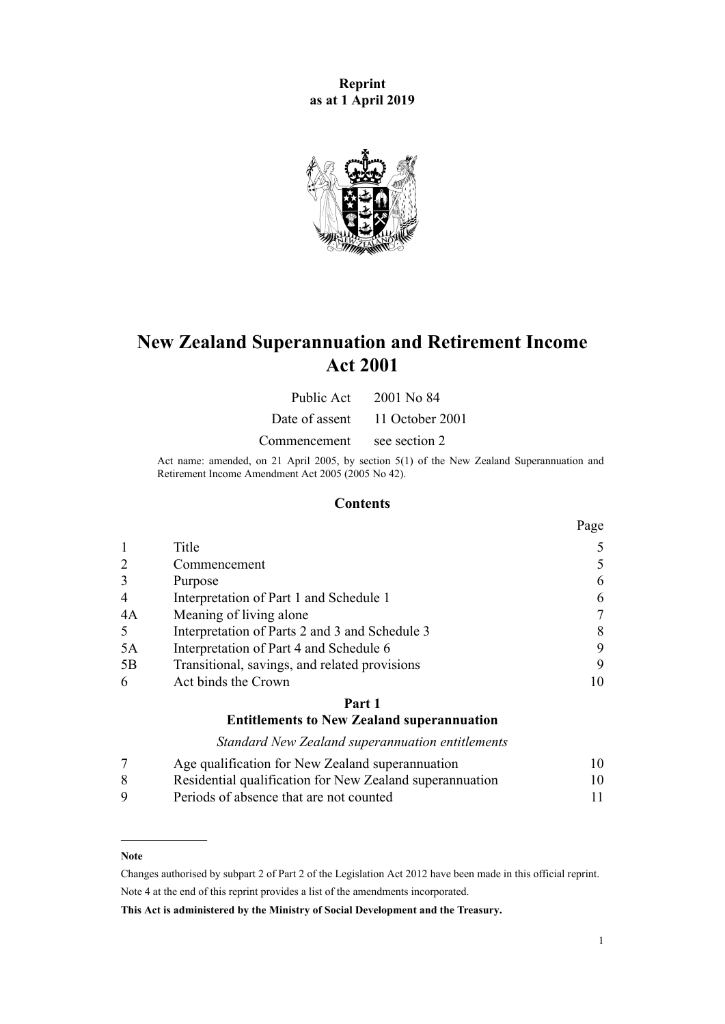**Reprint as at 1 April 2019**



# **New Zealand Superannuation and Retirement Income Act 2001**

Public Act 2001 No 84

Date of assent 11 October 2001

Commencement see section 2

Act name: amended, on 21 April 2005, by [section 5\(1\)](http://legislation.govt.nz/pdflink.aspx?id=DLM346469) of the New Zealand Superannuation and Retirement Income Amendment Act 2005 (2005 No 42).

# **Contents**

|                |                                                | Page |
|----------------|------------------------------------------------|------|
|                | Title                                          |      |
| 2              | Commencement                                   | 5    |
| 3              | Purpose                                        | 6    |
| $\overline{4}$ | Interpretation of Part 1 and Schedule 1        | 6    |
| 4A             | Meaning of living alone                        |      |
| 5              | Interpretation of Parts 2 and 3 and Schedule 3 | 8    |
| 5A             | Interpretation of Part 4 and Schedule 6        | 9    |
| 5B             | Transitional, savings, and related provisions  | 9    |
| 6              | Act binds the Crown                            | 10   |

## **[Part 1](#page-9-0)**

## **[Entitlements to New Zealand superannuation](#page-9-0)**

*[Standard New Zealand superannuation entitlements](#page-9-0)*

|          | Age qualification for New Zealand superannuation         | 10 |
|----------|----------------------------------------------------------|----|
| -8       | Residential qualification for New Zealand superannuation | 10 |
| <b>Q</b> | Periods of absence that are not counted                  |    |

#### **Note**

Changes authorised by [subpart 2](http://legislation.govt.nz/pdflink.aspx?id=DLM2998524) of Part 2 of the Legislation Act 2012 have been made in this official reprint. Note 4 at the end of this reprint provides a list of the amendments incorporated.

**This Act is administered by the Ministry of Social Development and the Treasury.**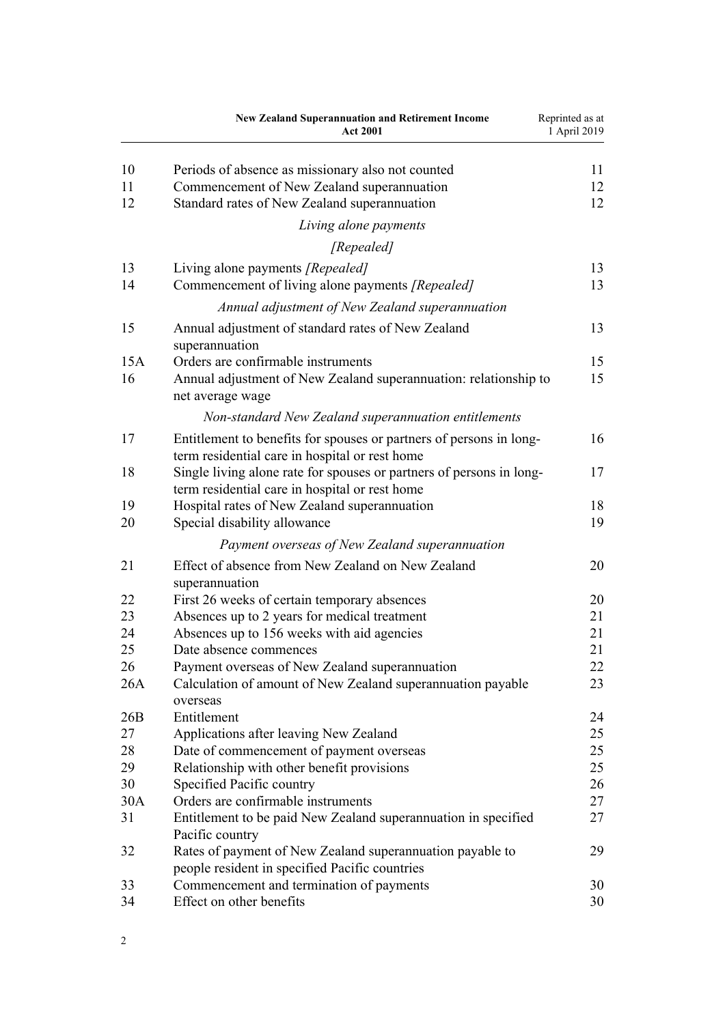|          | <b>New Zealand Superannuation and Retirement Income</b><br><b>Act 2001</b>                                             | Reprinted as at<br>1 April 2019 |
|----------|------------------------------------------------------------------------------------------------------------------------|---------------------------------|
| 10<br>11 | Periods of absence as missionary also not counted                                                                      | 11<br>12                        |
| 12       | Commencement of New Zealand superannuation<br>Standard rates of New Zealand superannuation                             | 12                              |
|          | Living alone payments                                                                                                  |                                 |
|          | [Repealed]                                                                                                             |                                 |
| 13       | Living alone payments [Repealed]                                                                                       | 13                              |
| 14       | Commencement of living alone payments [Repealed]                                                                       | 13                              |
|          | Annual adjustment of New Zealand superannuation                                                                        |                                 |
| 15       | Annual adjustment of standard rates of New Zealand<br>superannuation                                                   | 13                              |
| 15A      | Orders are confirmable instruments                                                                                     | 15                              |
| 16       | Annual adjustment of New Zealand superannuation: relationship to<br>net average wage                                   | 15                              |
|          | Non-standard New Zealand superannuation entitlements                                                                   |                                 |
| 17       | Entitlement to benefits for spouses or partners of persons in long-<br>term residential care in hospital or rest home  | 16                              |
| 18       | Single living alone rate for spouses or partners of persons in long-<br>term residential care in hospital or rest home | 17                              |
| 19       | Hospital rates of New Zealand superannuation                                                                           | 18                              |
| 20       | Special disability allowance                                                                                           | 19                              |
|          | Payment overseas of New Zealand superannuation                                                                         |                                 |
| 21       | Effect of absence from New Zealand on New Zealand<br>superannuation                                                    | 20                              |
| 22       | First 26 weeks of certain temporary absences                                                                           | 20                              |
| 23       | Absences up to 2 years for medical treatment                                                                           | 21                              |
| 24       | Absences up to 156 weeks with aid agencies                                                                             | 21                              |
| 25       | Date absence commences                                                                                                 | 21                              |
| 26       | Payment overseas of New Zealand superannuation                                                                         | 22                              |
| 26A      | Calculation of amount of New Zealand superannuation payable<br>overseas                                                | 23                              |
| 26B      | Entitlement                                                                                                            | 24                              |
| 27       | Applications after leaving New Zealand                                                                                 | 25                              |
| 28       | Date of commencement of payment overseas                                                                               | 25                              |
| 29       | Relationship with other benefit provisions                                                                             | 25                              |
| 30       | Specified Pacific country                                                                                              | 26                              |
| 30A      | Orders are confirmable instruments                                                                                     | 27                              |
| 31       | Entitlement to be paid New Zealand superannuation in specified<br>Pacific country                                      | 27                              |
| 32       | Rates of payment of New Zealand superannuation payable to<br>people resident in specified Pacific countries            | 29                              |
| 33       | Commencement and termination of payments                                                                               | 30                              |
| 34       | Effect on other benefits                                                                                               | 30                              |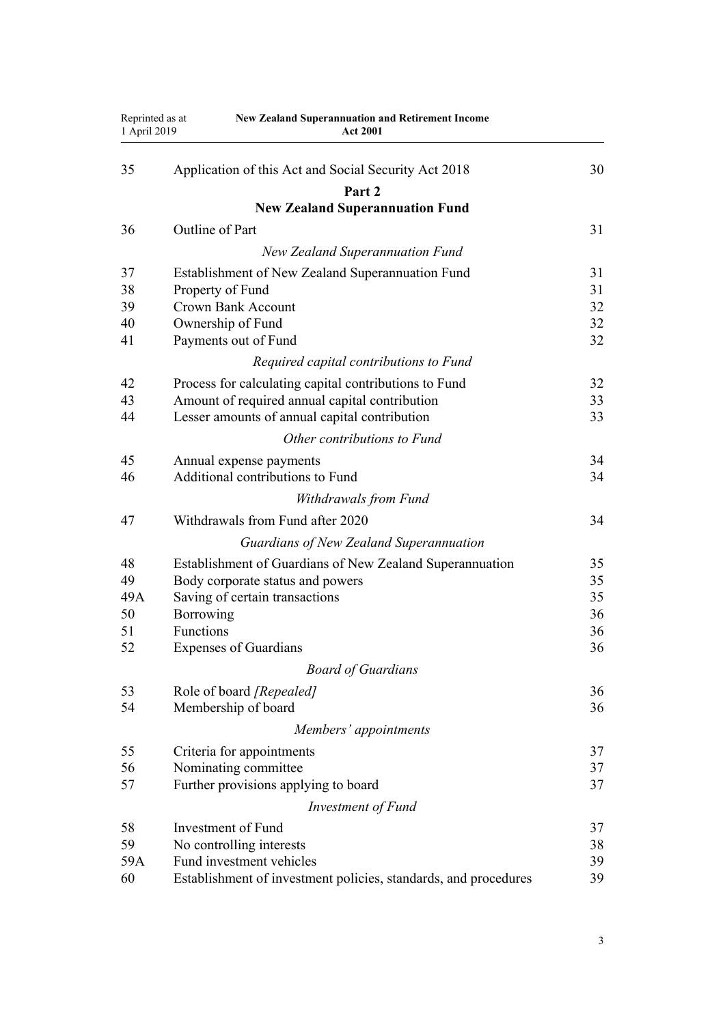| Reprinted as at<br>1 April 2019 | <b>New Zealand Superannuation and Retirement Income</b><br><b>Act 2001</b> |    |
|---------------------------------|----------------------------------------------------------------------------|----|
| 35                              | Application of this Act and Social Security Act 2018                       | 30 |
|                                 | Part 2                                                                     |    |
|                                 | <b>New Zealand Superannuation Fund</b>                                     |    |
| 36                              | Outline of Part                                                            | 31 |
|                                 | <b>New Zealand Superannuation Fund</b>                                     |    |
| 37                              | Establishment of New Zealand Superannuation Fund                           | 31 |
| 38                              | Property of Fund                                                           | 31 |
| 39                              | <b>Crown Bank Account</b>                                                  | 32 |
| 40                              | Ownership of Fund                                                          | 32 |
| 41                              | Payments out of Fund                                                       | 32 |
|                                 | Required capital contributions to Fund                                     |    |
| 42                              | Process for calculating capital contributions to Fund                      | 32 |
| 43                              | Amount of required annual capital contribution                             | 33 |
| 44                              | Lesser amounts of annual capital contribution                              | 33 |
|                                 | Other contributions to Fund                                                |    |
| 45                              | Annual expense payments                                                    | 34 |
| 46                              | Additional contributions to Fund                                           | 34 |
|                                 | Withdrawals from Fund                                                      |    |
| 47                              | Withdrawals from Fund after 2020                                           | 34 |
|                                 | Guardians of New Zealand Superannuation                                    |    |
| 48                              | Establishment of Guardians of New Zealand Superannuation                   | 35 |
| 49                              | Body corporate status and powers                                           | 35 |
| 49A                             | Saving of certain transactions                                             | 35 |
| 50                              | <b>Borrowing</b>                                                           | 36 |
| 51                              | <b>Functions</b>                                                           | 36 |
| 52                              | <b>Expenses of Guardians</b>                                               | 36 |
|                                 | <b>Board of Guardians</b>                                                  |    |
| 53                              | Role of board [Repealed]                                                   | 36 |
| 54                              | Membership of board                                                        | 36 |
|                                 | Members' appointments                                                      |    |
| 55                              | Criteria for appointments                                                  | 37 |
| 56                              | Nominating committee                                                       | 37 |
| 57                              | Further provisions applying to board                                       | 37 |
|                                 | Investment of Fund                                                         |    |
| 58                              | Investment of Fund                                                         | 37 |
| 59                              | No controlling interests                                                   | 38 |
| 59A                             | Fund investment vehicles                                                   | 39 |
| 60                              | Establishment of investment policies, standards, and procedures            | 39 |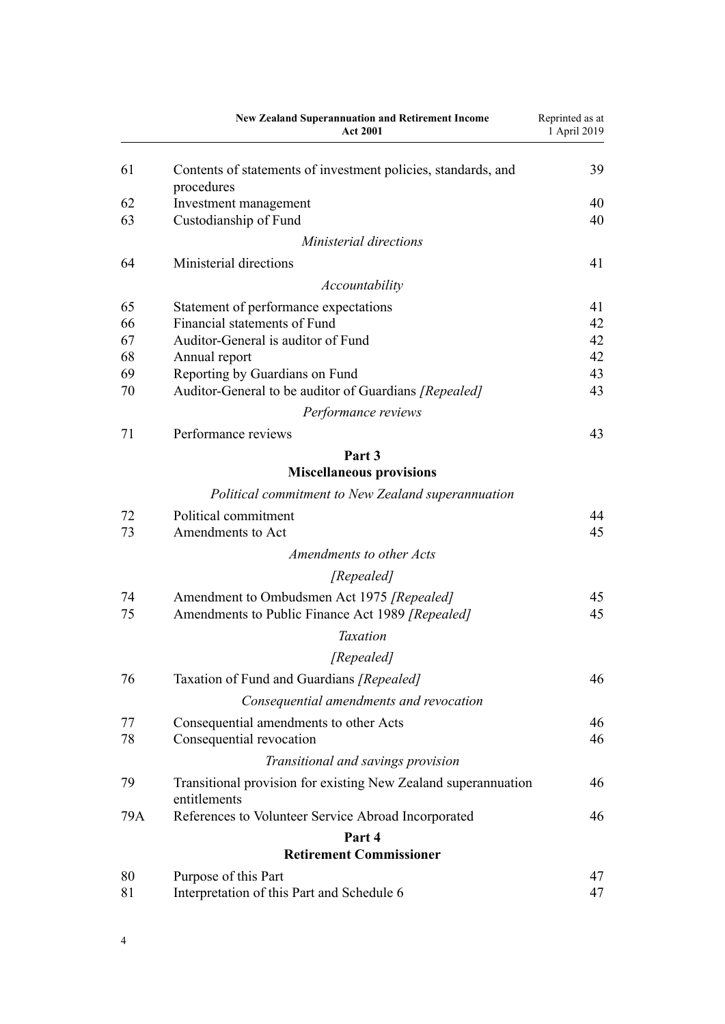|     | <b>New Zealand Superannuation and Retirement Income</b><br><b>Act 2001</b>     | Reprinted as at<br>1 April 2019 |
|-----|--------------------------------------------------------------------------------|---------------------------------|
|     |                                                                                |                                 |
| 61  | Contents of statements of investment policies, standards, and<br>procedures    | 39                              |
| 62  | Investment management                                                          | 40                              |
| 63  | Custodianship of Fund                                                          | 40                              |
|     | Ministerial directions                                                         |                                 |
| 64  | Ministerial directions                                                         | 41                              |
|     | Accountability                                                                 |                                 |
| 65  | Statement of performance expectations                                          | 41                              |
| 66  | Financial statements of Fund                                                   | 42                              |
| 67  | Auditor-General is auditor of Fund                                             | 42                              |
| 68  | Annual report                                                                  | 42                              |
| 69  | Reporting by Guardians on Fund                                                 | 43                              |
| 70  | Auditor-General to be auditor of Guardians [Repealed]                          | 43                              |
|     | Performance reviews                                                            |                                 |
| 71  | Performance reviews                                                            | 43                              |
|     | Part <sub>3</sub>                                                              |                                 |
|     | <b>Miscellaneous provisions</b>                                                |                                 |
|     | Political commitment to New Zealand superannuation                             |                                 |
| 72  | Political commitment                                                           | 44                              |
| 73  | Amendments to Act                                                              | 45                              |
|     | Amendments to other Acts                                                       |                                 |
|     | [Repealed]                                                                     |                                 |
| 74  | Amendment to Ombudsmen Act 1975 [Repealed]                                     | 45                              |
| 75  | Amendments to Public Finance Act 1989 [Repealed]                               | 45                              |
|     | <b>Taxation</b>                                                                |                                 |
|     | [Repealed]                                                                     |                                 |
| 76  | Taxation of Fund and Guardians [Repealed]                                      | 46                              |
|     | Consequential amendments and revocation                                        |                                 |
| 77  | Consequential amendments to other Acts                                         | 46                              |
| 78  | Consequential revocation                                                       | 46                              |
|     | Transitional and savings provision                                             |                                 |
| 79  | Transitional provision for existing New Zealand superannuation<br>entitlements | 46                              |
| 79A | References to Volunteer Service Abroad Incorporated                            | 46                              |
|     | Part 4                                                                         |                                 |
|     | <b>Retirement Commissioner</b>                                                 |                                 |
| 80  | Purpose of this Part                                                           | 47                              |
| 81  | Interpretation of this Part and Schedule 6                                     | 47                              |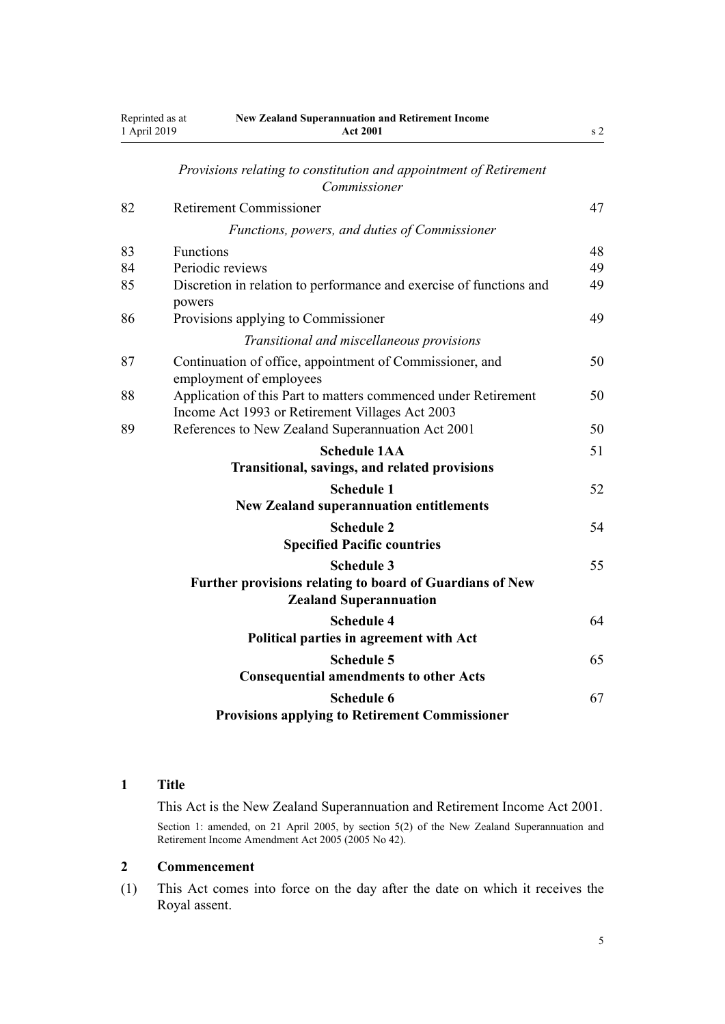<span id="page-4-0"></span>

| Reprinted as at<br>1 April 2019 | <b>New Zealand Superannuation and Retirement Income</b><br><b>Act 2001</b>                                        | s <sub>2</sub> |
|---------------------------------|-------------------------------------------------------------------------------------------------------------------|----------------|
|                                 | Provisions relating to constitution and appointment of Retirement<br>Commissioner                                 |                |
| 82                              | <b>Retirement Commissioner</b>                                                                                    | 47             |
|                                 | Functions, powers, and duties of Commissioner                                                                     |                |
| 83                              | Functions                                                                                                         | 48             |
| 84                              | Periodic reviews                                                                                                  | 49             |
| 85                              | Discretion in relation to performance and exercise of functions and                                               | 49             |
|                                 | powers                                                                                                            |                |
| 86                              | Provisions applying to Commissioner                                                                               | 49             |
|                                 | Transitional and miscellaneous provisions                                                                         |                |
| 87                              | Continuation of office, appointment of Commissioner, and<br>employment of employees                               | 50             |
| 88                              | Application of this Part to matters commenced under Retirement<br>Income Act 1993 or Retirement Villages Act 2003 | 50             |
| 89                              | References to New Zealand Superannuation Act 2001                                                                 | 50             |
|                                 | <b>Schedule 1AA</b>                                                                                               | 51             |
|                                 | <b>Transitional, savings, and related provisions</b>                                                              |                |
|                                 | <b>Schedule 1</b>                                                                                                 | 52             |
|                                 | <b>New Zealand superannuation entitlements</b>                                                                    |                |
|                                 | <b>Schedule 2</b><br><b>Specified Pacific countries</b>                                                           | 54             |
|                                 | <b>Schedule 3</b><br>Further provisions relating to board of Guardians of New<br><b>Zealand Superannuation</b>    | 55             |
|                                 | <b>Schedule 4</b><br>Political parties in agreement with Act                                                      | 64             |
|                                 | <b>Schedule 5</b><br><b>Consequential amendments to other Acts</b>                                                | 65             |
|                                 | <b>Schedule 6</b><br><b>Provisions applying to Retirement Commissioner</b>                                        | 67             |

# **1 Title**

This Act is the New Zealand Superannuation and Retirement Income Act 2001. Section 1: amended, on 21 April 2005, by [section 5\(2\)](http://legislation.govt.nz/pdflink.aspx?id=DLM346469) of the New Zealand Superannuation and Retirement Income Amendment Act 2005 (2005 No 42).

#### **2 Commencement**

(1) This Act comes into force on the day after the date on which it receives the Royal assent.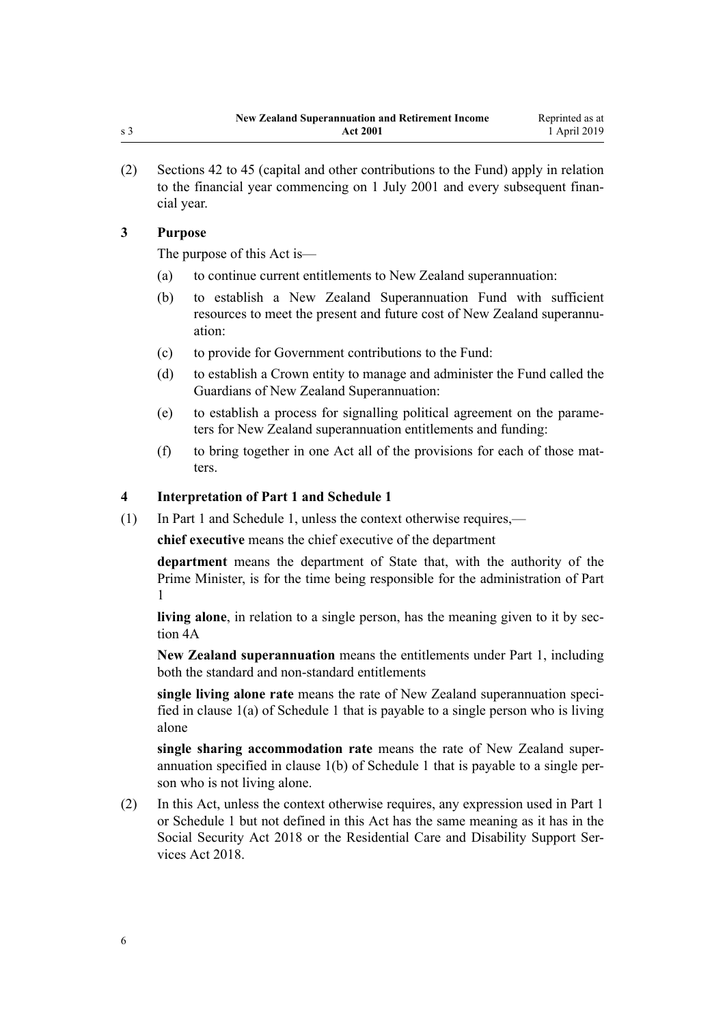<span id="page-5-0"></span>(2) [Sections 42 to 45](#page-31-0) (capital and other contributions to the Fund) apply in relation to the financial year commencing on 1 July 2001 and every subsequent financial year.

# **3 Purpose**

The purpose of this Act is—

- (a) to continue current entitlements to New Zealand superannuation:
- (b) to establish a New Zealand Superannuation Fund with sufficient resources to meet the present and future cost of New Zealand superannuation:
- (c) to provide for Government contributions to the Fund:
- (d) to establish a Crown entity to manage and administer the Fund called the Guardians of New Zealand Superannuation:
- (e) to establish a process for signalling political agreement on the parameters for New Zealand superannuation entitlements and funding:
- (f) to bring together in one Act all of the provisions for each of those matters.

# **4 Interpretation of Part 1 and Schedule 1**

(1) In [Part 1](#page-9-0) and [Schedule 1,](#page-51-0) unless the context otherwise requires,—

**chief executive** means the chief executive of the department

**department** means the department of State that, with the authority of the Prime Minister, is for the time being responsible for the administration of [Part](#page-9-0) [1](#page-9-0)

**living alone**, in relation to a single person, has the meaning given to it by [sec](#page-6-0)[tion 4A](#page-6-0)

**New Zealand superannuation** means the entitlements under [Part 1](#page-9-0), including both the standard and non-standard entitlements

**single living alone rate** means the rate of New Zealand superannuation specified in clause 1(a) of [Schedule 1](#page-51-0) that is payable to a single person who is living alone

**single sharing accommodation rate** means the rate of New Zealand superannuation specified in clause 1(b) of [Schedule 1](#page-51-0) that is payable to a single person who is not living alone.

(2) In this Act, unless the context otherwise requires, any expression used in [Part 1](#page-9-0) or [Schedule 1](#page-51-0) but not defined in this Act has the same meaning as it has in the [Social Security Act 2018](http://legislation.govt.nz/pdflink.aspx?id=DLM6783102) or the [Residential Care and Disability Support Ser](http://legislation.govt.nz/pdflink.aspx?id=LMS41457)[vices Act 2018](http://legislation.govt.nz/pdflink.aspx?id=LMS41457).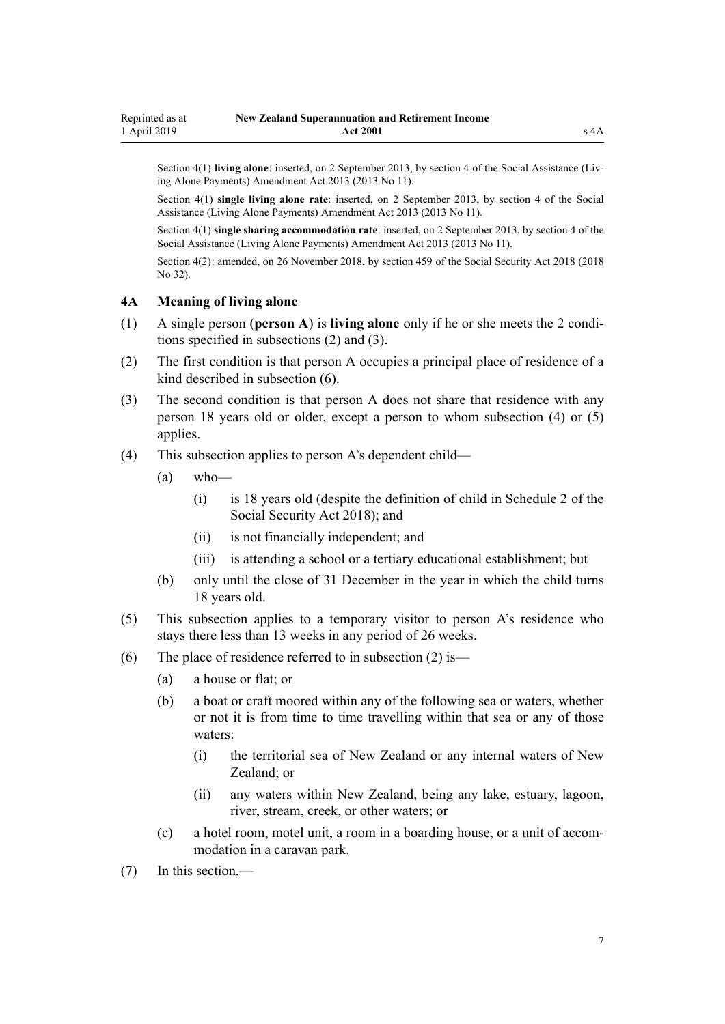<span id="page-6-0"></span>Section 4(1) **living alone**: inserted, on 2 September 2013, by [section 4](http://legislation.govt.nz/pdflink.aspx?id=DLM3365217) of the Social Assistance (Living Alone Payments) Amendment Act 2013 (2013 No 11).

Section 4(1) **single living alone rate**: inserted, on 2 September 2013, by [section 4](http://legislation.govt.nz/pdflink.aspx?id=DLM3365217) of the Social Assistance (Living Alone Payments) Amendment Act 2013 (2013 No 11).

Section 4(1) **single sharing accommodation rate**: inserted, on 2 September 2013, by [section 4](http://legislation.govt.nz/pdflink.aspx?id=DLM3365217) of the Social Assistance (Living Alone Payments) Amendment Act 2013 (2013 No 11).

Section 4(2): amended, on 26 November 2018, by [section 459](http://legislation.govt.nz/pdflink.aspx?id=DLM6784038) of the Social Security Act 2018 (2018 No 32).

#### **4A Meaning of living alone**

- (1) A single person (**person A**) is **living alone** only if he or she meets the 2 conditions specified in subsections (2) and (3).
- (2) The first condition is that person A occupies a principal place of residence of a kind described in subsection (6).
- (3) The second condition is that person A does not share that residence with any person 18 years old or older, except a person to whom subsection (4) or (5) applies.
- (4) This subsection applies to person A's dependent child—
	- $(a)$  who—
		- (i) is 18 years old (despite the definition of child in [Schedule 2](http://legislation.govt.nz/pdflink.aspx?id=DLM6784375) of the Social Security Act 2018); and
		- (ii) is not financially independent; and
		- (iii) is attending a school or a tertiary educational establishment; but
	- (b) only until the close of 31 December in the year in which the child turns 18 years old.
- (5) This subsection applies to a temporary visitor to person A's residence who stays there less than 13 weeks in any period of 26 weeks.
- (6) The place of residence referred to in subsection (2) is—
	- (a) a house or flat; or
	- (b) a boat or craft moored within any of the following sea or waters, whether or not it is from time to time travelling within that sea or any of those waters:
		- (i) the territorial sea of New Zealand or any internal waters of New Zealand; or
		- (ii) any waters within New Zealand, being any lake, estuary, lagoon, river, stream, creek, or other waters; or
	- (c) a hotel room, motel unit, a room in a boarding house, or a unit of accommodation in a caravan park.
- (7) In this section,—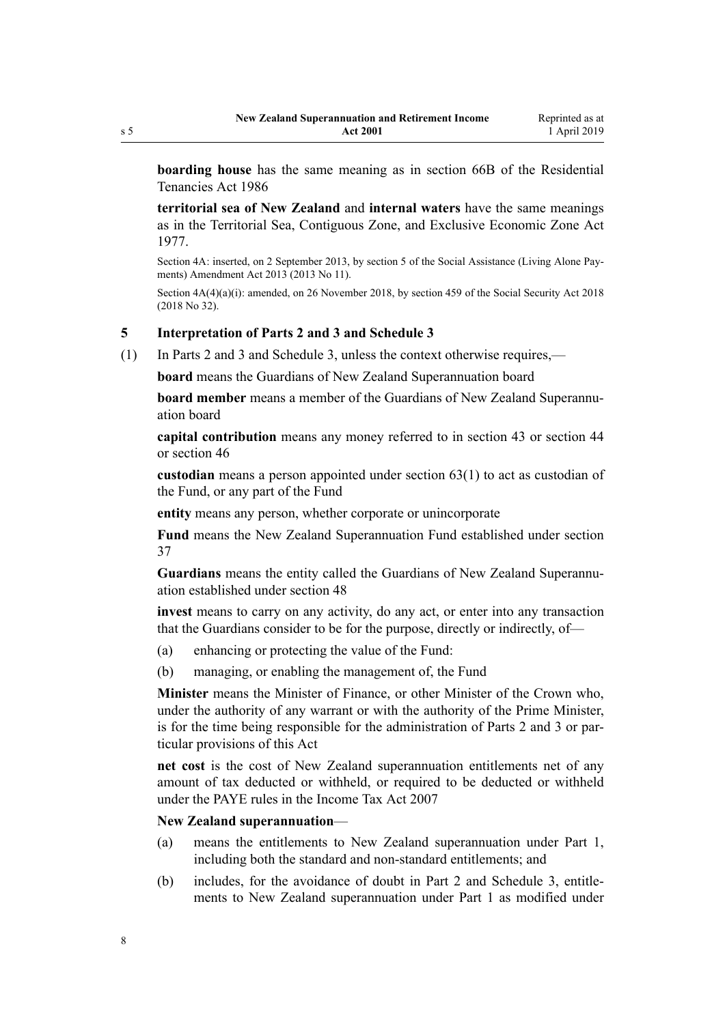**boarding house** has the same meaning as in [section 66B](http://legislation.govt.nz/pdflink.aspx?id=DLM3280887) of the Residential Tenancies Act 1986

**territorial sea of New Zealand** and **internal waters** have the same meanings as in the [Territorial Sea, Contiguous Zone, and Exclusive Economic Zone Act](http://legislation.govt.nz/pdflink.aspx?id=DLM442578) [1977](http://legislation.govt.nz/pdflink.aspx?id=DLM442578).

Section 4A: inserted, on 2 September 2013, by [section 5](http://legislation.govt.nz/pdflink.aspx?id=DLM3365224) of the Social Assistance (Living Alone Payments) Amendment Act 2013 (2013 No 11).

Section  $4A(4)(a)(i)$ : amended, on 26 November 2018, by [section 459](http://legislation.govt.nz/pdflink.aspx?id=DLM6784038) of the Social Security Act 2018 (2018 No 32).

## **5 Interpretation of Parts 2 and 3 and Schedule 3**

(1) In [Parts 2](#page-30-0) and [3](#page-43-0) and [Schedule 3,](#page-54-0) unless the context otherwise requires,—

**board** means the Guardians of New Zealand Superannuation board

**board member** means a member of the Guardians of New Zealand Superannuation board

**capital contribution** means any money referred to in [section 43](#page-32-0) or [section 44](#page-32-0) or [section 46](#page-33-0)

**custodian** means a person appointed under [section 63\(1\)](#page-39-0) to act as custodian of the Fund, or any part of the Fund

**entity** means any person, whether corporate or unincorporate

**Fund** means the New Zealand Superannuation Fund established under [section](#page-30-0) [37](#page-30-0)

**Guardians** means the entity called the Guardians of New Zealand Superannuation established under [section 48](#page-34-0)

**invest** means to carry on any activity, do any act, or enter into any transaction that the Guardians consider to be for the purpose, directly or indirectly, of—

- (a) enhancing or protecting the value of the Fund:
- (b) managing, or enabling the management of, the Fund

**Minister** means the Minister of Finance, or other Minister of the Crown who, under the authority of any warrant or with the authority of the Prime Minister, is for the time being responsible for the administration of [Parts 2](#page-30-0) and [3](#page-43-0) or particular provisions of this Act

**net cost** is the cost of New Zealand superannuation entitlements net of any amount of tax deducted or withheld, or required to be deducted or withheld under the PAYE rules in the [Income Tax Act 2007](http://legislation.govt.nz/pdflink.aspx?id=DLM1512300)

## **New Zealand superannuation**—

- (a) means the entitlements to New Zealand superannuation under [Part 1](#page-9-0), including both the standard and non-standard entitlements; and
- (b) includes, for the avoidance of doubt in [Part 2](#page-30-0) and [Schedule 3](#page-54-0), entitlements to New Zealand superannuation under [Part 1](#page-9-0) as modified under

<span id="page-7-0"></span>s 5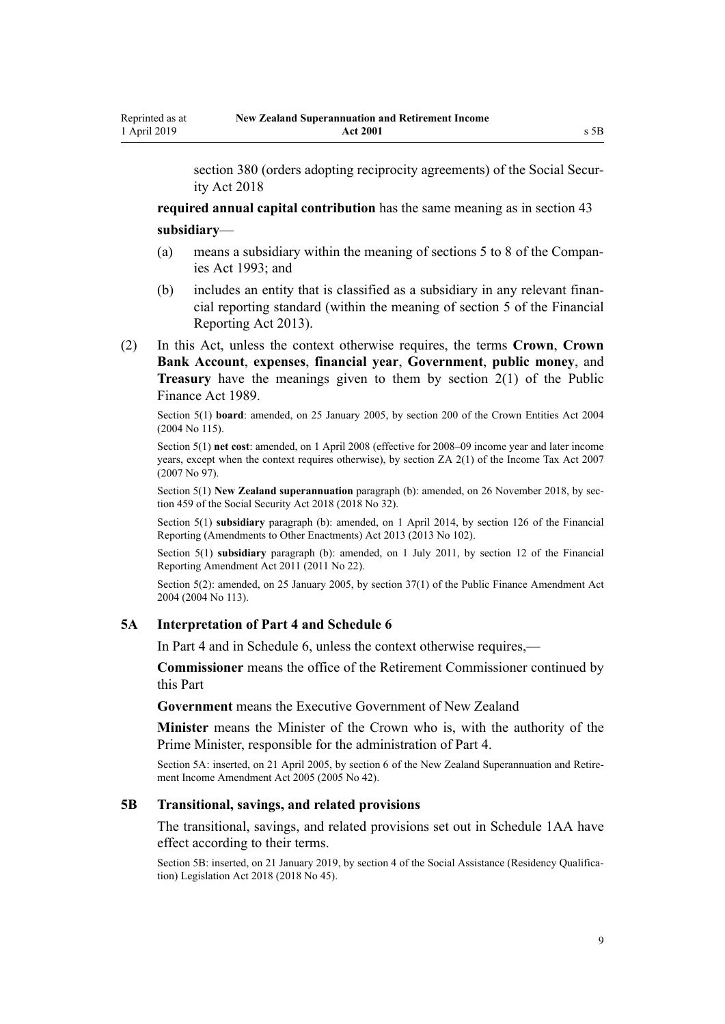<span id="page-8-0"></span>[section 380](http://legislation.govt.nz/pdflink.aspx?id=DLM6783894) (orders adopting reciprocity agreements) of the Social Security Act 2018

**required annual capital contribution** has the same meaning as in [section 43](#page-32-0) **subsidiary**—

- (a) means a subsidiary within the meaning of [sections 5 to 8](http://legislation.govt.nz/pdflink.aspx?id=DLM319999) of the Companies Act 1993; and
- (b) includes an entity that is classified as a subsidiary in any relevant financial reporting standard (within the meaning of [section 5](http://legislation.govt.nz/pdflink.aspx?id=DLM4632837) of the Financial Reporting Act 2013).
- (2) In this Act, unless the context otherwise requires, the terms **Crown**, **Crown Bank Account**, **expenses**, **financial year**, **Government**, **public money**, and **Treasury** have the meanings given to them by [section 2\(1\)](http://legislation.govt.nz/pdflink.aspx?id=DLM160819) of the Public Finance Act 1989.

Section 5(1) **board**: amended, on 25 January 2005, by [section 200](http://legislation.govt.nz/pdflink.aspx?id=DLM331111) of the Crown Entities Act 2004 (2004 No 115).

Section 5(1) **net cost**: amended, on 1 April 2008 (effective for 2008–09 income year and later income years, except when the context requires otherwise), by [section ZA 2\(1\)](http://legislation.govt.nz/pdflink.aspx?id=DLM1523176) of the Income Tax Act 2007 (2007 No 97).

Section 5(1) **New Zealand superannuation** paragraph (b): amended, on 26 November 2018, by [sec](http://legislation.govt.nz/pdflink.aspx?id=DLM6784038)[tion 459](http://legislation.govt.nz/pdflink.aspx?id=DLM6784038) of the Social Security Act 2018 (2018 No 32).

Section 5(1) **subsidiary** paragraph (b): amended, on 1 April 2014, by [section 126](http://legislation.govt.nz/pdflink.aspx?id=DLM5740665) of the Financial Reporting (Amendments to Other Enactments) Act 2013 (2013 No 102).

Section 5(1) **subsidiary** paragraph (b): amended, on 1 July 2011, by [section 12](http://legislation.govt.nz/pdflink.aspx?id=DLM3701759) of the Financial Reporting Amendment Act 2011 (2011 No 22).

Section 5(2): amended, on 25 January 2005, by [section 37\(1\)](http://legislation.govt.nz/pdflink.aspx?id=DLM328867) of the Public Finance Amendment Act 2004 (2004 No 113).

## **5A Interpretation of Part 4 and Schedule 6**

In [Part 4](#page-46-0) and in [Schedule 6,](#page-66-0) unless the context otherwise requires,—

**Commissioner** means the office of the Retirement Commissioner continued by this Part

**Government** means the Executive Government of New Zealand

**Minister** means the Minister of the Crown who is, with the authority of the Prime Minister, responsible for the administration of [Part 4](#page-46-0).

Section 5A: inserted, on 21 April 2005, by [section 6](http://legislation.govt.nz/pdflink.aspx?id=DLM346470) of the New Zealand Superannuation and Retirement Income Amendment Act 2005 (2005 No 42).

#### **5B Transitional, savings, and related provisions**

The transitional, savings, and related provisions set out in Schedule 1AA have effect according to their terms.

Section 5B: inserted, on 21 January 2019, by [section 4](http://legislation.govt.nz/pdflink.aspx?id=LMS26068) of the Social Assistance (Residency Qualification) Legislation Act 2018 (2018 No 45).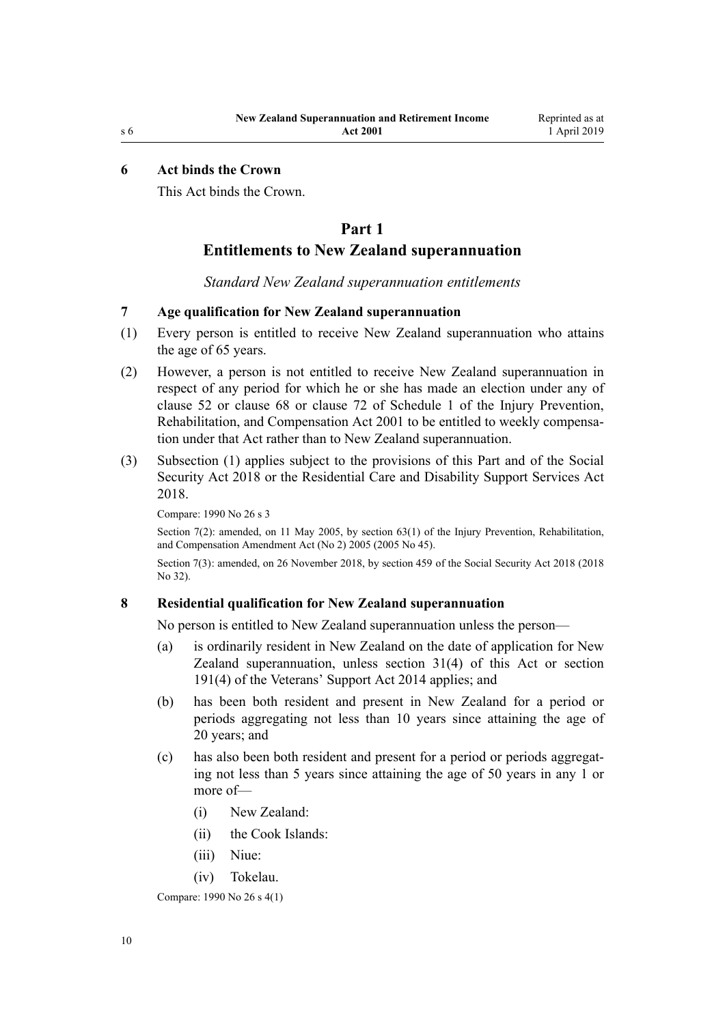#### <span id="page-9-0"></span>**6 Act binds the Crown**

This Act binds the Crown.

# **Part 1**

# **Entitlements to New Zealand superannuation**

*Standard New Zealand superannuation entitlements*

#### **7 Age qualification for New Zealand superannuation**

- (1) Every person is entitled to receive New Zealand superannuation who attains the age of 65 years.
- (2) However, a person is not entitled to receive New Zealand superannuation in respect of any period for which he or she has made an election under any of [clause 52](http://legislation.govt.nz/pdflink.aspx?id=DLM105404) or [clause 68](http://legislation.govt.nz/pdflink.aspx?id=DLM105440) or [clause 72](http://legislation.govt.nz/pdflink.aspx?id=DLM105448) of Schedule 1 of the Injury Prevention, Rehabilitation, and Compensation Act 2001 to be entitled to weekly compensation under that Act rather than to New Zealand superannuation.
- (3) Subsection (1) applies subject to the provisions of this Part and of the [Social](http://legislation.govt.nz/pdflink.aspx?id=DLM6783102) [Security Act 2018](http://legislation.govt.nz/pdflink.aspx?id=DLM6783102) or the [Residential Care and Disability Support Services Act](http://legislation.govt.nz/pdflink.aspx?id=LMS41457) [2018](http://legislation.govt.nz/pdflink.aspx?id=LMS41457).

Compare: 1990 No 26 [s 3](http://legislation.govt.nz/pdflink.aspx?id=DLM204101)

Section 7(2): amended, on 11 May 2005, by [section 63\(1\)](http://legislation.govt.nz/pdflink.aspx?id=DLM347257) of the Injury Prevention, Rehabilitation, and Compensation Amendment Act (No 2) 2005 (2005 No 45).

Section 7(3): amended, on 26 November 2018, by [section 459](http://legislation.govt.nz/pdflink.aspx?id=DLM6784038) of the Social Security Act 2018 (2018 No 32).

#### **8 Residential qualification for New Zealand superannuation**

No person is entitled to New Zealand superannuation unless the person—

- (a) is ordinarily resident in New Zealand on the date of application for New Zealand superannuation, unless [section 31\(4\)](#page-26-0) of this Act or [section](http://legislation.govt.nz/pdflink.aspx?id=DLM5537707) [191\(4\)](http://legislation.govt.nz/pdflink.aspx?id=DLM5537707) of the Veterans' Support Act 2014 applies; and
- (b) has been both resident and present in New Zealand for a period or periods aggregating not less than 10 years since attaining the age of 20 years; and
- (c) has also been both resident and present for a period or periods aggregating not less than 5 years since attaining the age of 50 years in any 1 or more of—
	- (i) New Zealand:
	- (ii) the Cook Islands:
	- (iii) Niue:
	- (iv) Tokelau.

Compare: 1990 No 26 [s 4\(1\)](http://legislation.govt.nz/pdflink.aspx?id=DLM204107)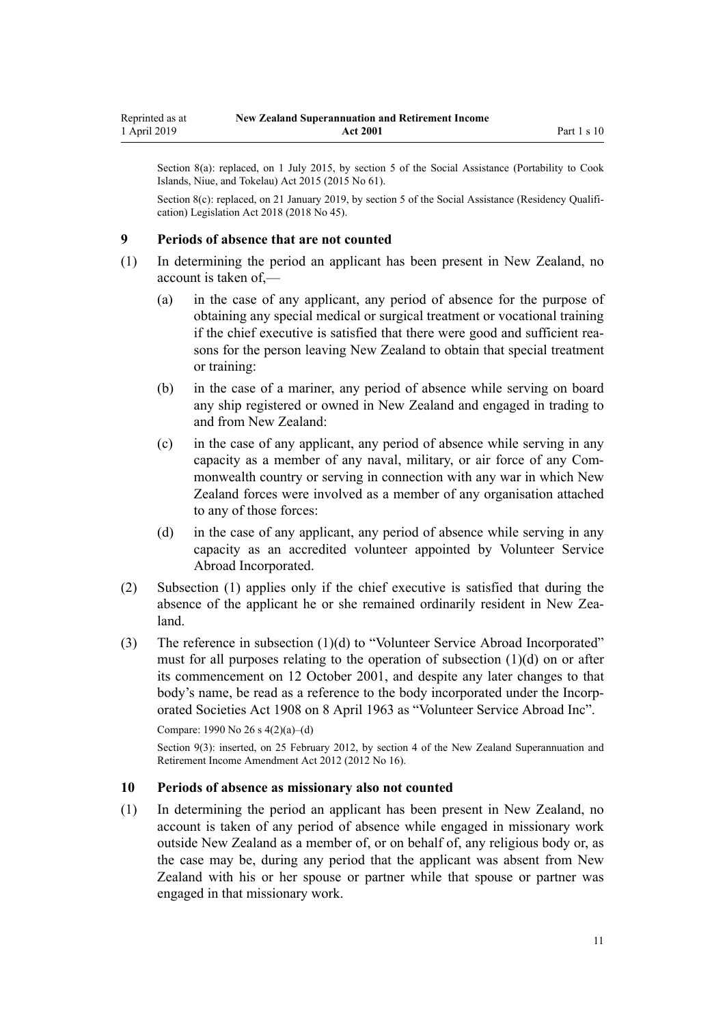<span id="page-10-0"></span>Section 8(a): replaced, on 1 July 2015, by [section 5](http://legislation.govt.nz/pdflink.aspx?id=DLM6222919) of the Social Assistance (Portability to Cook Islands, Niue, and Tokelau) Act 2015 (2015 No 61).

Section 8(c): replaced, on 21 January 2019, by [section 5](http://legislation.govt.nz/pdflink.aspx?id=LMS26069) of the Social Assistance (Residency Qualification) Legislation Act 2018 (2018 No 45).

#### **9 Periods of absence that are not counted**

- (1) In determining the period an applicant has been present in New Zealand, no account is taken of,—
	- (a) in the case of any applicant, any period of absence for the purpose of obtaining any special medical or surgical treatment or vocational training if the chief executive is satisfied that there were good and sufficient reasons for the person leaving New Zealand to obtain that special treatment or training:
	- (b) in the case of a mariner, any period of absence while serving on board any ship registered or owned in New Zealand and engaged in trading to and from New Zealand:
	- (c) in the case of any applicant, any period of absence while serving in any capacity as a member of any naval, military, or air force of any Commonwealth country or serving in connection with any war in which New Zealand forces were involved as a member of any organisation attached to any of those forces:
	- (d) in the case of any applicant, any period of absence while serving in any capacity as an accredited volunteer appointed by Volunteer Service Abroad Incorporated.
- (2) Subsection (1) applies only if the chief executive is satisfied that during the absence of the applicant he or she remained ordinarily resident in New Zealand.
- (3) The reference in subsection (1)(d) to "Volunteer Service Abroad Incorporated" must for all purposes relating to the operation of subsection (1)(d) on or after its commencement on 12 October 2001, and despite any later changes to that body's name, be read as a reference to the body incorporated under the [Incorp](http://legislation.govt.nz/pdflink.aspx?id=DLM175774)[orated Societies Act 1908](http://legislation.govt.nz/pdflink.aspx?id=DLM175774) on 8 April 1963 as "Volunteer Service Abroad Inc".

Compare: 1990 No 26 [s 4\(2\)\(a\)–\(d\)](http://legislation.govt.nz/pdflink.aspx?id=DLM204107)

Section 9(3): inserted, on 25 February 2012, by [section 4](http://legislation.govt.nz/pdflink.aspx?id=DLM4014807) of the New Zealand Superannuation and Retirement Income Amendment Act 2012 (2012 No 16).

#### **10 Periods of absence as missionary also not counted**

(1) In determining the period an applicant has been present in New Zealand, no account is taken of any period of absence while engaged in missionary work outside New Zealand as a member of, or on behalf of, any religious body or, as the case may be, during any period that the applicant was absent from New Zealand with his or her spouse or partner while that spouse or partner was engaged in that missionary work.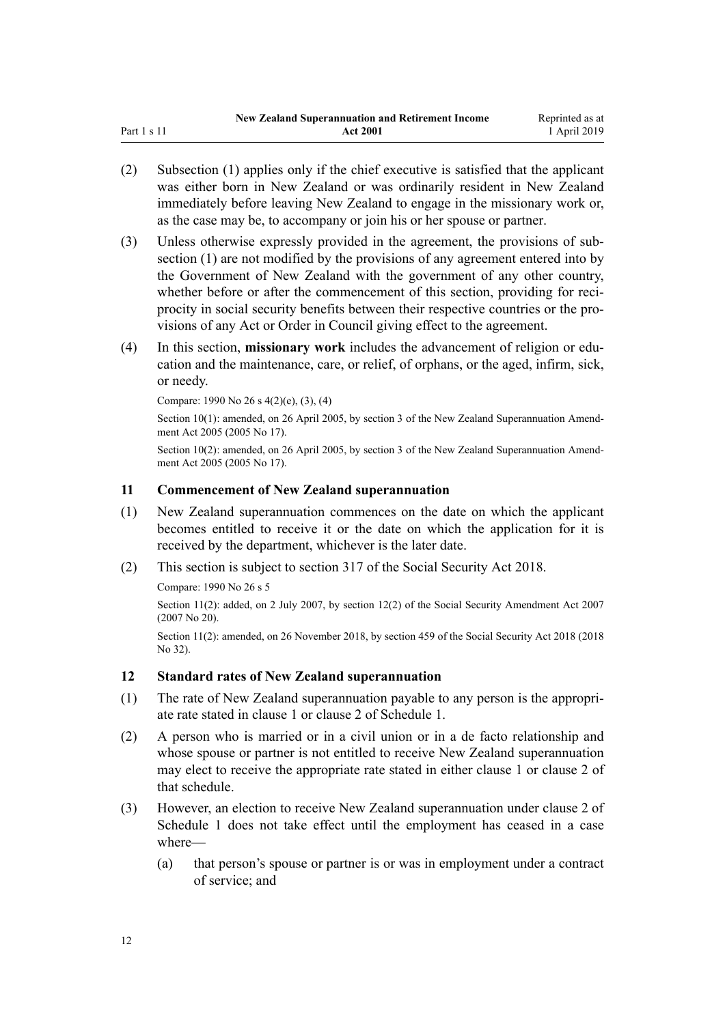<span id="page-11-0"></span>

|             | <b>New Zealand Superannuation and Retirement Income</b> | Reprinted as at |
|-------------|---------------------------------------------------------|-----------------|
| Part 1 s 11 | <b>Act 2001</b>                                         | 1 April 2019    |

- (2) Subsection (1) applies only if the chief executive is satisfied that the applicant was either born in New Zealand or was ordinarily resident in New Zealand immediately before leaving New Zealand to engage in the missionary work or, as the case may be, to accompany or join his or her spouse or partner.
- (3) Unless otherwise expressly provided in the agreement, the provisions of subsection (1) are not modified by the provisions of any agreement entered into by the Government of New Zealand with the government of any other country, whether before or after the commencement of this section, providing for reciprocity in social security benefits between their respective countries or the provisions of any Act or Order in Council giving effect to the agreement.
- (4) In this section, **missionary work** includes the advancement of religion or education and the maintenance, care, or relief, of orphans, or the aged, infirm, sick, or needy.

Compare: 1990 No 26 [s 4\(2\)\(e\), \(3\), \(4\)](http://legislation.govt.nz/pdflink.aspx?id=DLM204107)

Section 10(1): amended, on 26 April 2005, by [section 3](http://legislation.govt.nz/pdflink.aspx?id=DLM336342) of the New Zealand Superannuation Amendment Act 2005 (2005 No 17).

Section 10(2): amended, on 26 April 2005, by [section 3](http://legislation.govt.nz/pdflink.aspx?id=DLM336342) of the New Zealand Superannuation Amendment Act 2005 (2005 No 17).

#### **11 Commencement of New Zealand superannuation**

- (1) New Zealand superannuation commences on the date on which the applicant becomes entitled to receive it or the date on which the application for it is received by the department, whichever is the later date.
- (2) This section is subject to [section 317](http://legislation.govt.nz/pdflink.aspx?id=DLM6783789) of the Social Security Act 2018.

Compare: 1990 No 26 [s 5](http://legislation.govt.nz/pdflink.aspx?id=DLM204111)

Section 11(2): added, on 2 July 2007, by [section 12\(2\)](http://legislation.govt.nz/pdflink.aspx?id=DLM408566) of the Social Security Amendment Act 2007 (2007 No 20).

Section 11(2): amended, on 26 November 2018, by [section 459](http://legislation.govt.nz/pdflink.aspx?id=DLM6784038) of the Social Security Act 2018 (2018 No 32).

## **12 Standard rates of New Zealand superannuation**

- (1) The rate of New Zealand superannuation payable to any person is the appropriate rate stated in clause 1 or clause 2 of [Schedule 1](#page-51-0).
- (2) A person who is married or in a civil union or in a de facto relationship and whose spouse or partner is not entitled to receive New Zealand superannuation may elect to receive the appropriate rate stated in either clause 1 or clause 2 of that schedule.
- (3) However, an election to receive New Zealand superannuation under clause 2 of [Schedule 1](#page-51-0) does not take effect until the employment has ceased in a case where—
	- (a) that person's spouse or partner is or was in employment under a contract of service; and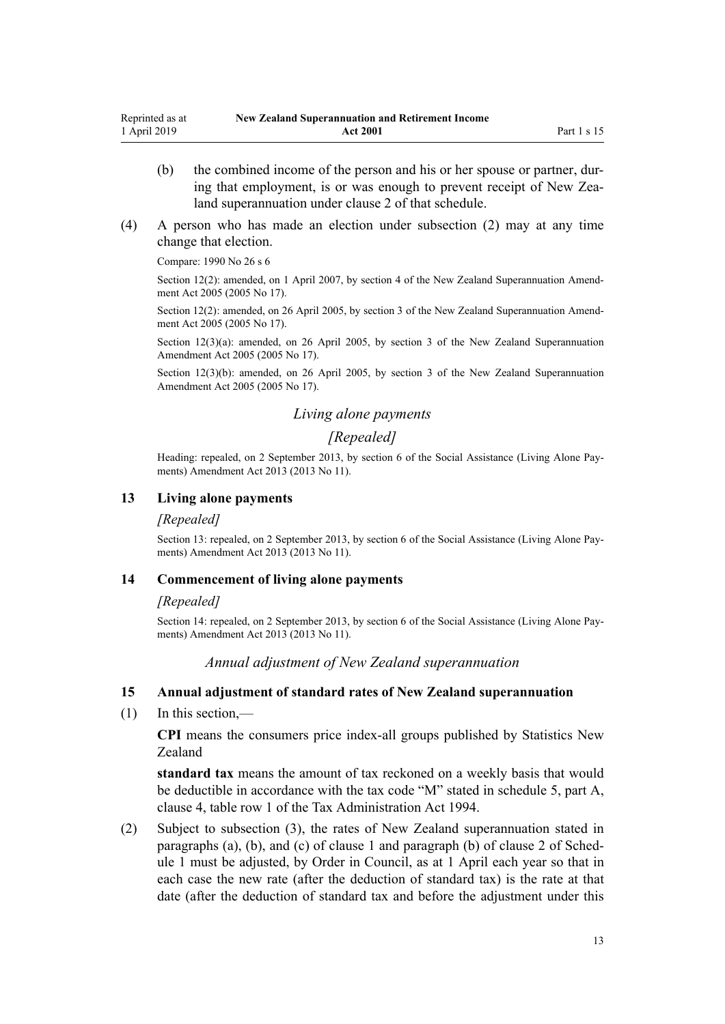- <span id="page-12-0"></span>(b) the combined income of the person and his or her spouse or partner, during that employment, is or was enough to prevent receipt of New Zealand superannuation under [clause 2](#page-51-0) of that schedule.
- (4) A person who has made an election under subsection (2) may at any time change that election.

Compare: 1990 No 26 [s 6](http://legislation.govt.nz/pdflink.aspx?id=DLM204115)

Section 12(2): amended, on 1 April 2007, by [section 4](http://legislation.govt.nz/pdflink.aspx?id=DLM336343) of the New Zealand Superannuation Amendment Act 2005 (2005 No 17).

Section 12(2): amended, on 26 April 2005, by [section 3](http://legislation.govt.nz/pdflink.aspx?id=DLM336342) of the New Zealand Superannuation Amendment Act 2005 (2005 No 17).

Section 12(3)(a): amended, on 26 April 2005, by [section 3](http://legislation.govt.nz/pdflink.aspx?id=DLM336342) of the New Zealand Superannuation Amendment Act 2005 (2005 No 17).

Section 12(3)(b): amended, on 26 April 2005, by [section 3](http://legislation.govt.nz/pdflink.aspx?id=DLM336342) of the New Zealand Superannuation Amendment Act 2005 (2005 No 17).

## *Living alone payments*

# *[Repealed]*

Heading: repealed, on 2 September 2013, by [section 6](http://legislation.govt.nz/pdflink.aspx?id=DLM3365233) of the Social Assistance (Living Alone Payments) Amendment Act 2013 (2013 No 11).

## **13 Living alone payments**

#### *[Repealed]*

Section 13: repealed, on 2 September 2013, by [section 6](http://legislation.govt.nz/pdflink.aspx?id=DLM3365233) of the Social Assistance (Living Alone Payments) Amendment Act 2013 (2013 No 11).

#### **14 Commencement of living alone payments**

#### *[Repealed]*

Section 14: repealed, on 2 September 2013, by [section 6](http://legislation.govt.nz/pdflink.aspx?id=DLM3365233) of the Social Assistance (Living Alone Payments) Amendment Act 2013 (2013 No 11).

## *Annual adjustment of New Zealand superannuation*

#### **15 Annual adjustment of standard rates of New Zealand superannuation**

(1) In this section,—

**CPI** means the consumers price index-all groups published by Statistics New Zealand

**standard tax** means the amount of tax reckoned on a weekly basis that would be deductible in accordance with the tax code "M" stated in schedule 5, part A, clause 4, table row 1 of the Tax Administration Act 1994.

(2) Subject to subsection (3), the rates of New Zealand superannuation stated in paragraphs (a), (b), and (c) of clause 1 and paragraph (b) of clause 2 of [Sched](#page-51-0)[ule 1](#page-51-0) must be adjusted, by Order in Council, as at 1 April each year so that in each case the new rate (after the deduction of standard tax) is the rate at that date (after the deduction of standard tax and before the adjustment under this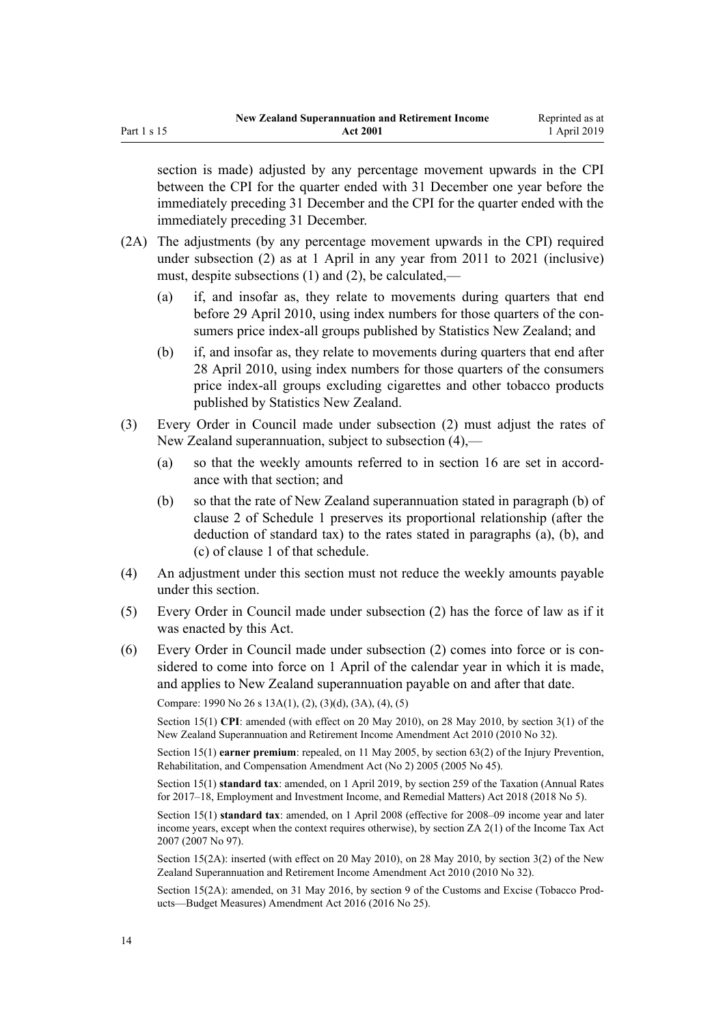section is made) adjusted by any percentage movement upwards in the CPI between the CPI for the quarter ended with 31 December one year before the immediately preceding 31 December and the CPI for the quarter ended with the immediately preceding 31 December.

- (2A) The adjustments (by any percentage movement upwards in the CPI) required under subsection (2) as at 1 April in any year from 2011 to 2021 (inclusive) must, despite subsections (1) and (2), be calculated,—
	- (a) if, and insofar as, they relate to movements during quarters that end before 29 April 2010, using index numbers for those quarters of the consumers price index-all groups published by Statistics New Zealand; and
	- (b) if, and insofar as, they relate to movements during quarters that end after 28 April 2010, using index numbers for those quarters of the consumers price index-all groups excluding cigarettes and other tobacco products published by Statistics New Zealand.
- (3) Every Order in Council made under subsection (2) must adjust the rates of New Zealand superannuation, subject to subsection (4),—
	- (a) so that the weekly amounts referred to in [section 16](#page-14-0) are set in accordance with that section; and
	- (b) so that the rate of New Zealand superannuation stated in paragraph (b) of clause 2 of [Schedule 1](#page-51-0) preserves its proportional relationship (after the deduction of standard tax) to the rates stated in paragraphs (a), (b), and (c) of clause 1 of that schedule.
- (4) An adjustment under this section must not reduce the weekly amounts payable under this section.
- (5) Every Order in Council made under subsection (2) has the force of law as if it was enacted by this Act.
- (6) Every Order in Council made under subsection (2) comes into force or is considered to come into force on 1 April of the calendar year in which it is made, and applies to New Zealand superannuation payable on and after that date.

Compare: 1990 No 26 [s 13A\(1\), \(2\), \(3\)\(d\), \(3A\), \(4\), \(5\)](http://legislation.govt.nz/pdflink.aspx?id=DLM204150)

Section 15(1) **CPI**: amended (with effect on 20 May 2010), on 28 May 2010, by [section 3\(1\)](http://legislation.govt.nz/pdflink.aspx?id=DLM2988606) of the New Zealand Superannuation and Retirement Income Amendment Act 2010 (2010 No 32).

Section 15(1) **earner premium**: repealed, on 11 May 2005, by [section 63\(2\)](http://legislation.govt.nz/pdflink.aspx?id=DLM347257) of the Injury Prevention, Rehabilitation, and Compensation Amendment Act (No 2) 2005 (2005 No 45).

Section 15(1) **standard tax**: amended, on 1 April 2019, by [section 259](http://legislation.govt.nz/pdflink.aspx?id=LMS12363) of the Taxation (Annual Rates for 2017–18, Employment and Investment Income, and Remedial Matters) Act 2018 (2018 No 5).

Section 15(1) **standard tax**: amended, on 1 April 2008 (effective for 2008–09 income year and later income years, except when the context requires otherwise), by [section ZA 2\(1\)](http://legislation.govt.nz/pdflink.aspx?id=DLM1523176) of the Income Tax Act 2007 (2007 No 97).

Section 15(2A): inserted (with effect on 20 May 2010), on 28 May 2010, by [section 3\(2\)](http://legislation.govt.nz/pdflink.aspx?id=DLM2988606) of the New Zealand Superannuation and Retirement Income Amendment Act 2010 (2010 No 32).

Section 15(2A): amended, on 31 May 2016, by [section 9](http://legislation.govt.nz/pdflink.aspx?id=DLM6851124) of the Customs and Excise (Tobacco Products—Budget Measures) Amendment Act 2016 (2016 No 25).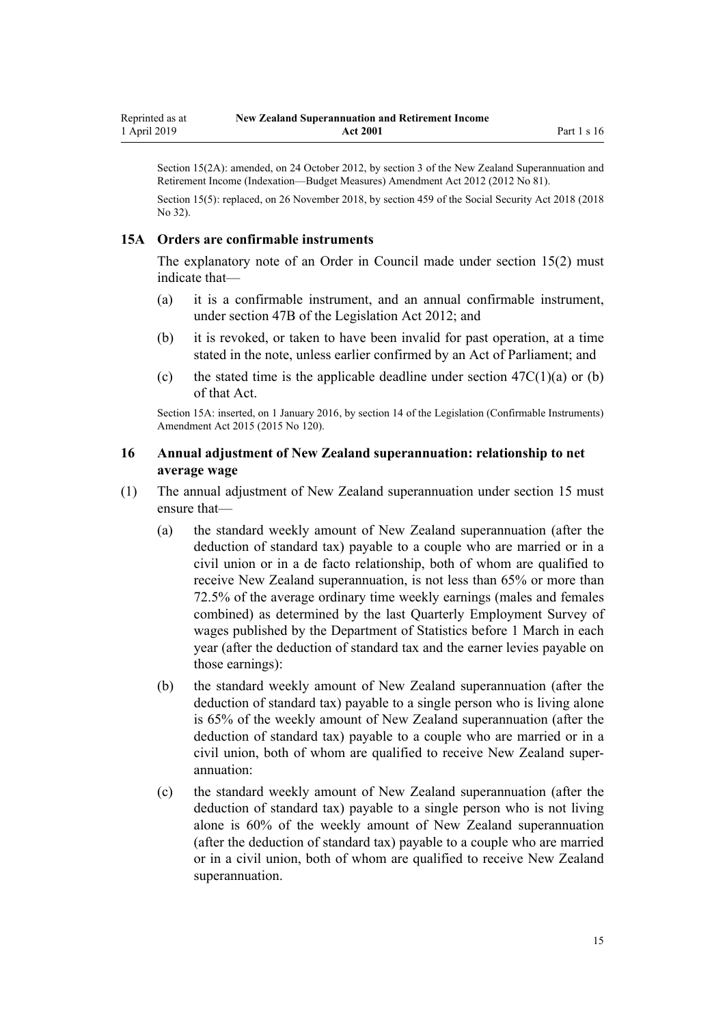<span id="page-14-0"></span>Section 15(2A): amended, on 24 October 2012, by [section 3](http://legislation.govt.nz/pdflink.aspx?id=DLM4767507) of the New Zealand Superannuation and Retirement Income (Indexation—Budget Measures) Amendment Act 2012 (2012 No 81).

Section 15(5): replaced, on 26 November 2018, by [section 459](http://legislation.govt.nz/pdflink.aspx?id=DLM6784038) of the Social Security Act 2018 (2018 No 32).

## **15A Orders are confirmable instruments**

The explanatory note of an Order in Council made under [section 15\(2\)](#page-12-0) must indicate that—

- (a) it is a confirmable instrument, and an annual confirmable instrument, under [section 47B](http://legislation.govt.nz/pdflink.aspx?id=DLM6705124) of the Legislation Act 2012; and
- (b) it is revoked, or taken to have been invalid for past operation, at a time stated in the note, unless earlier confirmed by an Act of Parliament; and
- (c) the stated time is the applicable deadline under section  $47C(1)(a)$  or (b) of that Act.

Section 15A: inserted, on 1 January 2016, by [section 14](http://legislation.govt.nz/pdflink.aspx?id=DLM6681248) of the Legislation (Confirmable Instruments) Amendment Act 2015 (2015 No 120).

## **16 Annual adjustment of New Zealand superannuation: relationship to net average wage**

- (1) The annual adjustment of New Zealand superannuation under [section 15](#page-12-0) must ensure that—
	- (a) the standard weekly amount of New Zealand superannuation (after the deduction of standard tax) payable to a couple who are married or in a civil union or in a de facto relationship, both of whom are qualified to receive New Zealand superannuation, is not less than 65% or more than 72.5% of the average ordinary time weekly earnings (males and females combined) as determined by the last Quarterly Employment Survey of wages published by the Department of Statistics before 1 March in each year (after the deduction of standard tax and the earner levies payable on those earnings):
	- (b) the standard weekly amount of New Zealand superannuation (after the deduction of standard tax) payable to a single person who is living alone is 65% of the weekly amount of New Zealand superannuation (after the deduction of standard tax) payable to a couple who are married or in a civil union, both of whom are qualified to receive New Zealand superannuation:
	- (c) the standard weekly amount of New Zealand superannuation (after the deduction of standard tax) payable to a single person who is not living alone is 60% of the weekly amount of New Zealand superannuation (after the deduction of standard tax) payable to a couple who are married or in a civil union, both of whom are qualified to receive New Zealand superannuation.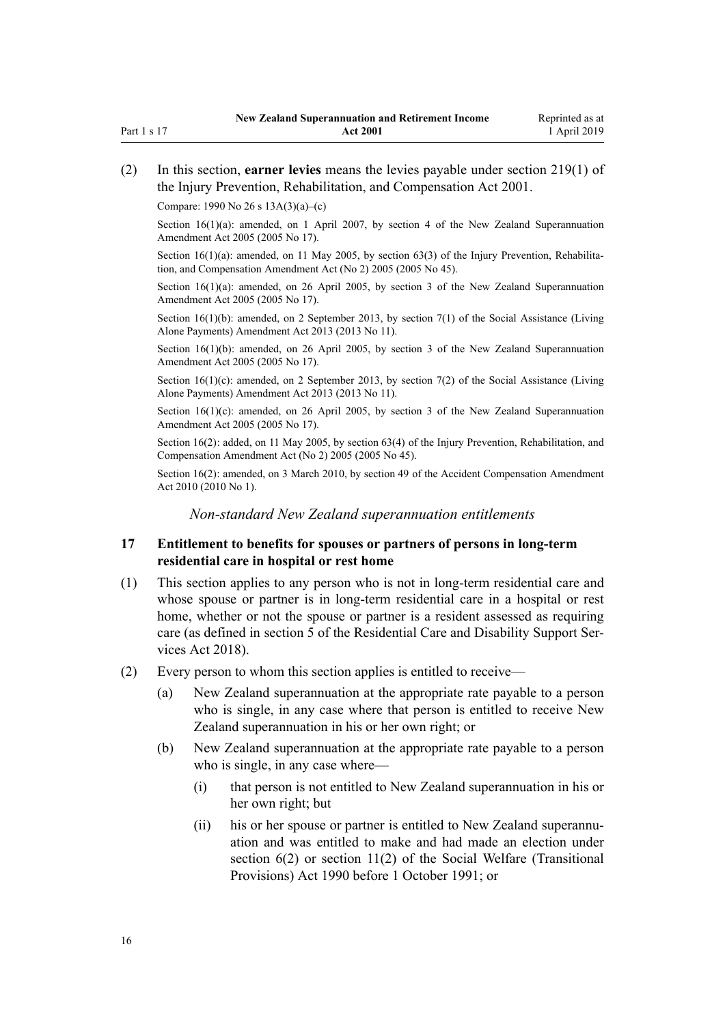<span id="page-15-0"></span>Compare: 1990 No 26 [s 13A\(3\)\(a\)–\(c\)](http://legislation.govt.nz/pdflink.aspx?id=DLM204150)

Section  $16(1)(a)$ : amended, on 1 April 2007, by [section 4](http://legislation.govt.nz/pdflink.aspx?id=DLM336343) of the New Zealand Superannuation Amendment Act 2005 (2005 No 17).

Section  $16(1)(a)$ : amended, on 11 May 2005, by [section 63\(3\)](http://legislation.govt.nz/pdflink.aspx?id=DLM347257) of the Injury Prevention, Rehabilitation, and Compensation Amendment Act (No 2) 2005 (2005 No 45).

Section  $16(1)(a)$ : amended, on 26 April 2005, by [section 3](http://legislation.govt.nz/pdflink.aspx?id=DLM336342) of the New Zealand Superannuation Amendment Act 2005 (2005 No 17).

Section 16(1)(b): amended, on 2 September 2013, by [section 7\(1\)](http://legislation.govt.nz/pdflink.aspx?id=DLM3365234) of the Social Assistance (Living Alone Payments) Amendment Act 2013 (2013 No 11).

Section 16(1)(b): amended, on 26 April 2005, by [section 3](http://legislation.govt.nz/pdflink.aspx?id=DLM336342) of the New Zealand Superannuation Amendment Act 2005 (2005 No 17).

Section  $16(1)(c)$ : amended, on 2 September 2013, by [section 7\(2\)](http://legislation.govt.nz/pdflink.aspx?id=DLM3365234) of the Social Assistance (Living Alone Payments) Amendment Act 2013 (2013 No 11).

Section  $16(1)(c)$ : amended, on 26 April 2005, by [section 3](http://legislation.govt.nz/pdflink.aspx?id=DLM336342) of the New Zealand Superannuation Amendment Act 2005 (2005 No 17).

Section 16(2): added, on 11 May 2005, by [section 63\(4\)](http://legislation.govt.nz/pdflink.aspx?id=DLM347257) of the Injury Prevention, Rehabilitation, and Compensation Amendment Act (No 2) 2005 (2005 No 45).

Section 16(2): amended, on 3 March 2010, by [section 49](http://legislation.govt.nz/pdflink.aspx?id=DLM2417572) of the Accident Compensation Amendment Act 2010 (2010 No 1).

*Non-standard New Zealand superannuation entitlements*

## **17 Entitlement to benefits for spouses or partners of persons in long-term residential care in hospital or rest home**

- (1) This section applies to any person who is not in long-term residential care and whose spouse or partner is in long-term residential care in a hospital or rest home, whether or not the spouse or partner is a resident assessed as requiring care (as defined in [section 5](http://legislation.govt.nz/pdflink.aspx?id=LMS41529) of the Residential Care and Disability Support Services Act 2018).
- (2) Every person to whom this section applies is entitled to receive—
	- (a) New Zealand superannuation at the appropriate rate payable to a person who is single, in any case where that person is entitled to receive New Zealand superannuation in his or her own right; or
	- (b) New Zealand superannuation at the appropriate rate payable to a person who is single, in any case where—
		- (i) that person is not entitled to New Zealand superannuation in his or her own right; but
		- (ii) his or her spouse or partner is entitled to New Zealand superannuation and was entitled to make and had made an election under [section 6\(2\)](http://legislation.govt.nz/pdflink.aspx?id=DLM204115) or [section 11\(2\)](http://legislation.govt.nz/pdflink.aspx?id=DLM204143) of the Social Welfare (Transitional Provisions) Act 1990 before 1 October 1991; or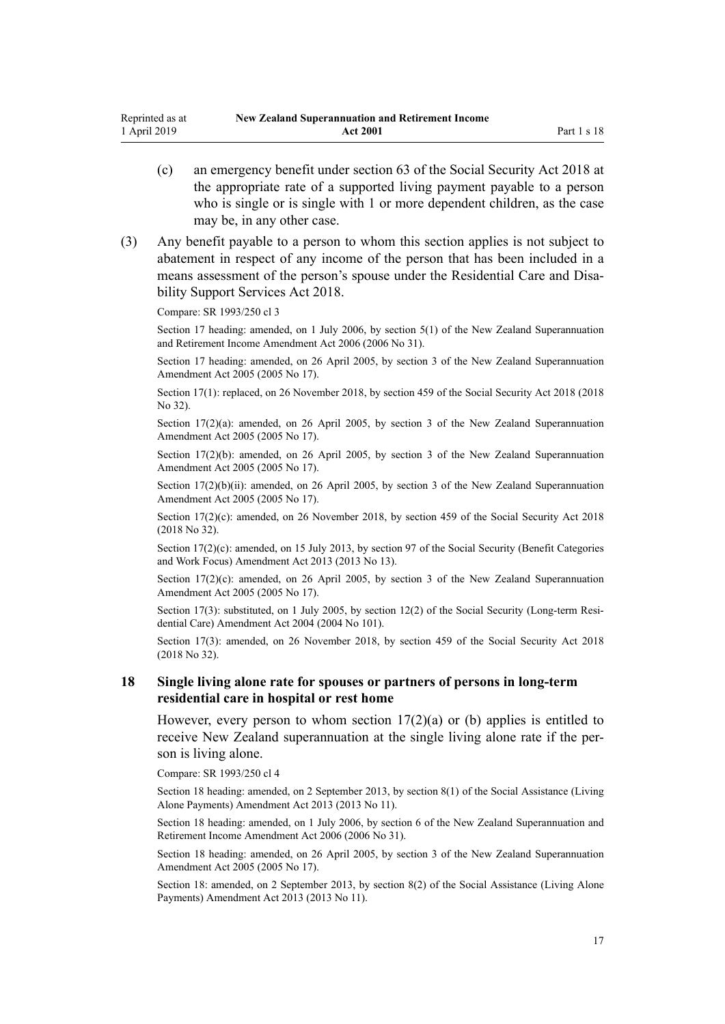- <span id="page-16-0"></span>(c) an emergency benefit under [section 63](http://legislation.govt.nz/pdflink.aspx?id=DLM6783236) of the Social Security Act 2018 at the appropriate rate of a supported living payment payable to a person who is single or is single with 1 or more dependent children, as the case may be, in any other case.
- (3) Any benefit payable to a person to whom this section applies is not subject to abatement in respect of any income of the person that has been included in a means assessment of the person's spouse under the [Residential Care and Disa](http://legislation.govt.nz/pdflink.aspx?id=LMS41457)[bility Support Services Act 2018.](http://legislation.govt.nz/pdflink.aspx?id=LMS41457)

Compare: SR 1993/250 cl 3

Section 17 heading: amended, on 1 July 2006, by [section 5\(1\)](http://legislation.govt.nz/pdflink.aspx?id=DLM374601) of the New Zealand Superannuation and Retirement Income Amendment Act 2006 (2006 No 31).

Section 17 heading: amended, on 26 April 2005, by [section 3](http://legislation.govt.nz/pdflink.aspx?id=DLM336342) of the New Zealand Superannuation Amendment Act 2005 (2005 No 17).

Section 17(1): replaced, on 26 November 2018, by [section 459](http://legislation.govt.nz/pdflink.aspx?id=DLM6784038) of the Social Security Act 2018 (2018 No 32).

Section 17(2)(a): amended, on 26 April 2005, by [section 3](http://legislation.govt.nz/pdflink.aspx?id=DLM336342) of the New Zealand Superannuation Amendment Act 2005 (2005 No 17).

Section 17(2)(b): amended, on 26 April 2005, by [section 3](http://legislation.govt.nz/pdflink.aspx?id=DLM336342) of the New Zealand Superannuation Amendment Act 2005 (2005 No 17).

Section 17(2)(b)(ii): amended, on 26 April 2005, by [section 3](http://legislation.govt.nz/pdflink.aspx?id=DLM336342) of the New Zealand Superannuation Amendment Act 2005 (2005 No 17).

Section 17(2)(c): amended, on 26 November 2018, by [section 459](http://legislation.govt.nz/pdflink.aspx?id=DLM6784038) of the Social Security Act 2018 (2018 No 32).

Section 17(2)(c): amended, on 15 July 2013, by [section 97](http://legislation.govt.nz/pdflink.aspx?id=DLM4542434) of the Social Security (Benefit Categories and Work Focus) Amendment Act 2013 (2013 No 13).

Section  $17(2)(c)$ : amended, on 26 April 2005, by [section 3](http://legislation.govt.nz/pdflink.aspx?id=DLM336342) of the New Zealand Superannuation Amendment Act 2005 (2005 No 17).

Section 17(3): substituted, on 1 July 2005, by [section 12\(2\)](http://legislation.govt.nz/pdflink.aspx?id=DLM323319) of the Social Security (Long-term Residential Care) Amendment Act 2004 (2004 No 101).

Section 17(3): amended, on 26 November 2018, by [section 459](http://legislation.govt.nz/pdflink.aspx?id=DLM6784038) of the Social Security Act 2018 (2018 No 32).

## **18 Single living alone rate for spouses or partners of persons in long-term residential care in hospital or rest home**

However, every person to whom section  $17(2)(a)$  or (b) applies is entitled to receive New Zealand superannuation at the single living alone rate if the person is living alone.

Compare: SR 1993/250 cl 4

Section 18 heading: amended, on 2 September 2013, by [section 8\(1\)](http://legislation.govt.nz/pdflink.aspx?id=DLM3365235) of the Social Assistance (Living Alone Payments) Amendment Act 2013 (2013 No 11).

Section 18 heading: amended, on 1 July 2006, by [section 6](http://legislation.govt.nz/pdflink.aspx?id=DLM374602) of the New Zealand Superannuation and Retirement Income Amendment Act 2006 (2006 No 31).

Section 18 heading: amended, on 26 April 2005, by [section 3](http://legislation.govt.nz/pdflink.aspx?id=DLM336342) of the New Zealand Superannuation Amendment Act 2005 (2005 No 17).

Section 18: amended, on 2 September 2013, by [section 8\(2\)](http://legislation.govt.nz/pdflink.aspx?id=DLM3365235) of the Social Assistance (Living Alone Payments) Amendment Act 2013 (2013 No 11).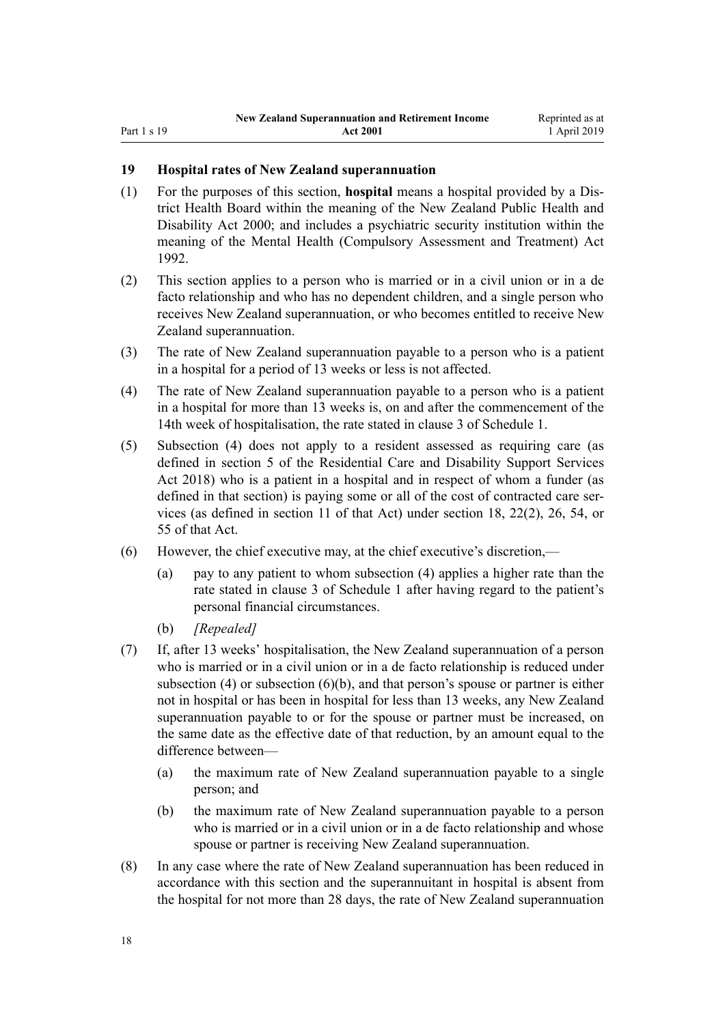# <span id="page-17-0"></span>**19 Hospital rates of New Zealand superannuation**

- (1) For the purposes of this section, **hospital** means a hospital provided by a District Health Board within the meaning of the [New Zealand Public Health and](http://legislation.govt.nz/pdflink.aspx?id=DLM80050) [Disability Act 2000;](http://legislation.govt.nz/pdflink.aspx?id=DLM80050) and includes a psychiatric security institution within the meaning of the [Mental Health \(Compulsory Assessment and Treatment\) Act](http://legislation.govt.nz/pdflink.aspx?id=DLM262175) [1992](http://legislation.govt.nz/pdflink.aspx?id=DLM262175).
- (2) This section applies to a person who is married or in a civil union or in a de facto relationship and who has no dependent children, and a single person who receives New Zealand superannuation, or who becomes entitled to receive New Zealand superannuation.
- (3) The rate of New Zealand superannuation payable to a person who is a patient in a hospital for a period of 13 weeks or less is not affected.
- (4) The rate of New Zealand superannuation payable to a person who is a patient in a hospital for more than 13 weeks is, on and after the commencement of the 14th week of hospitalisation, the rate stated in clause 3 of [Schedule 1.](#page-51-0)
- (5) Subsection (4) does not apply to a resident assessed as requiring care (as defined in [section 5](http://legislation.govt.nz/pdflink.aspx?id=LMS41529) of the Residential Care and Disability Support Services Act 2018) who is a patient in a hospital and in respect of whom a funder (as defined in that section) is paying some or all of the cost of contracted care services (as defined in [section 11](http://legislation.govt.nz/pdflink.aspx?id=LMS41551) of that Act) under [section 18](http://legislation.govt.nz/pdflink.aspx?id=LMS41564), [22\(2\),](http://legislation.govt.nz/pdflink.aspx?id=LMS41574) [26,](http://legislation.govt.nz/pdflink.aspx?id=LMS41582) [54,](http://legislation.govt.nz/pdflink.aspx?id=LMS41641) or [55](http://legislation.govt.nz/pdflink.aspx?id=LMS41642) of that Act.
- (6) However, the chief executive may, at the chief executive's discretion,—
	- (a) pay to any patient to whom subsection (4) applies a higher rate than the rate stated in clause 3 of [Schedule 1](#page-51-0) after having regard to the patient's personal financial circumstances.
	- (b) *[Repealed]*
- (7) If, after 13 weeks' hospitalisation, the New Zealand superannuation of a person who is married or in a civil union or in a de facto relationship is reduced under subsection (4) or subsection (6)(b), and that person's spouse or partner is either not in hospital or has been in hospital for less than 13 weeks, any New Zealand superannuation payable to or for the spouse or partner must be increased, on the same date as the effective date of that reduction, by an amount equal to the difference between—
	- (a) the maximum rate of New Zealand superannuation payable to a single person; and
	- (b) the maximum rate of New Zealand superannuation payable to a person who is married or in a civil union or in a de facto relationship and whose spouse or partner is receiving New Zealand superannuation.
- (8) In any case where the rate of New Zealand superannuation has been reduced in accordance with this section and the superannuitant in hospital is absent from the hospital for not more than 28 days, the rate of New Zealand superannuation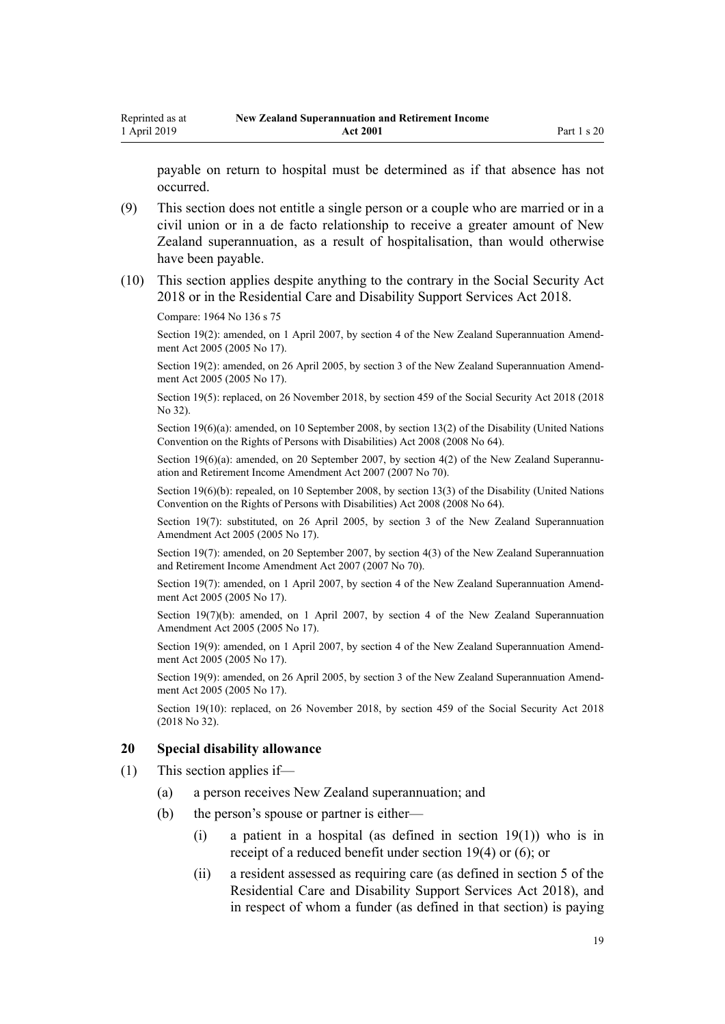<span id="page-18-0"></span>payable on return to hospital must be determined as if that absence has not occurred.

- (9) This section does not entitle a single person or a couple who are married or in a civil union or in a de facto relationship to receive a greater amount of New Zealand superannuation, as a result of hospitalisation, than would otherwise have been payable.
- (10) This section applies despite anything to the contrary in the [Social Security Act](http://legislation.govt.nz/pdflink.aspx?id=DLM6783102) [2018](http://legislation.govt.nz/pdflink.aspx?id=DLM6783102) or in the [Residential Care and Disability Support Services Act 2018.](http://legislation.govt.nz/pdflink.aspx?id=LMS41457)

Compare: 1964 No 136 [s 75](http://legislation.govt.nz/pdflink.aspx?id=DLM363920)

Section 19(2): amended, on 1 April 2007, by [section 4](http://legislation.govt.nz/pdflink.aspx?id=DLM336343) of the New Zealand Superannuation Amendment Act 2005 (2005 No 17).

Section 19(2): amended, on 26 April 2005, by [section 3](http://legislation.govt.nz/pdflink.aspx?id=DLM336342) of the New Zealand Superannuation Amendment Act 2005 (2005 No 17).

Section 19(5): replaced, on 26 November 2018, by [section 459](http://legislation.govt.nz/pdflink.aspx?id=DLM6784038) of the Social Security Act 2018 (2018 No 32).

Section 19(6)(a): amended, on 10 September 2008, by [section 13\(2\)](http://legislation.govt.nz/pdflink.aspx?id=DLM1404052) of the Disability (United Nations Convention on the Rights of Persons with Disabilities) Act 2008 (2008 No 64).

Section 19(6)(a): amended, on 20 September 2007, by [section 4\(2\)](http://legislation.govt.nz/pdflink.aspx?id=DLM968425) of the New Zealand Superannuation and Retirement Income Amendment Act 2007 (2007 No 70).

Section 19(6)(b): repealed, on 10 September 2008, by [section 13\(3\)](http://legislation.govt.nz/pdflink.aspx?id=DLM1404052) of the Disability (United Nations Convention on the Rights of Persons with Disabilities) Act 2008 (2008 No 64).

Section 19(7): substituted, on 26 April 2005, by [section 3](http://legislation.govt.nz/pdflink.aspx?id=DLM336342) of the New Zealand Superannuation Amendment Act 2005 (2005 No 17).

Section 19(7): amended, on 20 September 2007, by [section 4\(3\)](http://legislation.govt.nz/pdflink.aspx?id=DLM968425) of the New Zealand Superannuation and Retirement Income Amendment Act 2007 (2007 No 70).

Section 19(7): amended, on 1 April 2007, by [section 4](http://legislation.govt.nz/pdflink.aspx?id=DLM336343) of the New Zealand Superannuation Amendment Act 2005 (2005 No 17).

Section 19(7)(b): amended, on 1 April 2007, by [section 4](http://legislation.govt.nz/pdflink.aspx?id=DLM336343) of the New Zealand Superannuation Amendment Act 2005 (2005 No 17).

Section 19(9): amended, on 1 April 2007, by [section 4](http://legislation.govt.nz/pdflink.aspx?id=DLM336343) of the New Zealand Superannuation Amendment Act 2005 (2005 No 17).

Section 19(9): amended, on 26 April 2005, by [section 3](http://legislation.govt.nz/pdflink.aspx?id=DLM336342) of the New Zealand Superannuation Amendment Act 2005 (2005 No 17).

Section 19(10): replaced, on 26 November 2018, by [section 459](http://legislation.govt.nz/pdflink.aspx?id=DLM6784038) of the Social Security Act 2018 (2018 No 32).

#### **20 Special disability allowance**

- (1) This section applies if—
	- (a) a person receives New Zealand superannuation; and
	- (b) the person's spouse or partner is either—
		- (i) a patient in a hospital (as defined in [section 19\(1\)](#page-17-0)) who is in receipt of a reduced benefit under section 19(4) or (6); or
		- (ii) a resident assessed as requiring care (as defined in [section 5](http://legislation.govt.nz/pdflink.aspx?id=LMS41529) of the Residential Care and Disability Support Services Act 2018), and in respect of whom a funder (as defined in that section) is paying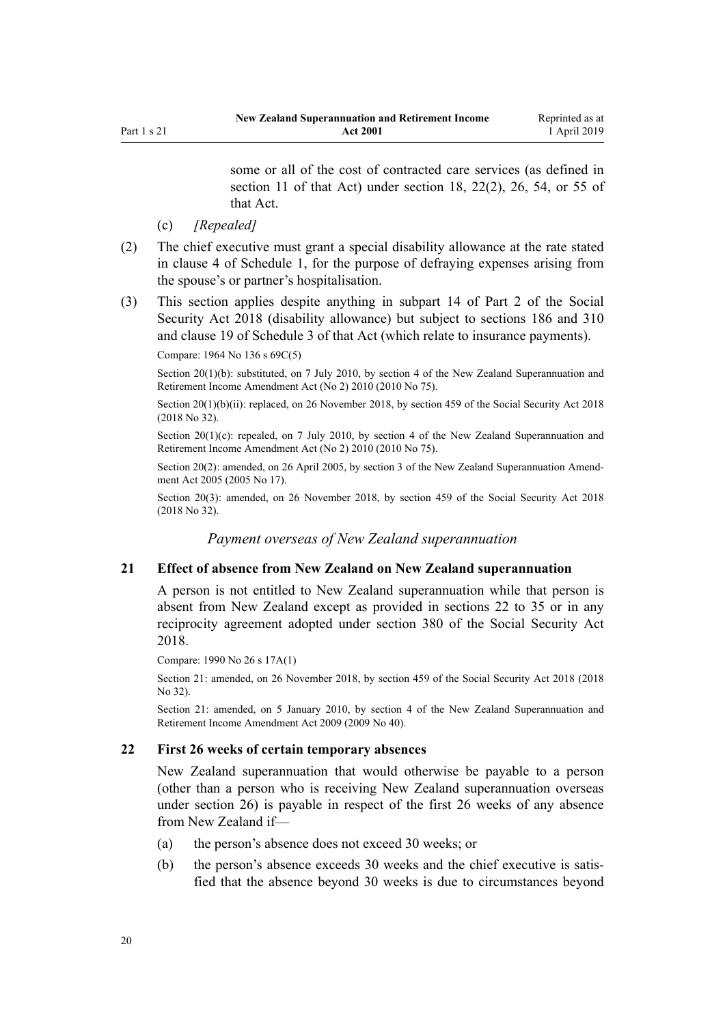some or all of the cost of contracted care services (as defined in [section 11](http://legislation.govt.nz/pdflink.aspx?id=LMS41551) of that Act) under [section 18](http://legislation.govt.nz/pdflink.aspx?id=LMS41564), [22\(2\)](http://legislation.govt.nz/pdflink.aspx?id=LMS41574), [26](http://legislation.govt.nz/pdflink.aspx?id=LMS41582), [54,](http://legislation.govt.nz/pdflink.aspx?id=LMS41641) or [55](http://legislation.govt.nz/pdflink.aspx?id=LMS41642) of that Act.

- (c) *[Repealed]*
- <span id="page-19-0"></span>(2) The chief executive must grant a special disability allowance at the rate stated in clause 4 of [Schedule 1,](#page-51-0) for the purpose of defraying expenses arising from the spouse's or partner's hospitalisation.
- (3) This section applies despite anything in [subpart 14](http://legislation.govt.nz/pdflink.aspx?id=DLM6783277) of Part 2 of the Social Security Act 2018 (disability allowance) but subject to [sections 186](http://legislation.govt.nz/pdflink.aspx?id=DLM6783493) and [310](http://legislation.govt.nz/pdflink.aspx?id=DLM6783779) and [clause 19](http://legislation.govt.nz/pdflink.aspx?id=DLM6784845) of Schedule 3 of that Act (which relate to insurance payments).

Compare: 1964 No 136 [s 69C\(5\)](http://legislation.govt.nz/pdflink.aspx?id=DLM363196)

Section 20(1)(b): substituted, on 7 July 2010, by [section 4](http://legislation.govt.nz/pdflink.aspx?id=DLM3043205) of the New Zealand Superannuation and Retirement Income Amendment Act (No 2) 2010 (2010 No 75).

Section 20(1)(b)(ii): replaced, on 26 November 2018, by [section 459](http://legislation.govt.nz/pdflink.aspx?id=DLM6784038) of the Social Security Act 2018 (2018 No 32).

Section 20(1)(c): repealed, on 7 July 2010, by [section 4](http://legislation.govt.nz/pdflink.aspx?id=DLM3043205) of the New Zealand Superannuation and Retirement Income Amendment Act (No 2) 2010 (2010 No 75).

Section 20(2): amended, on 26 April 2005, by [section 3](http://legislation.govt.nz/pdflink.aspx?id=DLM336342) of the New Zealand Superannuation Amendment Act 2005 (2005 No 17).

Section 20(3): amended, on 26 November 2018, by [section 459](http://legislation.govt.nz/pdflink.aspx?id=DLM6784038) of the Social Security Act 2018 (2018 No 32).

*Payment overseas of New Zealand superannuation*

## **21 Effect of absence from New Zealand on New Zealand superannuation**

A person is not entitled to New Zealand superannuation while that person is absent from New Zealand except as provided in sections 22 to 35 or in any reciprocity agreement adopted under [section 380](http://legislation.govt.nz/pdflink.aspx?id=DLM6783894) of the Social Security Act 2018.

Compare: 1990 No 26 [s 17A\(1\)](http://legislation.govt.nz/pdflink.aspx?id=DLM204190)

Section 21: amended, on 26 November 2018, by [section 459](http://legislation.govt.nz/pdflink.aspx?id=DLM6784038) of the Social Security Act 2018 (2018 No 32).

Section 21: amended, on 5 January 2010, by [section 4](http://legislation.govt.nz/pdflink.aspx?id=DLM1609411) of the New Zealand Superannuation and Retirement Income Amendment Act 2009 (2009 No 40).

## **22 First 26 weeks of certain temporary absences**

New Zealand superannuation that would otherwise be payable to a person (other than a person who is receiving New Zealand superannuation overseas under [section 26](#page-21-0)) is payable in respect of the first 26 weeks of any absence from New Zealand if—

- (a) the person's absence does not exceed 30 weeks; or
- (b) the person's absence exceeds 30 weeks and the chief executive is satisfied that the absence beyond 30 weeks is due to circumstances beyond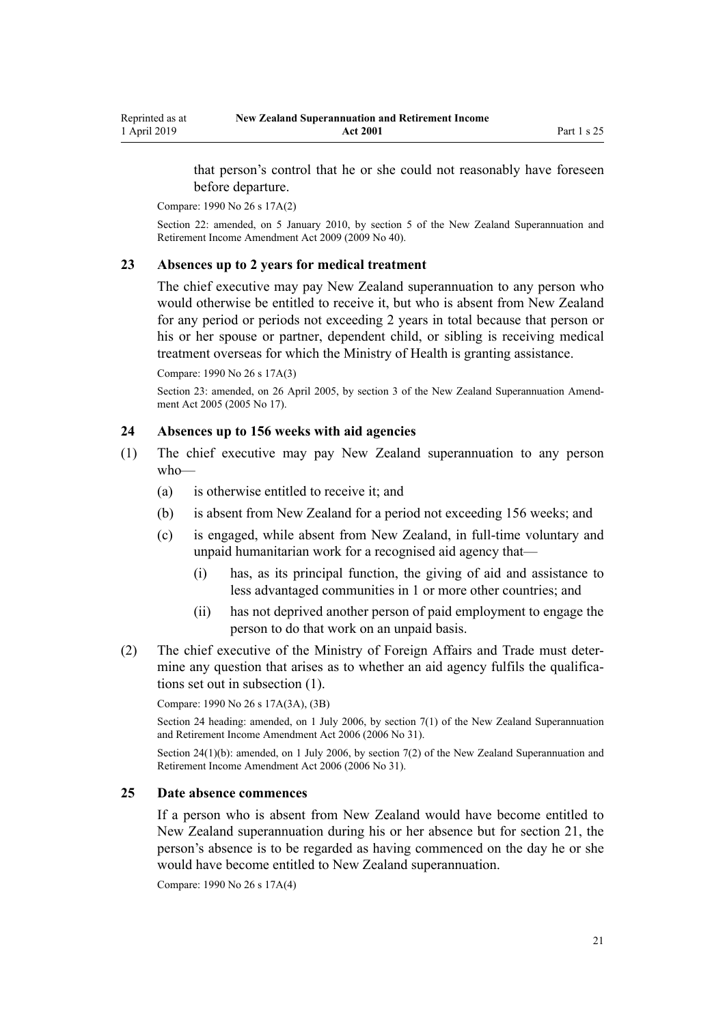<span id="page-20-0"></span>that person's control that he or she could not reasonably have foreseen before departure.

Compare: 1990 No 26 [s 17A\(2\)](http://legislation.govt.nz/pdflink.aspx?id=DLM204190)

Section 22: amended, on 5 January 2010, by [section 5](http://legislation.govt.nz/pdflink.aspx?id=DLM1609412) of the New Zealand Superannuation and Retirement Income Amendment Act 2009 (2009 No 40).

## **23 Absences up to 2 years for medical treatment**

The chief executive may pay New Zealand superannuation to any person who would otherwise be entitled to receive it, but who is absent from New Zealand for any period or periods not exceeding 2 years in total because that person or his or her spouse or partner, dependent child, or sibling is receiving medical treatment overseas for which the Ministry of Health is granting assistance.

Compare: 1990 No 26 [s 17A\(3\)](http://legislation.govt.nz/pdflink.aspx?id=DLM204190)

Section 23: amended, on 26 April 2005, by [section 3](http://legislation.govt.nz/pdflink.aspx?id=DLM336342) of the New Zealand Superannuation Amendment Act 2005 (2005 No 17).

## **24 Absences up to 156 weeks with aid agencies**

- (1) The chief executive may pay New Zealand superannuation to any person who—
	- (a) is otherwise entitled to receive it; and
	- (b) is absent from New Zealand for a period not exceeding 156 weeks; and
	- (c) is engaged, while absent from New Zealand, in full-time voluntary and unpaid humanitarian work for a recognised aid agency that—
		- (i) has, as its principal function, the giving of aid and assistance to less advantaged communities in 1 or more other countries; and
		- (ii) has not deprived another person of paid employment to engage the person to do that work on an unpaid basis.
- (2) The chief executive of the Ministry of Foreign Affairs and Trade must determine any question that arises as to whether an aid agency fulfils the qualifications set out in subsection (1).

Compare: 1990 No 26 [s 17A\(3A\), \(3B\)](http://legislation.govt.nz/pdflink.aspx?id=DLM204190)

Section 24 heading: amended, on 1 July 2006, by [section 7\(1\)](http://legislation.govt.nz/pdflink.aspx?id=DLM374603) of the New Zealand Superannuation and Retirement Income Amendment Act 2006 (2006 No 31).

Section 24(1)(b): amended, on 1 July 2006, by [section 7\(2\)](http://legislation.govt.nz/pdflink.aspx?id=DLM374603) of the New Zealand Superannuation and Retirement Income Amendment Act 2006 (2006 No 31).

## **25 Date absence commences**

If a person who is absent from New Zealand would have become entitled to New Zealand superannuation during his or her absence but for [section 21](#page-19-0), the person's absence is to be regarded as having commenced on the day he or she would have become entitled to New Zealand superannuation.

Compare: 1990 No 26 [s 17A\(4\)](http://legislation.govt.nz/pdflink.aspx?id=DLM204190)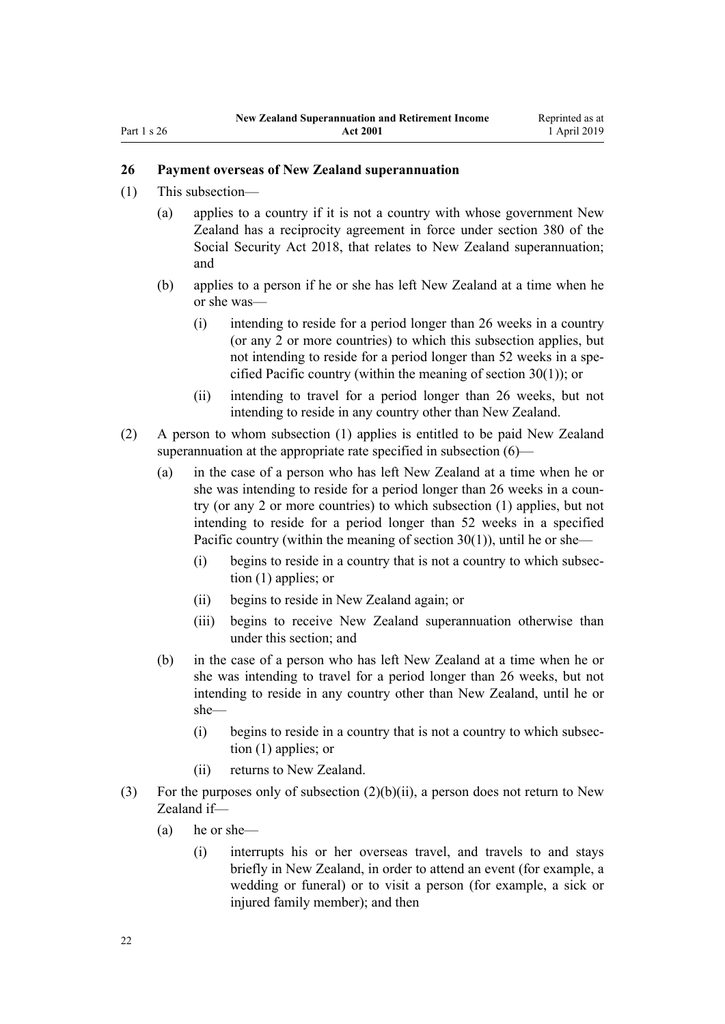## <span id="page-21-0"></span>**26 Payment overseas of New Zealand superannuation**

- (1) This subsection—
	- (a) applies to a country if it is not a country with whose government New Zealand has a reciprocity agreement in force under [section 380](http://legislation.govt.nz/pdflink.aspx?id=DLM6783894) of the Social Security Act 2018, that relates to New Zealand superannuation; and
	- (b) applies to a person if he or she has left New Zealand at a time when he or she was—
		- (i) intending to reside for a period longer than 26 weeks in a country (or any 2 or more countries) to which this subsection applies, but not intending to reside for a period longer than 52 weeks in a specified Pacific country (within the meaning of [section 30\(1\)](#page-25-0)); or
		- (ii) intending to travel for a period longer than 26 weeks, but not intending to reside in any country other than New Zealand.
- (2) A person to whom subsection (1) applies is entitled to be paid New Zealand superannuation at the appropriate rate specified in subsection  $(6)$ —
	- (a) in the case of a person who has left New Zealand at a time when he or she was intending to reside for a period longer than 26 weeks in a country (or any 2 or more countries) to which subsection (1) applies, but not intending to reside for a period longer than 52 weeks in a specified Pacific country (within the meaning of [section 30\(1\)](#page-25-0)), until he or she—
		- (i) begins to reside in a country that is not a country to which subsection (1) applies; or
		- (ii) begins to reside in New Zealand again; or
		- (iii) begins to receive New Zealand superannuation otherwise than under this section; and
	- (b) in the case of a person who has left New Zealand at a time when he or she was intending to travel for a period longer than 26 weeks, but not intending to reside in any country other than New Zealand, until he or she—
		- (i) begins to reside in a country that is not a country to which subsection (1) applies; or
		- (ii) returns to New Zealand.
- (3) For the purposes only of subsection  $(2)(b)(ii)$ , a person does not return to New Zealand if—
	- (a) he or she—
		- (i) interrupts his or her overseas travel, and travels to and stays briefly in New Zealand, in order to attend an event (for example, a wedding or funeral) or to visit a person (for example, a sick or injured family member); and then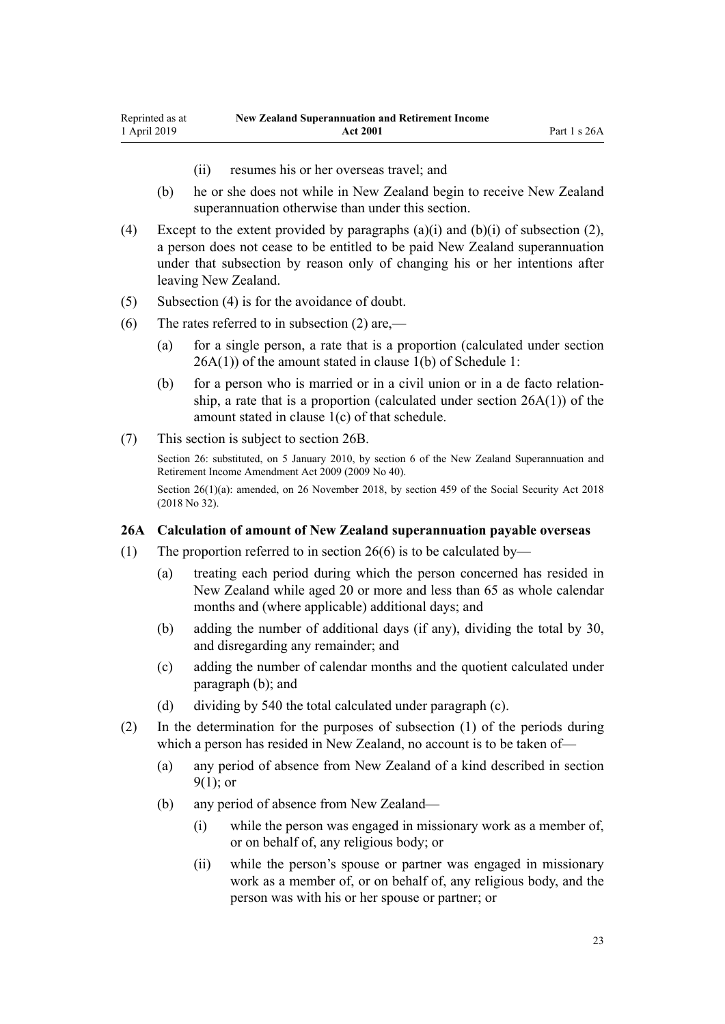- (ii) resumes his or her overseas travel; and
- <span id="page-22-0"></span>(b) he or she does not while in New Zealand begin to receive New Zealand superannuation otherwise than under this section.
- (4) Except to the extent provided by paragraphs  $(a)(i)$  and  $(b)(i)$  of subsection  $(2)$ , a person does not cease to be entitled to be paid New Zealand superannuation under that subsection by reason only of changing his or her intentions after leaving New Zealand.
- (5) Subsection (4) is for the avoidance of doubt.
- (6) The rates referred to in subsection (2) are,—
	- (a) for a single person, a rate that is a proportion (calculated under section 26A(1)) of the amount stated in clause 1(b) of [Schedule 1](#page-51-0):
	- (b) for a person who is married or in a civil union or in a de facto relationship, a rate that is a proportion (calculated under section  $26A(1)$ ) of the amount stated in clause 1(c) of that schedule.
- (7) This section is subject to [section 26B](#page-23-0).

Section 26: substituted, on 5 January 2010, by [section 6](http://legislation.govt.nz/pdflink.aspx?id=DLM1609413) of the New Zealand Superannuation and Retirement Income Amendment Act 2009 (2009 No 40).

Section 26(1)(a): amended, on 26 November 2018, by [section 459](http://legislation.govt.nz/pdflink.aspx?id=DLM6784038) of the Social Security Act 2018 (2018 No 32).

## **26A Calculation of amount of New Zealand superannuation payable overseas**

- (1) The proportion referred to in [section 26\(6\)](#page-21-0) is to be calculated by—
	- (a) treating each period during which the person concerned has resided in New Zealand while aged 20 or more and less than 65 as whole calendar months and (where applicable) additional days; and
	- (b) adding the number of additional days (if any), dividing the total by 30, and disregarding any remainder; and
	- (c) adding the number of calendar months and the quotient calculated under paragraph (b); and
	- (d) dividing by 540 the total calculated under paragraph (c).
- (2) In the determination for the purposes of subsection (1) of the periods during which a person has resided in New Zealand, no account is to be taken of—
	- (a) any period of absence from New Zealand of a kind described in [section](#page-10-0) [9\(1\)](#page-10-0); or
	- (b) any period of absence from New Zealand—
		- (i) while the person was engaged in missionary work as a member of, or on behalf of, any religious body; or
		- (ii) while the person's spouse or partner was engaged in missionary work as a member of, or on behalf of, any religious body, and the person was with his or her spouse or partner; or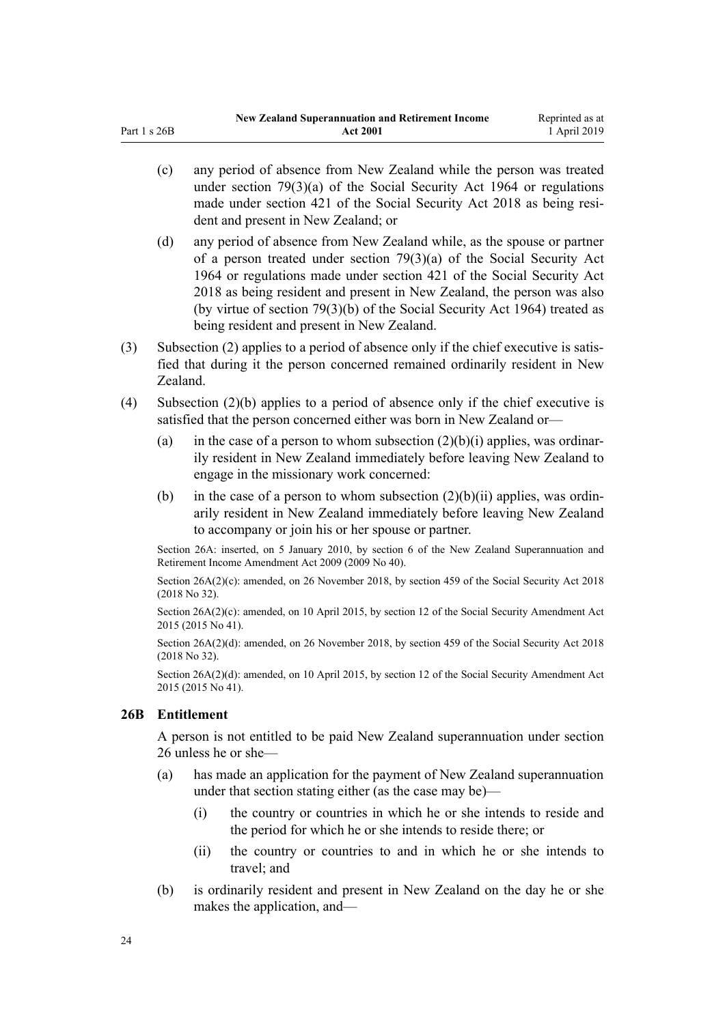- (c) any period of absence from New Zealand while the person was treated under section  $79(3)(a)$  of the Social Security Act 1964 or regulations made under [section 421](http://legislation.govt.nz/pdflink.aspx?id=DLM6783991) of the Social Security Act 2018 as being resident and present in New Zealand; or
- (d) any period of absence from New Zealand while, as the spouse or partner of a person treated under [section 79\(3\)\(a\)](http://legislation.govt.nz/pdflink.aspx?id=DLM364305) of the Social Security Act 1964 or regulations made under [section 421](http://legislation.govt.nz/pdflink.aspx?id=DLM6783991) of the Social Security Act 2018 as being resident and present in New Zealand, the person was also (by virtue of section 79(3)(b) of the Social Security Act 1964) treated as being resident and present in New Zealand.
- (3) Subsection (2) applies to a period of absence only if the chief executive is satisfied that during it the person concerned remained ordinarily resident in New Zealand.
- (4) Subsection (2)(b) applies to a period of absence only if the chief executive is satisfied that the person concerned either was born in New Zealand or—
	- (a) in the case of a person to whom subsection  $(2)(b)(i)$  applies, was ordinarily resident in New Zealand immediately before leaving New Zealand to engage in the missionary work concerned:
	- (b) in the case of a person to whom subsection  $(2)(b)(ii)$  applies, was ordinarily resident in New Zealand immediately before leaving New Zealand to accompany or join his or her spouse or partner.

Section 26A: inserted, on 5 January 2010, by [section 6](http://legislation.govt.nz/pdflink.aspx?id=DLM1609413) of the New Zealand Superannuation and Retirement Income Amendment Act 2009 (2009 No 40).

Section 26A(2)(c): amended, on 26 November 2018, by [section 459](http://legislation.govt.nz/pdflink.aspx?id=DLM6784038) of the Social Security Act 2018 (2018 No 32).

Section 26A(2)(c): amended, on 10 April 2015, by [section 12](http://legislation.govt.nz/pdflink.aspx?id=DLM6419004) of the Social Security Amendment Act 2015 (2015 No 41).

Section 26A(2)(d): amended, on 26 November 2018, by [section 459](http://legislation.govt.nz/pdflink.aspx?id=DLM6784038) of the Social Security Act 2018 (2018 No 32).

Section 26A(2)(d): amended, on 10 April 2015, by [section 12](http://legislation.govt.nz/pdflink.aspx?id=DLM6419004) of the Social Security Amendment Act 2015 (2015 No 41).

## **26B Entitlement**

<span id="page-23-0"></span>Part 1 s 26B

A person is not entitled to be paid New Zealand superannuation under section 26 unless he or she—

- (a) has made an application for the payment of New Zealand superannuation under that section stating either (as the case may be)—
	- (i) the country or countries in which he or she intends to reside and the period for which he or she intends to reside there; or
	- (ii) the country or countries to and in which he or she intends to travel; and
- (b) is ordinarily resident and present in New Zealand on the day he or she makes the application, and—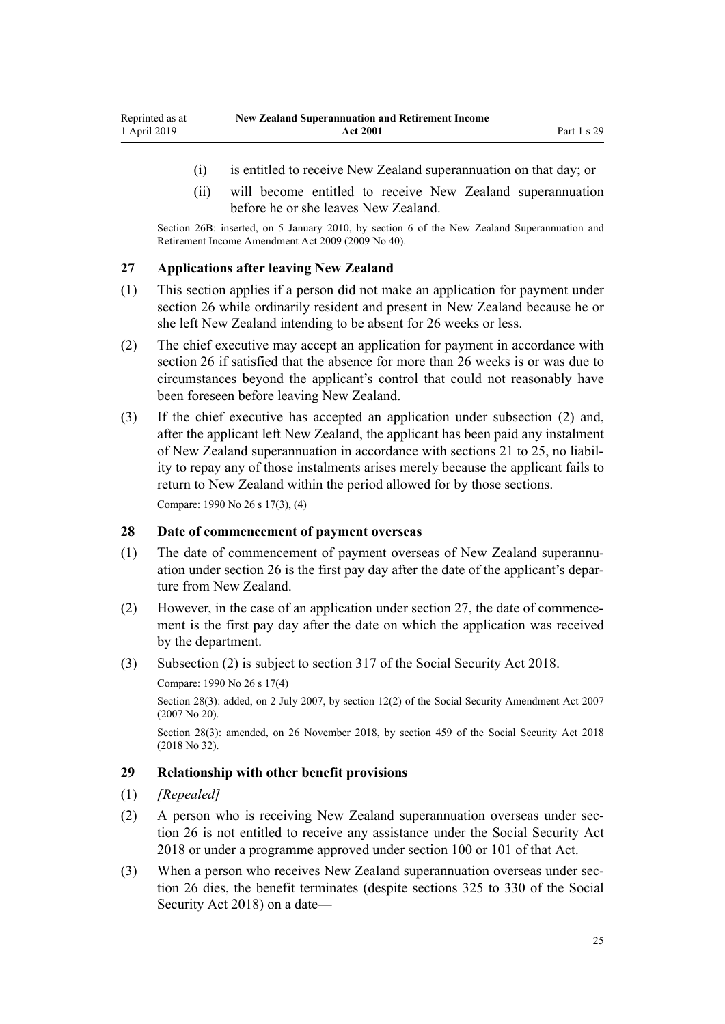- <span id="page-24-0"></span>(i) is entitled to receive New Zealand superannuation on that day; or
- (ii) will become entitled to receive New Zealand superannuation before he or she leaves New Zealand.

Section 26B: inserted, on 5 January 2010, by [section 6](http://legislation.govt.nz/pdflink.aspx?id=DLM1609413) of the New Zealand Superannuation and Retirement Income Amendment Act 2009 (2009 No 40).

## **27 Applications after leaving New Zealand**

- (1) This section applies if a person did not make an application for payment under [section 26](#page-21-0) while ordinarily resident and present in New Zealand because he or she left New Zealand intending to be absent for 26 weeks or less.
- (2) The chief executive may accept an application for payment in accordance with [section 26](#page-21-0) if satisfied that the absence for more than 26 weeks is or was due to circumstances beyond the applicant's control that could not reasonably have been foreseen before leaving New Zealand.
- (3) If the chief executive has accepted an application under subsection (2) and, after the applicant left New Zealand, the applicant has been paid any instalment of New Zealand superannuation in accordance with [sections 21 to 25](#page-19-0), no liability to repay any of those instalments arises merely because the applicant fails to return to New Zealand within the period allowed for by those sections. Compare: 1990 No 26 [s 17\(3\), \(4\)](http://legislation.govt.nz/pdflink.aspx?id=DLM204182)

## **28 Date of commencement of payment overseas**

- (1) The date of commencement of payment overseas of New Zealand superannuation under [section 26](#page-21-0) is the first pay day after the date of the applicant's departure from New Zealand.
- (2) However, in the case of an application under section 27, the date of commencement is the first pay day after the date on which the application was received by the department.
- (3) Subsection (2) is subject to [section 317](http://legislation.govt.nz/pdflink.aspx?id=DLM6783789) of the Social Security Act 2018.

Compare: 1990 No 26 [s 17\(4\)](http://legislation.govt.nz/pdflink.aspx?id=DLM204182)

Section 28(3): added, on 2 July 2007, by [section 12\(2\)](http://legislation.govt.nz/pdflink.aspx?id=DLM408566) of the Social Security Amendment Act 2007 (2007 No 20).

Section 28(3): amended, on 26 November 2018, by [section 459](http://legislation.govt.nz/pdflink.aspx?id=DLM6784038) of the Social Security Act 2018 (2018 No 32).

# **29 Relationship with other benefit provisions**

## (1) *[Repealed]*

- (2) A person who is receiving New Zealand superannuation overseas under section 26 is not entitled to receive any assistance under the [Social Security Act](http://legislation.govt.nz/pdflink.aspx?id=DLM6783102) [2018](http://legislation.govt.nz/pdflink.aspx?id=DLM6783102) or under a programme approved under [section 100](http://legislation.govt.nz/pdflink.aspx?id=DLM6783310) or [101](http://legislation.govt.nz/pdflink.aspx?id=DLM6783311) of that Act.
- (3) When a person who receives New Zealand superannuation overseas under section 26 dies, the benefit terminates (despite [sections 325 to 330](http://legislation.govt.nz/pdflink.aspx?id=DLM6783802) of the Social Security Act 2018) on a date—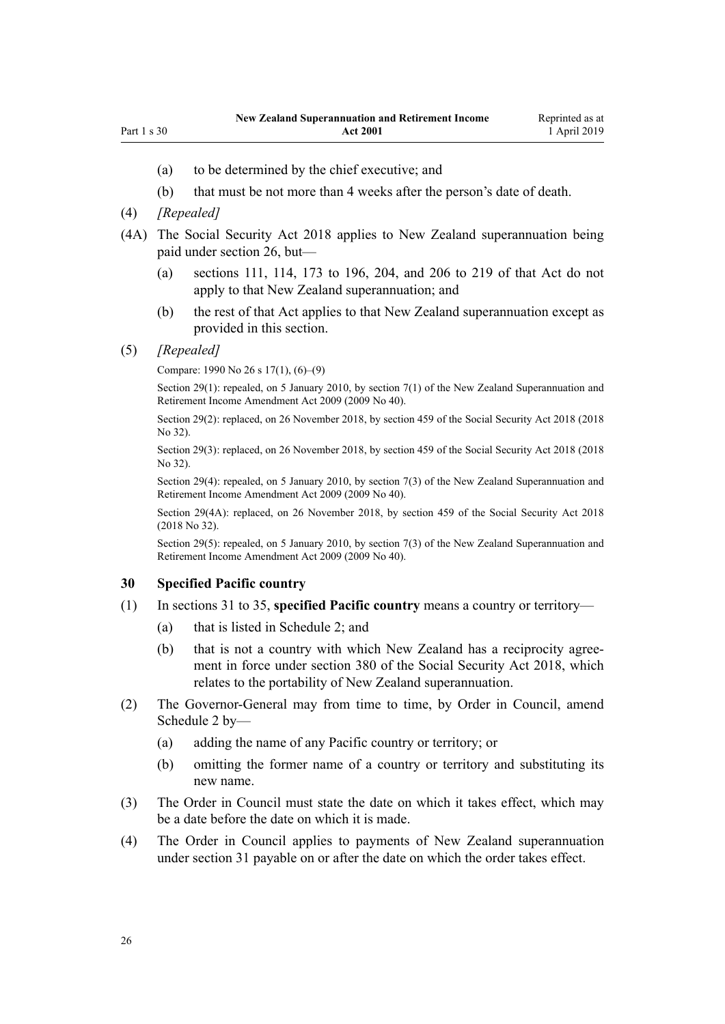- <span id="page-25-0"></span>(a) to be determined by the chief executive; and
- (b) that must be not more than 4 weeks after the person's date of death.
- (4) *[Repealed]*
- (4A) The [Social Security Act 2018](http://legislation.govt.nz/pdflink.aspx?id=DLM6783102) applies to New Zealand superannuation being paid under [section 26,](#page-21-0) but—
	- (a) [sections 111,](http://legislation.govt.nz/pdflink.aspx?id=DLM6783333) [114,](http://legislation.govt.nz/pdflink.aspx?id=DLM6783343) [173 to 196](http://legislation.govt.nz/pdflink.aspx?id=DLM6783464), [204,](http://legislation.govt.nz/pdflink.aspx?id=DLM6783540) and [206 to 219](http://legislation.govt.nz/pdflink.aspx?id=DLM6783545) of that Act do not apply to that New Zealand superannuation; and
	- (b) the rest of that Act applies to that New Zealand superannuation except as provided in this section.

#### (5) *[Repealed]*

Compare: 1990 No 26 [s 17\(1\), \(6\)–\(9\)](http://legislation.govt.nz/pdflink.aspx?id=DLM204182)

Section 29(1): repealed, on 5 January 2010, by [section 7\(1\)](http://legislation.govt.nz/pdflink.aspx?id=DLM1609416) of the New Zealand Superannuation and Retirement Income Amendment Act 2009 (2009 No 40).

Section 29(2): replaced, on 26 November 2018, by [section 459](http://legislation.govt.nz/pdflink.aspx?id=DLM6784038) of the Social Security Act 2018 (2018 No 32).

Section 29(3): replaced, on 26 November 2018, by [section 459](http://legislation.govt.nz/pdflink.aspx?id=DLM6784038) of the Social Security Act 2018 (2018 No 32).

Section 29(4): repealed, on 5 January 2010, by [section 7\(3\)](http://legislation.govt.nz/pdflink.aspx?id=DLM1609416) of the New Zealand Superannuation and Retirement Income Amendment Act 2009 (2009 No 40).

Section 29(4A): replaced, on 26 November 2018, by [section 459](http://legislation.govt.nz/pdflink.aspx?id=DLM6784038) of the Social Security Act 2018 (2018 No 32).

Section 29(5): repealed, on 5 January 2010, by [section 7\(3\)](http://legislation.govt.nz/pdflink.aspx?id=DLM1609416) of the New Zealand Superannuation and Retirement Income Amendment Act 2009 (2009 No 40).

#### **30 Specified Pacific country**

- (1) In [sections 31 to 35](#page-26-0), **specified Pacific country** means a country or territory—
	- (a) that is listed in [Schedule 2](#page-53-0); and
	- (b) that is not a country with which New Zealand has a reciprocity agreement in force under [section 380](http://legislation.govt.nz/pdflink.aspx?id=DLM6783894) of the Social Security Act 2018, which relates to the portability of New Zealand superannuation.
- (2) The Governor-General may from time to time, by Order in Council, amend [Schedule 2](#page-53-0) by—
	- (a) adding the name of any Pacific country or territory; or
	- (b) omitting the former name of a country or territory and substituting its new name.
- (3) The Order in Council must state the date on which it takes effect, which may be a date before the date on which it is made.
- (4) The Order in Council applies to payments of New Zealand superannuation under [section 31](#page-26-0) payable on or after the date on which the order takes effect.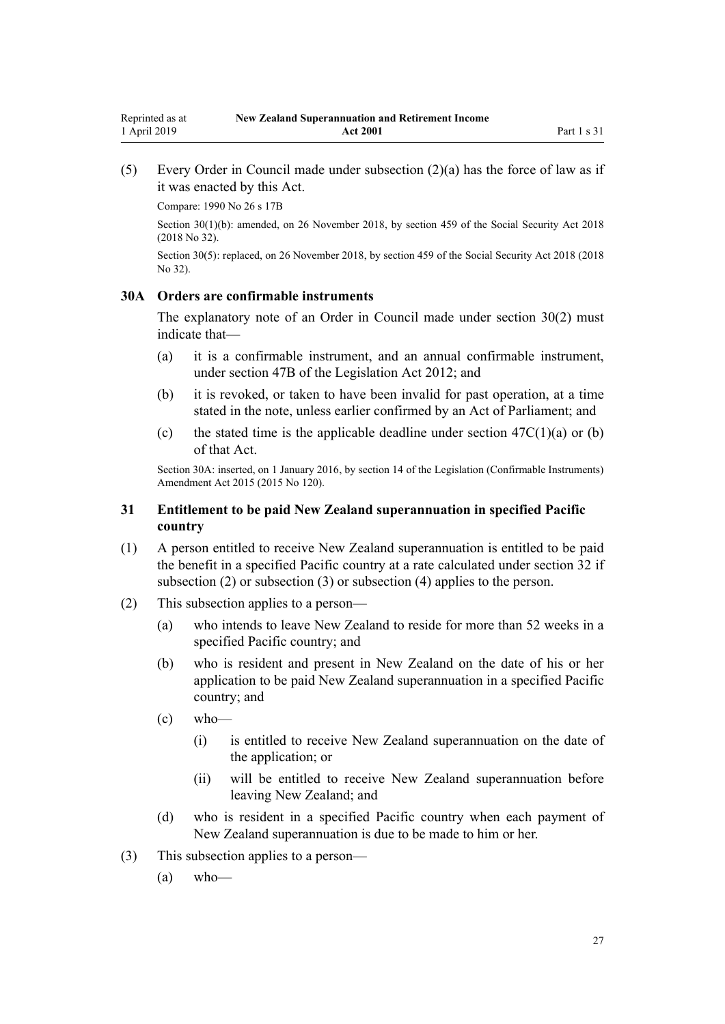<span id="page-26-0"></span>(5) Every Order in Council made under subsection (2)(a) has the force of law as if it was enacted by this Act.

Compare: 1990 No 26 [s 17B](http://legislation.govt.nz/pdflink.aspx?id=DLM204199)

Section 30(1)(b): amended, on 26 November 2018, by [section 459](http://legislation.govt.nz/pdflink.aspx?id=DLM6784038) of the Social Security Act 2018 (2018 No 32).

Section 30(5): replaced, on 26 November 2018, by [section 459](http://legislation.govt.nz/pdflink.aspx?id=DLM6784038) of the Social Security Act 2018 (2018) No 32).

## **30A Orders are confirmable instruments**

The explanatory note of an Order in Council made under [section 30\(2\)](#page-25-0) must indicate that—

- (a) it is a confirmable instrument, and an annual confirmable instrument, under [section 47B](http://legislation.govt.nz/pdflink.aspx?id=DLM6705124) of the Legislation Act 2012; and
- (b) it is revoked, or taken to have been invalid for past operation, at a time stated in the note, unless earlier confirmed by an Act of Parliament; and
- (c) the stated time is the applicable deadline under section  $47C(1)(a)$  or (b) of that Act.

Section 30A: inserted, on 1 January 2016, by [section 14](http://legislation.govt.nz/pdflink.aspx?id=DLM6681248) of the Legislation (Confirmable Instruments) Amendment Act 2015 (2015 No 120).

## **31 Entitlement to be paid New Zealand superannuation in specified Pacific country**

- (1) A person entitled to receive New Zealand superannuation is entitled to be paid the benefit in a specified Pacific country at a rate calculated under [section 32](#page-28-0) if subsection (2) or subsection (3) or subsection (4) applies to the person.
- (2) This subsection applies to a person—
	- (a) who intends to leave New Zealand to reside for more than 52 weeks in a specified Pacific country; and
	- (b) who is resident and present in New Zealand on the date of his or her application to be paid New Zealand superannuation in a specified Pacific country; and
	- $\left( c \right)$  who—
		- (i) is entitled to receive New Zealand superannuation on the date of the application; or
		- (ii) will be entitled to receive New Zealand superannuation before leaving New Zealand; and
	- (d) who is resident in a specified Pacific country when each payment of New Zealand superannuation is due to be made to him or her.
- (3) This subsection applies to a person—
	- (a) who—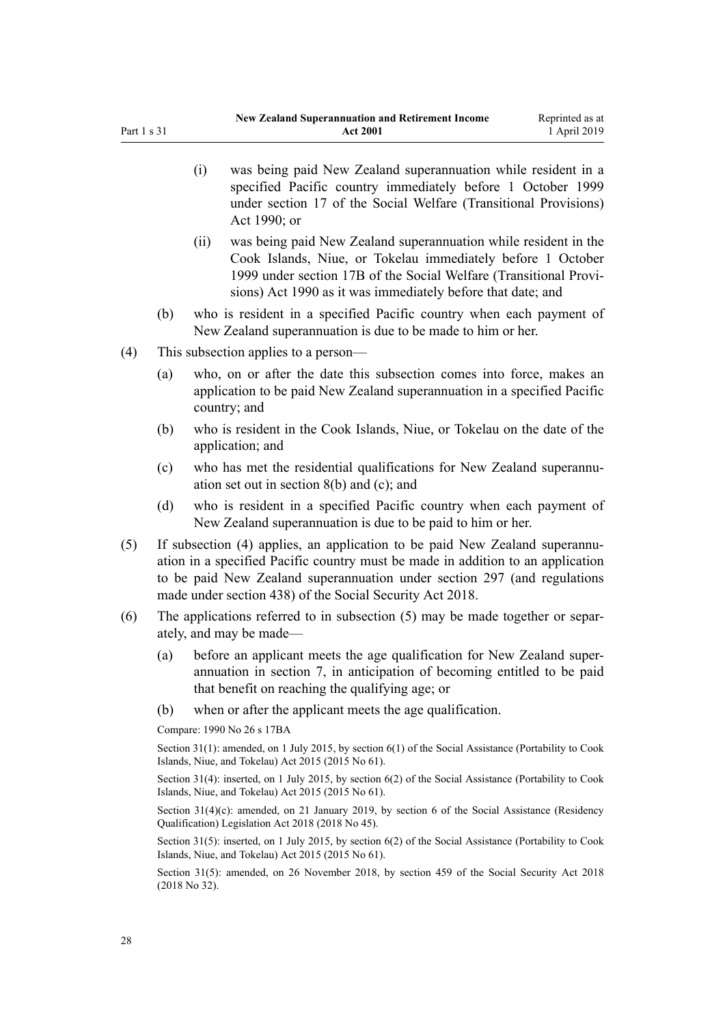- (i) was being paid New Zealand superannuation while resident in a specified Pacific country immediately before 1 October 1999 under [section 17](http://legislation.govt.nz/pdflink.aspx?id=DLM204182) of the Social Welfare (Transitional Provisions) Act 1990; or
	- (ii) was being paid New Zealand superannuation while resident in the Cook Islands, Niue, or Tokelau immediately before 1 October 1999 under [section 17B](http://legislation.govt.nz/pdflink.aspx?id=DLM204199) of the Social Welfare (Transitional Provisions) Act 1990 as it was immediately before that date; and
- (b) who is resident in a specified Pacific country when each payment of New Zealand superannuation is due to be made to him or her.
- (4) This subsection applies to a person—
	- (a) who, on or after the date this subsection comes into force, makes an application to be paid New Zealand superannuation in a specified Pacific country; and
	- (b) who is resident in the Cook Islands, Niue, or Tokelau on the date of the application; and
	- (c) who has met the residential qualifications for New Zealand superannuation set out in [section 8\(b\) and \(c\);](#page-9-0) and
	- (d) who is resident in a specified Pacific country when each payment of New Zealand superannuation is due to be paid to him or her.
- (5) If subsection (4) applies, an application to be paid New Zealand superannuation in a specified Pacific country must be made in addition to an application to be paid New Zealand superannuation under [section 297](http://legislation.govt.nz/pdflink.aspx?id=DLM6783764) (and regulations made under [section 438\)](http://legislation.govt.nz/pdflink.aspx?id=DLM6784010) of the Social Security Act 2018.
- (6) The applications referred to in subsection (5) may be made together or separately, and may be made—
	- (a) before an applicant meets the age qualification for New Zealand superannuation in [section 7](#page-9-0), in anticipation of becoming entitled to be paid that benefit on reaching the qualifying age; or
	- (b) when or after the applicant meets the age qualification.

Compare: 1990 No 26 [s 17BA](http://legislation.govt.nz/pdflink.aspx?id=DLM204407)

Section 31(1): amended, on 1 July 2015, by [section 6\(1\)](http://legislation.govt.nz/pdflink.aspx?id=DLM6222920) of the Social Assistance (Portability to Cook Islands, Niue, and Tokelau) Act 2015 (2015 No 61).

Section 31(4): inserted, on 1 July 2015, by [section 6\(2\)](http://legislation.govt.nz/pdflink.aspx?id=DLM6222920) of the Social Assistance (Portability to Cook Islands, Niue, and Tokelau) Act 2015 (2015 No 61).

Section 31(4)(c): amended, on 21 January 2019, by [section 6](http://legislation.govt.nz/pdflink.aspx?id=LMS26070) of the Social Assistance (Residency Qualification) Legislation Act 2018 (2018 No 45).

Section 31(5): inserted, on 1 July 2015, by [section 6\(2\)](http://legislation.govt.nz/pdflink.aspx?id=DLM6222920) of the Social Assistance (Portability to Cook Islands, Niue, and Tokelau) Act 2015 (2015 No 61).

Section 31(5): amended, on 26 November 2018, by [section 459](http://legislation.govt.nz/pdflink.aspx?id=DLM6784038) of the Social Security Act 2018 (2018 No 32).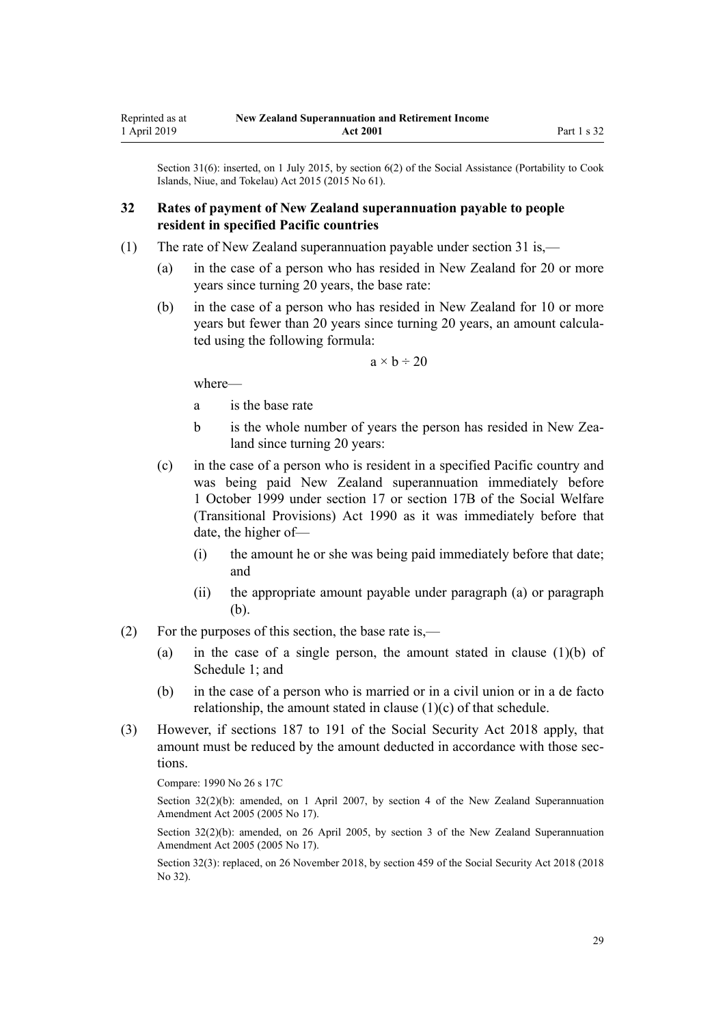<span id="page-28-0"></span>Section 31(6): inserted, on 1 July 2015, by [section 6\(2\)](http://legislation.govt.nz/pdflink.aspx?id=DLM6222920) of the Social Assistance (Portability to Cook Islands, Niue, and Tokelau) Act 2015 (2015 No 61).

## **32 Rates of payment of New Zealand superannuation payable to people resident in specified Pacific countries**

- (1) The rate of New Zealand superannuation payable under [section 31](#page-26-0) is,—
	- (a) in the case of a person who has resided in New Zealand for 20 or more years since turning 20 years, the base rate:
	- (b) in the case of a person who has resided in New Zealand for 10 or more years but fewer than 20 years since turning 20 years, an amount calculated using the following formula:

 $a \times b \div 20$ 

where—

- a is the base rate
- b is the whole number of years the person has resided in New Zealand since turning 20 years:
- (c) in the case of a person who is resident in a specified Pacific country and was being paid New Zealand superannuation immediately before 1 October 1999 under [section 17](http://legislation.govt.nz/pdflink.aspx?id=DLM204182) or [section 17B](http://legislation.govt.nz/pdflink.aspx?id=DLM204199) of the Social Welfare (Transitional Provisions) Act 1990 as it was immediately before that date, the higher of—
	- (i) the amount he or she was being paid immediately before that date; and
	- (ii) the appropriate amount payable under paragraph (a) or paragraph (b).
- (2) For the purposes of this section, the base rate is,—
	- (a) in the case of a single person, the amount stated in clause  $(1)(b)$  of [Schedule 1;](#page-51-0) and
	- (b) in the case of a person who is married or in a civil union or in a de facto relationship, the amount stated in clause (1)(c) of that schedule.
- (3) However, if [sections 187 to 191](http://legislation.govt.nz/pdflink.aspx?id=DLM6783495) of the Social Security Act 2018 apply, that amount must be reduced by the amount deducted in accordance with those sections.

Compare: 1990 No 26 [s 17C](http://legislation.govt.nz/pdflink.aspx?id=DLM204411)

Section 32(2)(b): amended, on 1 April 2007, by [section 4](http://legislation.govt.nz/pdflink.aspx?id=DLM336343) of the New Zealand Superannuation Amendment Act 2005 (2005 No 17).

Section 32(2)(b): amended, on 26 April 2005, by [section 3](http://legislation.govt.nz/pdflink.aspx?id=DLM336342) of the New Zealand Superannuation Amendment Act 2005 (2005 No 17).

Section 32(3): replaced, on 26 November 2018, by [section 459](http://legislation.govt.nz/pdflink.aspx?id=DLM6784038) of the Social Security Act 2018 (2018 No 32).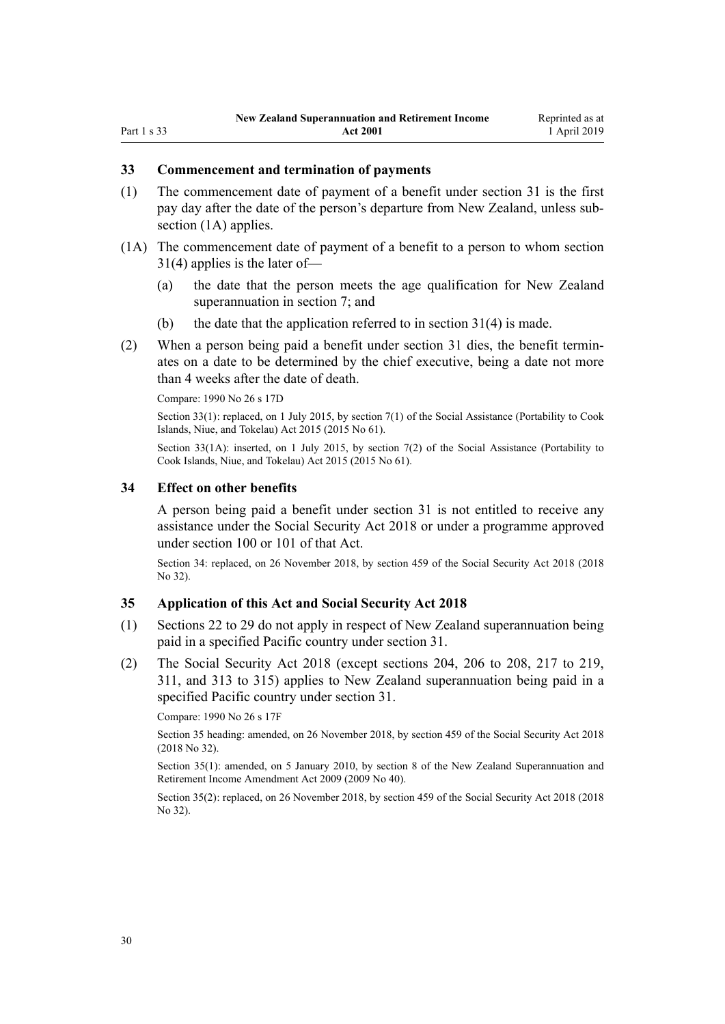#### <span id="page-29-0"></span>**33 Commencement and termination of payments**

- (1) The commencement date of payment of a benefit under [section 31](#page-26-0) is the first pay day after the date of the person's departure from New Zealand, unless subsection (1A) applies.
- (1A) The commencement date of payment of a benefit to a person to whom [section](#page-26-0) [31\(4\)](#page-26-0) applies is the later of—
	- (a) the date that the person meets the age qualification for New Zealand superannuation in [section 7](#page-9-0); and
	- (b) the date that the application referred to in section  $31(4)$  is made.
- (2) When a person being paid a benefit under [section 31](#page-26-0) dies, the benefit terminates on a date to be determined by the chief executive, being a date not more than 4 weeks after the date of death.

Compare: 1990 No 26 [s 17D](http://legislation.govt.nz/pdflink.aspx?id=DLM204417)

Section 33(1): replaced, on 1 July 2015, by [section 7\(1\)](http://legislation.govt.nz/pdflink.aspx?id=DLM6222921) of the Social Assistance (Portability to Cook Islands, Niue, and Tokelau) Act 2015 (2015 No 61).

Section 33(1A): inserted, on 1 July 2015, by [section 7\(2\)](http://legislation.govt.nz/pdflink.aspx?id=DLM6222921) of the Social Assistance (Portability to Cook Islands, Niue, and Tokelau) Act 2015 (2015 No 61).

#### **34 Effect on other benefits**

A person being paid a benefit under [section 31](#page-26-0) is not entitled to receive any assistance under the [Social Security Act 2018](http://legislation.govt.nz/pdflink.aspx?id=DLM6783102) or under a programme approved under [section 100](http://legislation.govt.nz/pdflink.aspx?id=DLM6783310) or [101](http://legislation.govt.nz/pdflink.aspx?id=DLM6783311) of that Act.

Section 34: replaced, on 26 November 2018, by [section 459](http://legislation.govt.nz/pdflink.aspx?id=DLM6784038) of the Social Security Act 2018 (2018 No 32).

#### **35 Application of this Act and Social Security Act 2018**

- (1) [Sections 22 to 29](#page-19-0) do not apply in respect of New Zealand superannuation being paid in a specified Pacific country under [section 31.](#page-26-0)
- (2) The [Social Security Act 2018](http://legislation.govt.nz/pdflink.aspx?id=DLM6783102) (except [sections 204](http://legislation.govt.nz/pdflink.aspx?id=DLM6783540), [206 to 208](http://legislation.govt.nz/pdflink.aspx?id=DLM6783545), [217 to 219](http://legislation.govt.nz/pdflink.aspx?id=DLM6783577), [311](http://legislation.govt.nz/pdflink.aspx?id=DLM6783783), and [313 to 315](http://legislation.govt.nz/pdflink.aspx?id=DLM6783785)) applies to New Zealand superannuation being paid in a specified Pacific country under [section 31](#page-26-0).

Compare: 1990 No 26 [s 17F](http://legislation.govt.nz/pdflink.aspx?id=DLM204423)

Section 35 heading: amended, on 26 November 2018, by [section 459](http://legislation.govt.nz/pdflink.aspx?id=DLM6784038) of the Social Security Act 2018 (2018 No 32).

Section 35(1): amended, on 5 January 2010, by [section 8](http://legislation.govt.nz/pdflink.aspx?id=DLM1609417) of the New Zealand Superannuation and Retirement Income Amendment Act 2009 (2009 No 40).

Section 35(2): replaced, on 26 November 2018, by [section 459](http://legislation.govt.nz/pdflink.aspx?id=DLM6784038) of the Social Security Act 2018 (2018 No 32).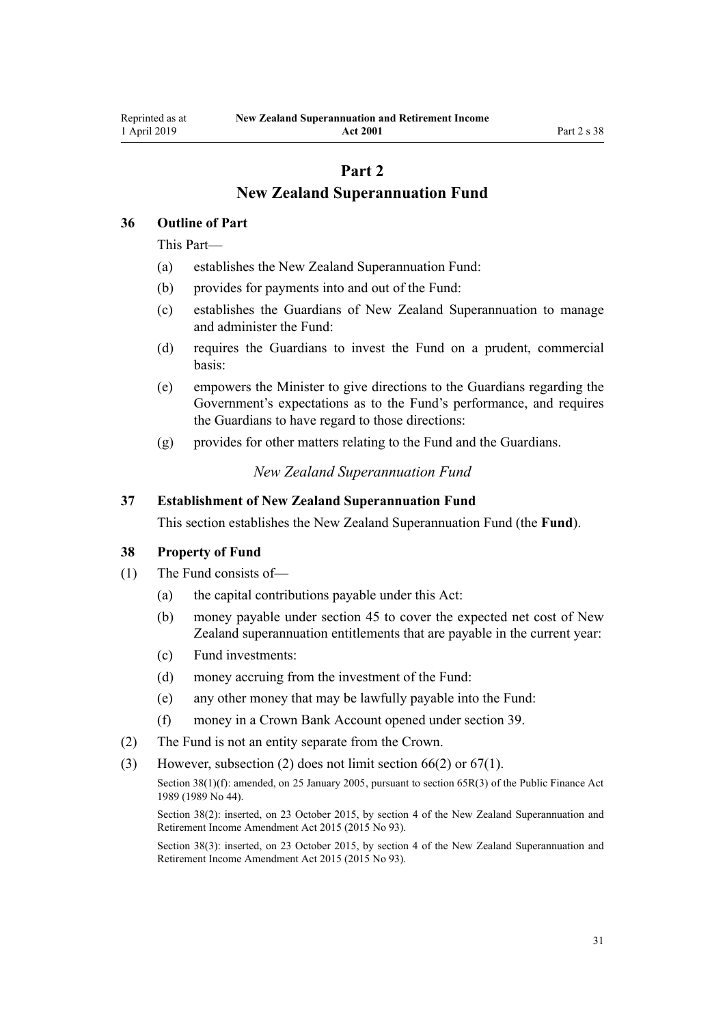# **Part 2**

# **New Zealand Superannuation Fund**

## <span id="page-30-0"></span>**36 Outline of Part**

This Part—

- (a) establishes the New Zealand Superannuation Fund:
- (b) provides for payments into and out of the Fund:
- (c) establishes the Guardians of New Zealand Superannuation to manage and administer the Fund:
- (d) requires the Guardians to invest the Fund on a prudent, commercial basis:
- (e) empowers the Minister to give directions to the Guardians regarding the Government's expectations as to the Fund's performance, and requires the Guardians to have regard to those directions:
- (g) provides for other matters relating to the Fund and the Guardians.

# *New Zealand Superannuation Fund*

#### **37 Establishment of New Zealand Superannuation Fund**

This section establishes the New Zealand Superannuation Fund (the **Fund**).

## **38 Property of Fund**

- (1) The Fund consists of—
	- (a) the capital contributions payable under this Act:
	- (b) money payable under [section 45](#page-33-0) to cover the expected net cost of New Zealand superannuation entitlements that are payable in the current year:
	- (c) Fund investments:
	- (d) money accruing from the investment of the Fund:
	- (e) any other money that may be lawfully payable into the Fund:
	- (f) money in a Crown Bank Account opened under [section 39](#page-31-0).
- (2) The Fund is not an entity separate from the Crown.
- (3) However, subsection (2) does not limit [section 66\(2\)](#page-41-0) or [67\(1\)](#page-41-0).

Section 38(1)(f): amended, on 25 January 2005, pursuant to [section 65R\(3\)](http://legislation.govt.nz/pdflink.aspx?id=DLM162942) of the Public Finance Act 1989 (1989 No 44).

Section 38(2): inserted, on 23 October 2015, by [section 4](http://legislation.govt.nz/pdflink.aspx?id=DLM5708813) of the New Zealand Superannuation and Retirement Income Amendment Act 2015 (2015 No 93).

Section 38(3): inserted, on 23 October 2015, by [section 4](http://legislation.govt.nz/pdflink.aspx?id=DLM5708813) of the New Zealand Superannuation and Retirement Income Amendment Act 2015 (2015 No 93).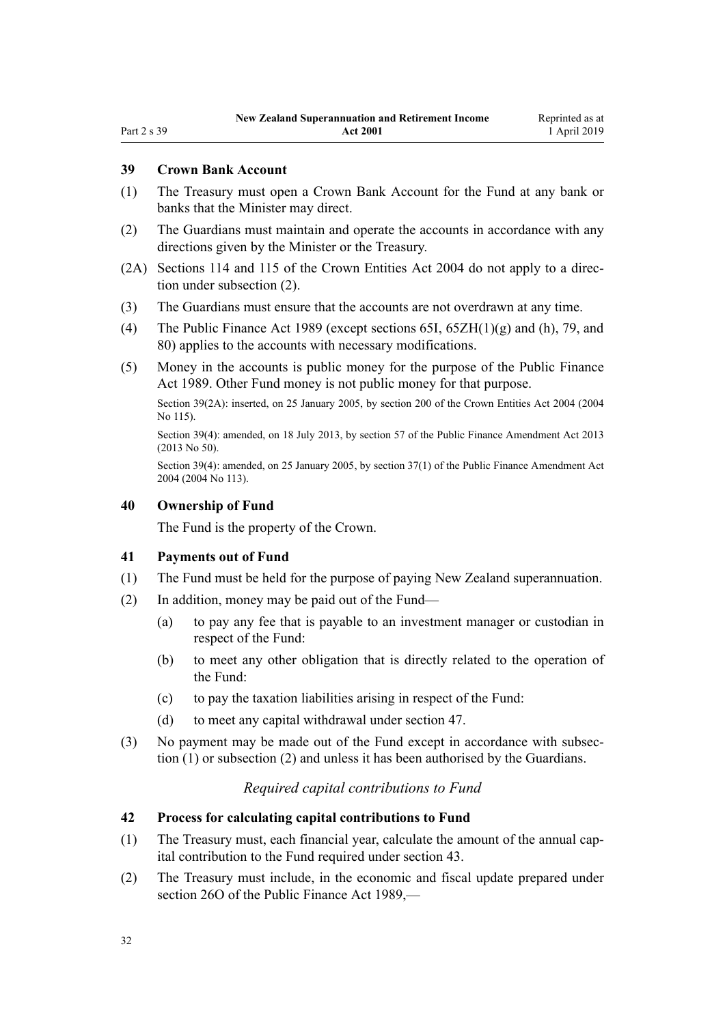## <span id="page-31-0"></span>**39 Crown Bank Account**

- (1) The Treasury must open a Crown Bank Account for the Fund at any bank or banks that the Minister may direct.
- (2) The Guardians must maintain and operate the accounts in accordance with any directions given by the Minister or the Treasury.
- (2A) [Sections 114](http://legislation.govt.nz/pdflink.aspx?id=DLM330363) and [115](http://legislation.govt.nz/pdflink.aspx?id=DLM330364) of the Crown Entities Act 2004 do not apply to a direction under subsection (2).
- (3) The Guardians must ensure that the accounts are not overdrawn at any time.
- (4) The [Public Finance Act 1989](http://legislation.govt.nz/pdflink.aspx?id=DLM160808) (except [sections 65I](http://legislation.govt.nz/pdflink.aspx?id=DLM162921),  $65ZH(1)(g)$  and (h), [79,](http://legislation.govt.nz/pdflink.aspx?id=DLM163149) and [80\)](http://legislation.govt.nz/pdflink.aspx?id=DLM163151) applies to the accounts with necessary modifications.
- (5) Money in the accounts is public money for the purpose of the [Public Finance](http://legislation.govt.nz/pdflink.aspx?id=DLM160808) [Act 1989.](http://legislation.govt.nz/pdflink.aspx?id=DLM160808) Other Fund money is not public money for that purpose.

Section 39(2A): inserted, on 25 January 2005, by [section 200](http://legislation.govt.nz/pdflink.aspx?id=DLM331111) of the Crown Entities Act 2004 (2004 No 115).

Section 39(4): amended, on 18 July 2013, by [section 57](http://legislation.govt.nz/pdflink.aspx?id=DLM5326333) of the Public Finance Amendment Act 2013 (2013 No 50).

Section 39(4): amended, on 25 January 2005, by [section 37\(1\)](http://legislation.govt.nz/pdflink.aspx?id=DLM328867) of the Public Finance Amendment Act 2004 (2004 No 113).

#### **40 Ownership of Fund**

The Fund is the property of the Crown.

#### **41 Payments out of Fund**

- (1) The Fund must be held for the purpose of paying New Zealand superannuation.
- (2) In addition, money may be paid out of the Fund—
	- (a) to pay any fee that is payable to an investment manager or custodian in respect of the Fund:
	- (b) to meet any other obligation that is directly related to the operation of the Fund:
	- (c) to pay the taxation liabilities arising in respect of the Fund:
	- (d) to meet any capital withdrawal under [section 47.](#page-33-0)
- (3) No payment may be made out of the Fund except in accordance with subsection (1) or subsection (2) and unless it has been authorised by the Guardians.

## *Required capital contributions to Fund*

# **42 Process for calculating capital contributions to Fund**

- (1) The Treasury must, each financial year, calculate the amount of the annual capital contribution to the Fund required under [section 43](#page-32-0).
- (2) The Treasury must include, in the economic and fiscal update prepared under [section 26O](http://legislation.govt.nz/pdflink.aspx?id=DLM161688) of the Public Finance Act 1989,—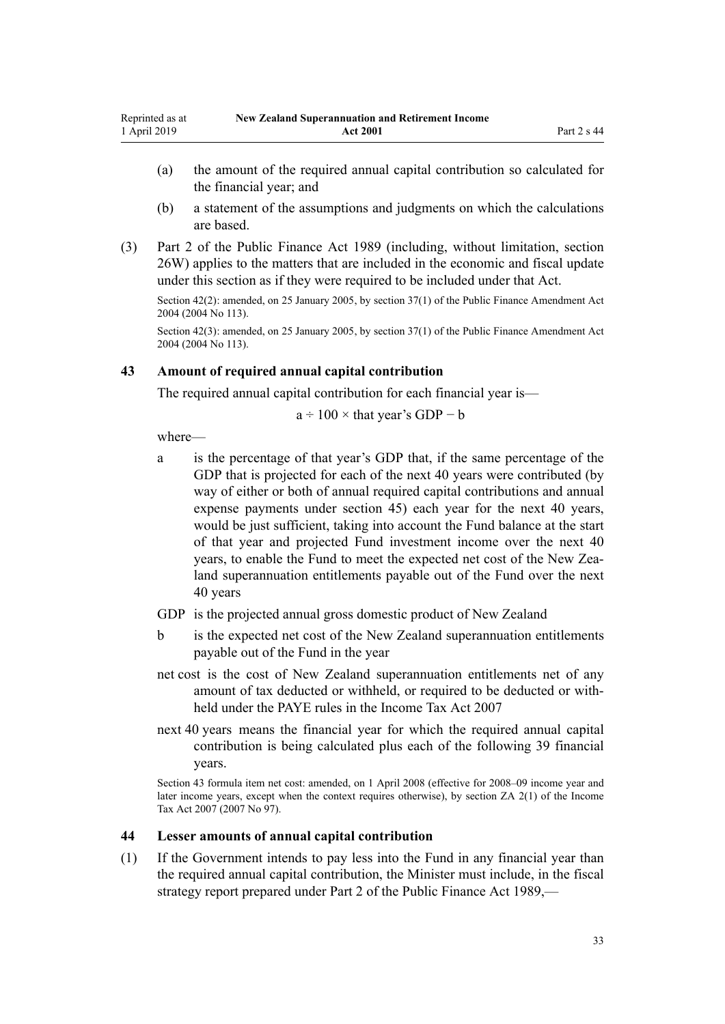- <span id="page-32-0"></span>(a) the amount of the required annual capital contribution so calculated for the financial year; and
- (b) a statement of the assumptions and judgments on which the calculations are based.
- (3) [Part 2](http://legislation.govt.nz/pdflink.aspx?id=DLM161663) of the Public Finance Act 1989 (including, without limitation, [section](http://legislation.govt.nz/pdflink.aspx?id=DLM162006) [26W\)](http://legislation.govt.nz/pdflink.aspx?id=DLM162006) applies to the matters that are included in the economic and fiscal update under this section as if they were required to be included under that Act.

Section 42(2): amended, on 25 January 2005, by [section 37\(1\)](http://legislation.govt.nz/pdflink.aspx?id=DLM328867) of the Public Finance Amendment Act 2004 (2004 No 113).

Section 42(3): amended, on 25 January 2005, by [section 37\(1\)](http://legislation.govt.nz/pdflink.aspx?id=DLM328867) of the Public Finance Amendment Act 2004 (2004 No 113).

## **43 Amount of required annual capital contribution**

The required annual capital contribution for each financial year is—

$$
a \div 100 \times
$$
 that year's GDP – b

where—

- a is the percentage of that year's GDP that, if the same percentage of the GDP that is projected for each of the next 40 years were contributed (by way of either or both of annual required capital contributions and annual expense payments under [section 45\)](#page-33-0) each year for the next 40 years, would be just sufficient, taking into account the Fund balance at the start of that year and projected Fund investment income over the next 40 years, to enable the Fund to meet the expected net cost of the New Zealand superannuation entitlements payable out of the Fund over the next 40 years
- GDP is the projected annual gross domestic product of New Zealand
- b is the expected net cost of the New Zealand superannuation entitlements payable out of the Fund in the year
- net cost is the cost of New Zealand superannuation entitlements net of any amount of tax deducted or withheld, or required to be deducted or withheld under the PAYE rules in the [Income Tax Act 2007](http://legislation.govt.nz/pdflink.aspx?id=DLM1512300)
- next 40 years means the financial year for which the required annual capital contribution is being calculated plus each of the following 39 financial years.

Section 43 formula item net cost: amended, on 1 April 2008 (effective for 2008–09 income year and later income years, except when the context requires otherwise), by [section ZA 2\(1\)](http://legislation.govt.nz/pdflink.aspx?id=DLM1523176) of the Income Tax Act 2007 (2007 No 97).

## **44 Lesser amounts of annual capital contribution**

(1) If the Government intends to pay less into the Fund in any financial year than the required annual capital contribution, the Minister must include, in the fiscal strategy report prepared under [Part 2](http://legislation.govt.nz/pdflink.aspx?id=DLM161663) of the Public Finance Act 1989,—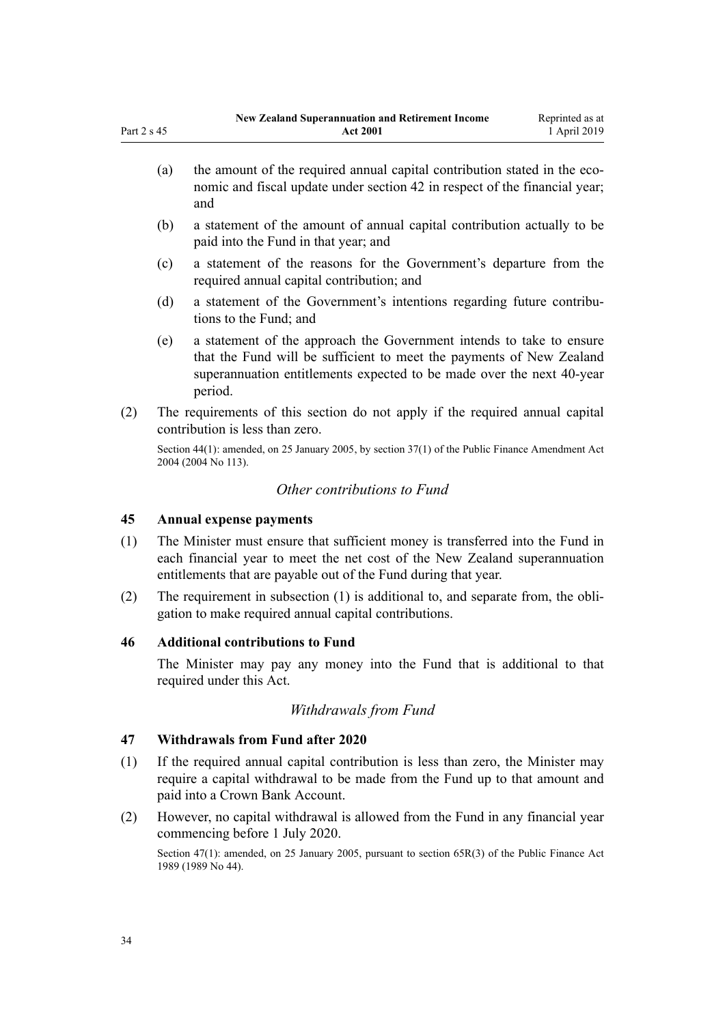- <span id="page-33-0"></span>(a) the amount of the required annual capital contribution stated in the economic and fiscal update under [section 42](#page-31-0) in respect of the financial year; and
- (b) a statement of the amount of annual capital contribution actually to be paid into the Fund in that year; and
- (c) a statement of the reasons for the Government's departure from the required annual capital contribution; and
- (d) a statement of the Government's intentions regarding future contributions to the Fund; and
- (e) a statement of the approach the Government intends to take to ensure that the Fund will be sufficient to meet the payments of New Zealand superannuation entitlements expected to be made over the next 40-year period.
- (2) The requirements of this section do not apply if the required annual capital contribution is less than zero.

Section 44(1): amended, on 25 January 2005, by [section 37\(1\)](http://legislation.govt.nz/pdflink.aspx?id=DLM328867) of the Public Finance Amendment Act 2004 (2004 No 113).

## *Other contributions to Fund*

## **45 Annual expense payments**

- (1) The Minister must ensure that sufficient money is transferred into the Fund in each financial year to meet the net cost of the New Zealand superannuation entitlements that are payable out of the Fund during that year.
- (2) The requirement in subsection (1) is additional to, and separate from, the obligation to make required annual capital contributions.

## **46 Additional contributions to Fund**

The Minister may pay any money into the Fund that is additional to that required under this Act.

## *Withdrawals from Fund*

## **47 Withdrawals from Fund after 2020**

- (1) If the required annual capital contribution is less than zero, the Minister may require a capital withdrawal to be made from the Fund up to that amount and paid into a Crown Bank Account.
- (2) However, no capital withdrawal is allowed from the Fund in any financial year commencing before 1 July 2020.

Section 47(1): amended, on 25 January 2005, pursuant to [section 65R\(3\)](http://legislation.govt.nz/pdflink.aspx?id=DLM162942) of the Public Finance Act 1989 (1989 No 44).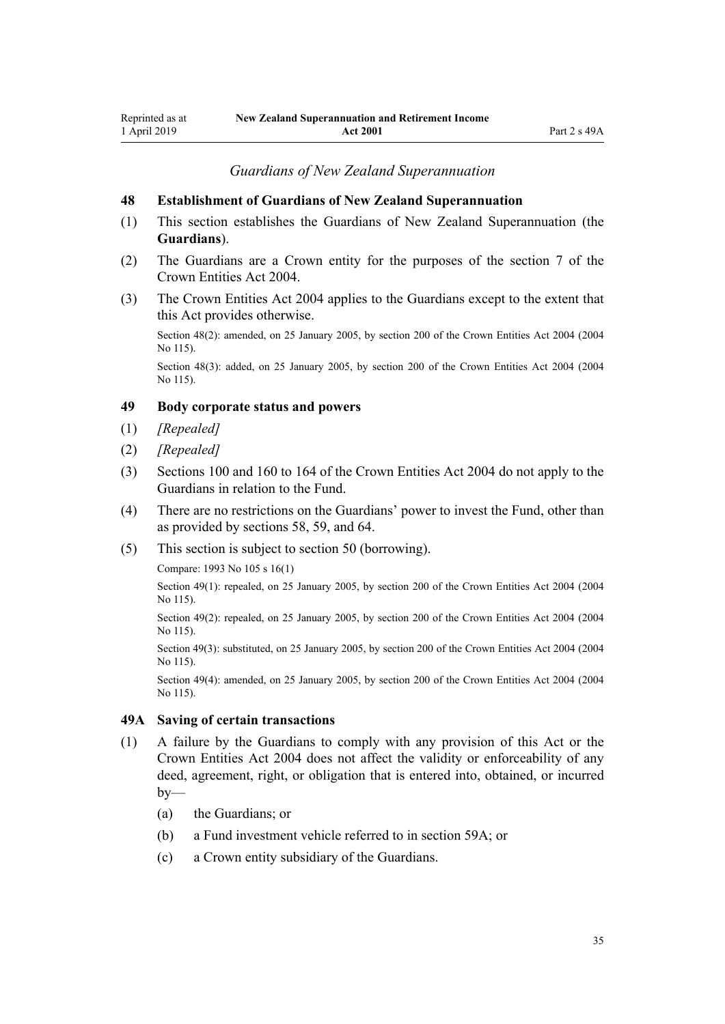*Guardians of New Zealand Superannuation*

#### <span id="page-34-0"></span>**48 Establishment of Guardians of New Zealand Superannuation**

- (1) This section establishes the Guardians of New Zealand Superannuation (the **Guardians**).
- (2) The Guardians are a Crown entity for the purposes of the [section 7](http://legislation.govt.nz/pdflink.aspx?id=DLM329641) of the Crown Entities Act 2004.
- (3) The [Crown Entities Act 2004](http://legislation.govt.nz/pdflink.aspx?id=DLM329630) applies to the Guardians except to the extent that this Act provides otherwise.

Section 48(2): amended, on 25 January 2005, by [section 200](http://legislation.govt.nz/pdflink.aspx?id=DLM331111) of the Crown Entities Act 2004 (2004 No 115).

Section 48(3): added, on 25 January 2005, by [section 200](http://legislation.govt.nz/pdflink.aspx?id=DLM331111) of the Crown Entities Act 2004 (2004) No 115).

## **49 Body corporate status and powers**

- (1) *[Repealed]*
- (2) *[Repealed]*
- (3) [Sections 100](http://legislation.govt.nz/pdflink.aspx?id=DLM330345) and [160 to 164](http://legislation.govt.nz/pdflink.aspx?id=DLM330565) of the Crown Entities Act 2004 do not apply to the Guardians in relation to the Fund.
- (4) There are no restrictions on the Guardians' power to invest the Fund, other than as provided by [sections 58](#page-36-0), [59](#page-37-0), and [64](#page-40-0).
- (5) This section is subject to [section 50](#page-35-0) (borrowing).

Compare: 1993 No 105 [s 16\(1\)](http://legislation.govt.nz/pdflink.aspx?id=DLM320117)

Section 49(1): repealed, on 25 January 2005, by [section 200](http://legislation.govt.nz/pdflink.aspx?id=DLM331111) of the Crown Entities Act 2004 (2004 No 115).

Section 49(2): repealed, on 25 January 2005, by [section 200](http://legislation.govt.nz/pdflink.aspx?id=DLM331111) of the Crown Entities Act 2004 (2004) No 115).

Section 49(3): substituted, on 25 January 2005, by [section 200](http://legislation.govt.nz/pdflink.aspx?id=DLM331111) of the Crown Entities Act 2004 (2004) No 115).

Section 49(4): amended, on 25 January 2005, by [section 200](http://legislation.govt.nz/pdflink.aspx?id=DLM331111) of the Crown Entities Act 2004 (2004 No 115).

#### **49A Saving of certain transactions**

- (1) A failure by the Guardians to comply with any provision of this Act or the [Crown Entities Act 2004](http://legislation.govt.nz/pdflink.aspx?id=DLM329630) does not affect the validity or enforceability of any deed, agreement, right, or obligation that is entered into, obtained, or incurred  $by-$ 
	- (a) the Guardians; or
	- (b) a Fund investment vehicle referred to in [section 59A](#page-38-0); or
	- (c) a Crown entity subsidiary of the Guardians.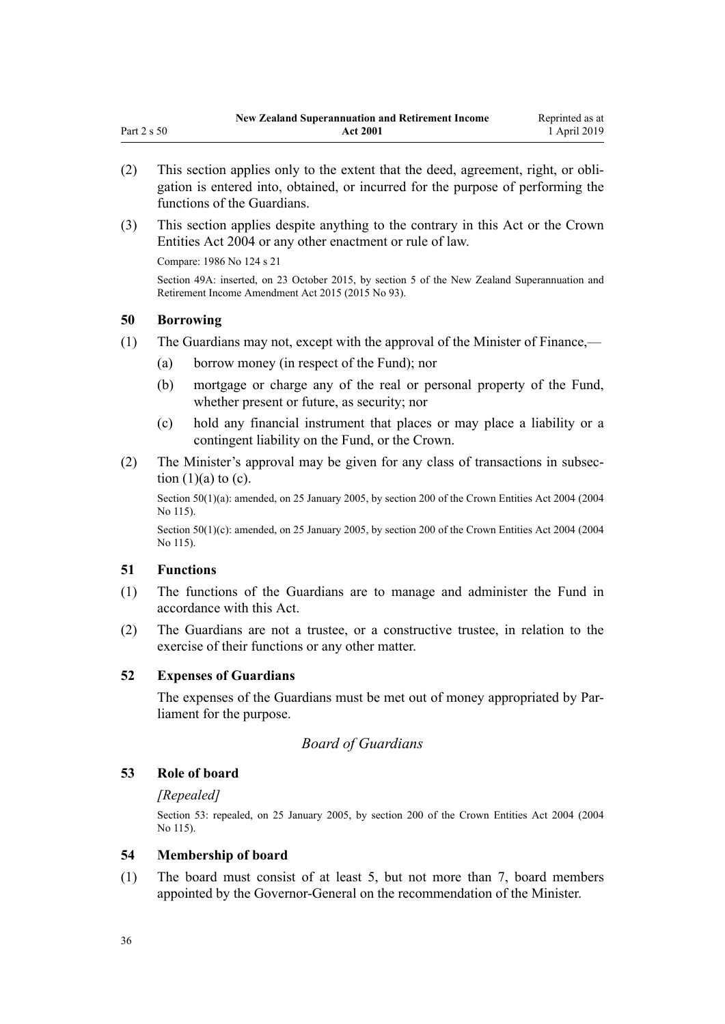- <span id="page-35-0"></span>(2) This section applies only to the extent that the deed, agreement, right, or obligation is entered into, obtained, or incurred for the purpose of performing the functions of the Guardians.
- (3) This section applies despite anything to the contrary in this Act or the [Crown](http://legislation.govt.nz/pdflink.aspx?id=DLM329630) [Entities Act 2004](http://legislation.govt.nz/pdflink.aspx?id=DLM329630) or any other enactment or rule of law.

Compare: 1986 No 124 [s 21](http://legislation.govt.nz/pdflink.aspx?id=DLM98065)

Section 49A: inserted, on 23 October 2015, by [section 5](http://legislation.govt.nz/pdflink.aspx?id=DLM6210201) of the New Zealand Superannuation and Retirement Income Amendment Act 2015 (2015 No 93).

#### **50 Borrowing**

- (1) The Guardians may not, except with the approval of the Minister of Finance,—
	- (a) borrow money (in respect of the Fund); nor
	- (b) mortgage or charge any of the real or personal property of the Fund, whether present or future, as security; nor
	- (c) hold any financial instrument that places or may place a liability or a contingent liability on the Fund, or the Crown.
- (2) The Minister's approval may be given for any class of transactions in subsection  $(1)(a)$  to  $(c)$ .

Section 50(1)(a): amended, on 25 January 2005, by [section 200](http://legislation.govt.nz/pdflink.aspx?id=DLM331111) of the Crown Entities Act 2004 (2004 No 115).

Section 50(1)(c): amended, on 25 January 2005, by [section 200](http://legislation.govt.nz/pdflink.aspx?id=DLM331111) of the Crown Entities Act 2004 (2004) No 115).

## **51 Functions**

- (1) The functions of the Guardians are to manage and administer the Fund in accordance with this Act.
- (2) The Guardians are not a trustee, or a constructive trustee, in relation to the exercise of their functions or any other matter.

#### **52 Expenses of Guardians**

The expenses of the Guardians must be met out of money appropriated by Parliament for the purpose.

## *Board of Guardians*

## **53 Role of board**

#### *[Repealed]*

Section 53: repealed, on 25 January 2005, by [section 200](http://legislation.govt.nz/pdflink.aspx?id=DLM331111) of the Crown Entities Act 2004 (2004 No 115).

## **54 Membership of board**

(1) The board must consist of at least 5, but not more than 7, board members appointed by the Governor-General on the recommendation of the Minister.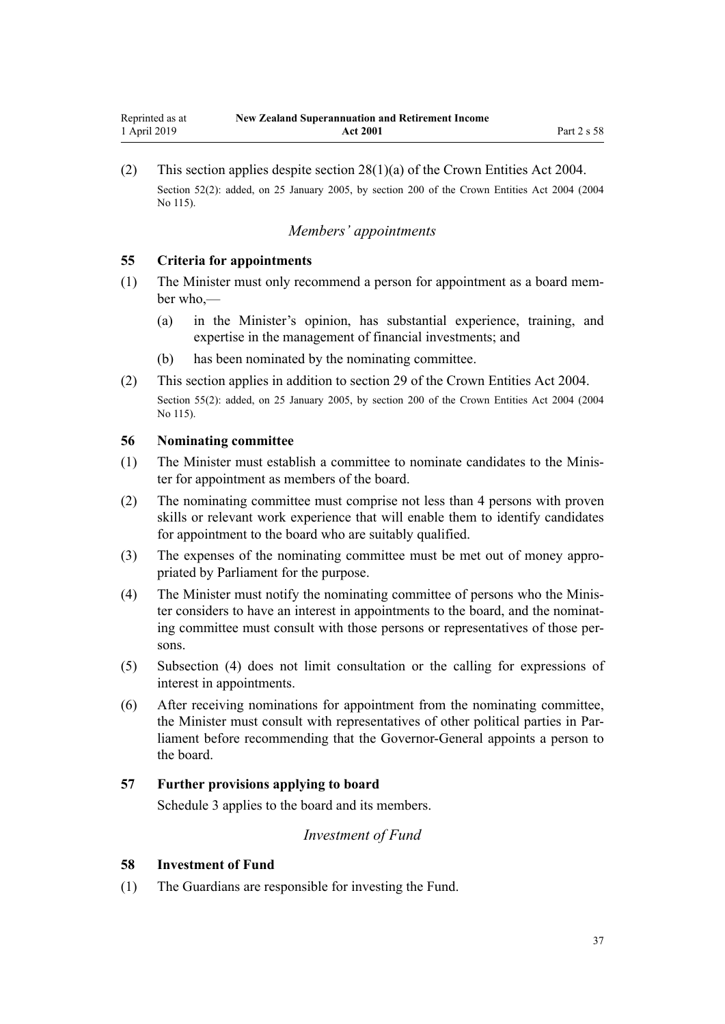<span id="page-36-0"></span>(2) This section applies despite [section 28\(1\)\(a\)](http://legislation.govt.nz/pdflink.aspx?id=DLM329954) of the Crown Entities Act 2004. Section 52(2): added, on 25 January 2005, by [section 200](http://legislation.govt.nz/pdflink.aspx?id=DLM331111) of the Crown Entities Act 2004 (2004) No 115).

# *Members' appointments*

# **55 Criteria for appointments**

- (1) The Minister must only recommend a person for appointment as a board member who,—
	- (a) in the Minister's opinion, has substantial experience, training, and expertise in the management of financial investments; and
	- (b) has been nominated by the nominating committee.
- (2) This section applies in addition to [section 29](http://legislation.govt.nz/pdflink.aspx?id=DLM329955) of the Crown Entities Act 2004. Section 55(2): added, on 25 January 2005, by [section 200](http://legislation.govt.nz/pdflink.aspx?id=DLM331111) of the Crown Entities Act 2004 (2004 No 115).

# **56 Nominating committee**

- (1) The Minister must establish a committee to nominate candidates to the Minister for appointment as members of the board.
- (2) The nominating committee must comprise not less than 4 persons with proven skills or relevant work experience that will enable them to identify candidates for appointment to the board who are suitably qualified.
- (3) The expenses of the nominating committee must be met out of money appropriated by Parliament for the purpose.
- (4) The Minister must notify the nominating committee of persons who the Minister considers to have an interest in appointments to the board, and the nominating committee must consult with those persons or representatives of those persons.
- (5) Subsection (4) does not limit consultation or the calling for expressions of interest in appointments.
- (6) After receiving nominations for appointment from the nominating committee, the Minister must consult with representatives of other political parties in Parliament before recommending that the Governor-General appoints a person to the board.

# **57 Further provisions applying to board**

[Schedule 3](#page-54-0) applies to the board and its members.

# *Investment of Fund*

#### **58 Investment of Fund**

(1) The Guardians are responsible for investing the Fund.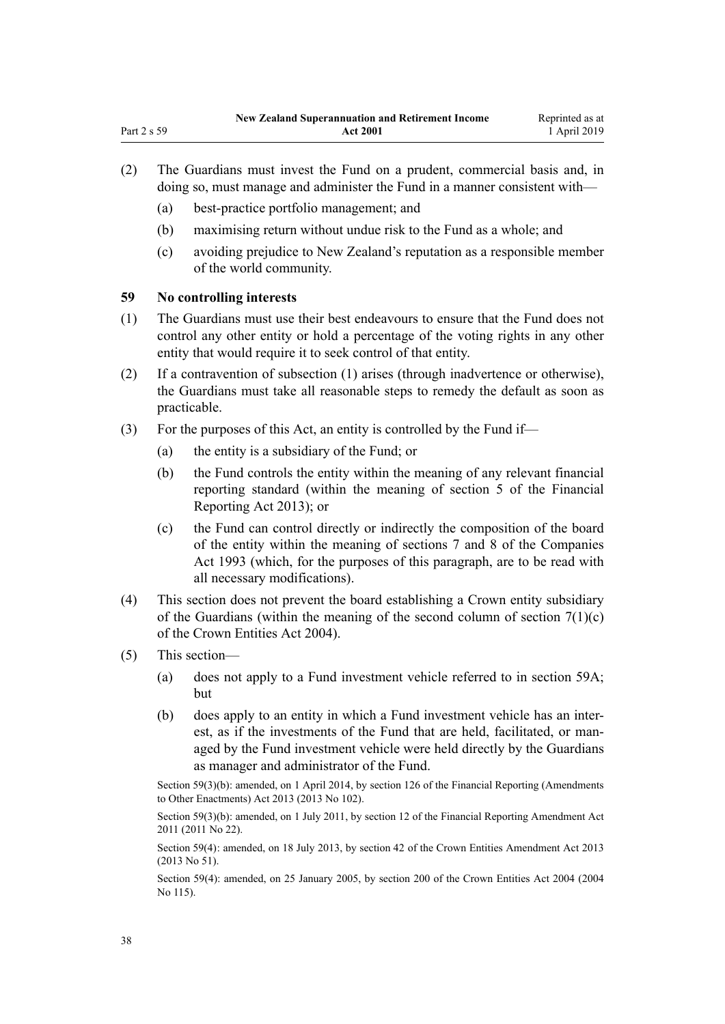- (2) The Guardians must invest the Fund on a prudent, commercial basis and, in doing so, must manage and administer the Fund in a manner consistent with—
	- (a) best-practice portfolio management; and
	- (b) maximising return without undue risk to the Fund as a whole; and
	- (c) avoiding prejudice to New Zealand's reputation as a responsible member of the world community.

#### **59 No controlling interests**

- (1) The Guardians must use their best endeavours to ensure that the Fund does not control any other entity or hold a percentage of the voting rights in any other entity that would require it to seek control of that entity.
- (2) If a contravention of subsection (1) arises (through inadvertence or otherwise), the Guardians must take all reasonable steps to remedy the default as soon as practicable.
- (3) For the purposes of this Act, an entity is controlled by the Fund if—
	- (a) the entity is a subsidiary of the Fund; or
	- (b) the Fund controls the entity within the meaning of any relevant financial reporting standard (within the meaning of [section 5](http://legislation.govt.nz/pdflink.aspx?id=DLM4632837) of the Financial Reporting Act 2013); or
	- (c) the Fund can control directly or indirectly the composition of the board of the entity within the meaning of [sections 7](http://legislation.govt.nz/pdflink.aspx?id=DLM320102) and [8](http://legislation.govt.nz/pdflink.aspx?id=DLM320104) of the Companies Act 1993 (which, for the purposes of this paragraph, are to be read with all necessary modifications).
- (4) This section does not prevent the board establishing a Crown entity subsidiary of the Guardians (within the meaning of the second column of section  $7(1)(c)$ ) of the Crown Entities Act 2004).
- (5) This section—
	- (a) does not apply to a Fund investment vehicle referred to in [section 59A;](#page-38-0) but
	- (b) does apply to an entity in which a Fund investment vehicle has an interest, as if the investments of the Fund that are held, facilitated, or managed by the Fund investment vehicle were held directly by the Guardians as manager and administrator of the Fund.

Section 59(3)(b): amended, on 1 April 2014, by [section 126](http://legislation.govt.nz/pdflink.aspx?id=DLM5740665) of the Financial Reporting (Amendments to Other Enactments) Act 2013 (2013 No 102).

Section 59(3)(b): amended, on 1 July 2011, by [section 12](http://legislation.govt.nz/pdflink.aspx?id=DLM3701759) of the Financial Reporting Amendment Act 2011 (2011 No 22).

Section 59(4): amended, on 18 July 2013, by [section 42](http://legislation.govt.nz/pdflink.aspx?id=DLM5326977) of the Crown Entities Amendment Act 2013 (2013 No 51).

Section 59(4): amended, on 25 January 2005, by [section 200](http://legislation.govt.nz/pdflink.aspx?id=DLM331111) of the Crown Entities Act 2004 (2004 No 115).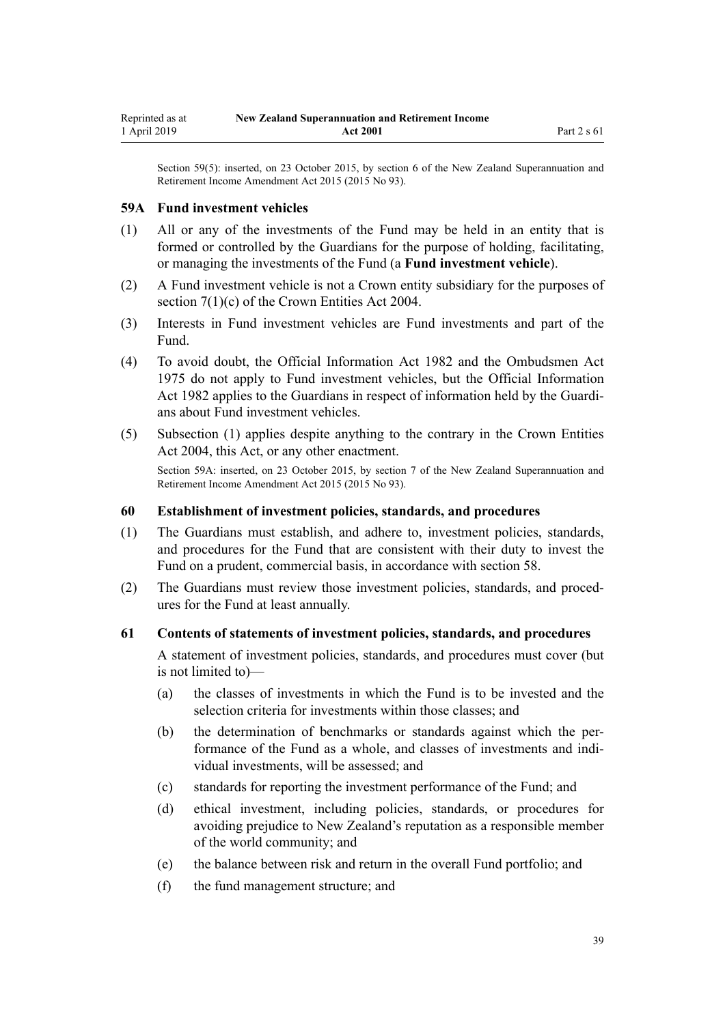<span id="page-38-0"></span>Section 59(5): inserted, on 23 October 2015, by [section 6](http://legislation.govt.nz/pdflink.aspx?id=DLM5708815) of the New Zealand Superannuation and Retirement Income Amendment Act 2015 (2015 No 93).

#### **59A Fund investment vehicles**

- (1) All or any of the investments of the Fund may be held in an entity that is formed or controlled by the Guardians for the purpose of holding, facilitating, or managing the investments of the Fund (a **Fund investment vehicle**).
- (2) A Fund investment vehicle is not a Crown entity subsidiary for the purposes of [section 7\(1\)\(c\)](http://legislation.govt.nz/pdflink.aspx?id=DLM329641) of the Crown Entities Act 2004.
- (3) Interests in Fund investment vehicles are Fund investments and part of the Fund.
- (4) To avoid doubt, the [Official Information Act 1982](http://legislation.govt.nz/pdflink.aspx?id=DLM64784) and the [Ombudsmen Act](http://legislation.govt.nz/pdflink.aspx?id=DLM430983) [1975](http://legislation.govt.nz/pdflink.aspx?id=DLM430983) do not apply to Fund investment vehicles, but the Official Information Act 1982 applies to the Guardians in respect of information held by the Guardians about Fund investment vehicles.
- (5) Subsection (1) applies despite anything to the contrary in the [Crown Entities](http://legislation.govt.nz/pdflink.aspx?id=DLM329630) [Act 2004,](http://legislation.govt.nz/pdflink.aspx?id=DLM329630) this Act, or any other enactment.

Section 59A: inserted, on 23 October 2015, by [section 7](http://legislation.govt.nz/pdflink.aspx?id=DLM5708816) of the New Zealand Superannuation and Retirement Income Amendment Act 2015 (2015 No 93).

#### **60 Establishment of investment policies, standards, and procedures**

- (1) The Guardians must establish, and adhere to, investment policies, standards, and procedures for the Fund that are consistent with their duty to invest the Fund on a prudent, commercial basis, in accordance with [section 58.](#page-36-0)
- (2) The Guardians must review those investment policies, standards, and procedures for the Fund at least annually.

### **61 Contents of statements of investment policies, standards, and procedures**

A statement of investment policies, standards, and procedures must cover (but is not limited to)—

- (a) the classes of investments in which the Fund is to be invested and the selection criteria for investments within those classes; and
- (b) the determination of benchmarks or standards against which the performance of the Fund as a whole, and classes of investments and individual investments, will be assessed; and
- (c) standards for reporting the investment performance of the Fund; and
- (d) ethical investment, including policies, standards, or procedures for avoiding prejudice to New Zealand's reputation as a responsible member of the world community; and
- (e) the balance between risk and return in the overall Fund portfolio; and
- (f) the fund management structure; and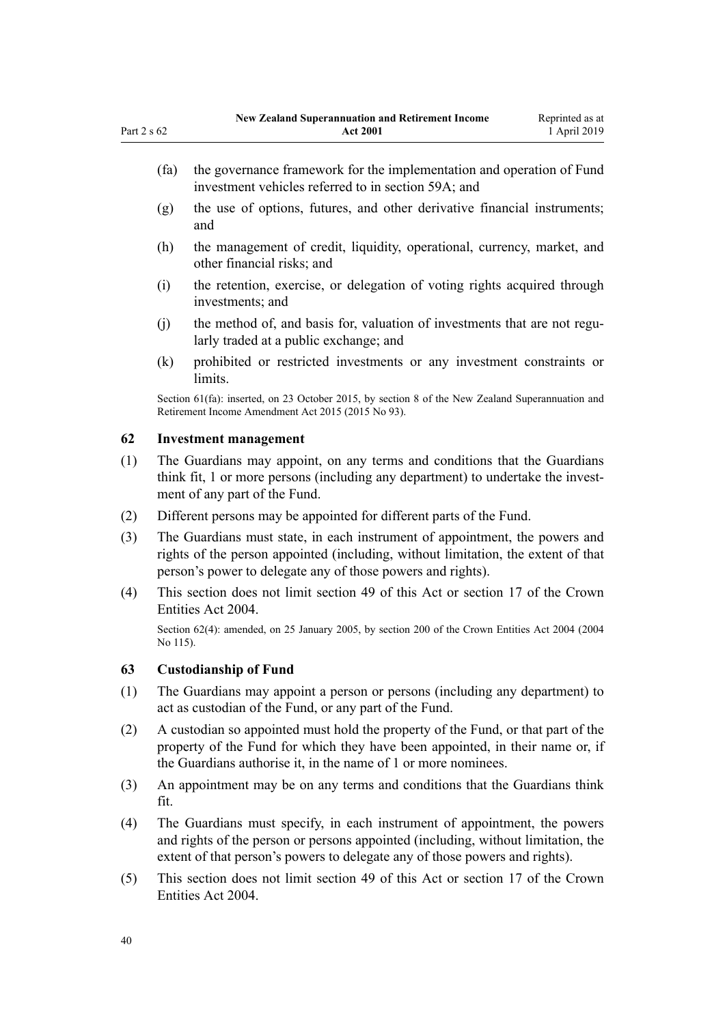- (g) the use of options, futures, and other derivative financial instruments; and
- (h) the management of credit, liquidity, operational, currency, market, and other financial risks; and
- (i) the retention, exercise, or delegation of voting rights acquired through investments; and
- (j) the method of, and basis for, valuation of investments that are not regularly traded at a public exchange; and
- (k) prohibited or restricted investments or any investment constraints or **limits**

Section 61(fa): inserted, on 23 October 2015, by [section 8](http://legislation.govt.nz/pdflink.aspx?id=DLM5708818) of the New Zealand Superannuation and Retirement Income Amendment Act 2015 (2015 No 93).

# **62 Investment management**

- (1) The Guardians may appoint, on any terms and conditions that the Guardians think fit, 1 or more persons (including any department) to undertake the investment of any part of the Fund.
- (2) Different persons may be appointed for different parts of the Fund.
- (3) The Guardians must state, in each instrument of appointment, the powers and rights of the person appointed (including, without limitation, the extent of that person's power to delegate any of those powers and rights).
- (4) This section does not limit [section 49](#page-34-0) of this Act or [section 17](http://legislation.govt.nz/pdflink.aspx?id=DLM329931) of the Crown Entities Act 2004.

Section 62(4): amended, on 25 January 2005, by [section 200](http://legislation.govt.nz/pdflink.aspx?id=DLM331111) of the Crown Entities Act 2004 (2004 No 115).

#### **63 Custodianship of Fund**

- (1) The Guardians may appoint a person or persons (including any department) to act as custodian of the Fund, or any part of the Fund.
- (2) A custodian so appointed must hold the property of the Fund, or that part of the property of the Fund for which they have been appointed, in their name or, if the Guardians authorise it, in the name of 1 or more nominees.
- (3) An appointment may be on any terms and conditions that the Guardians think fit.
- (4) The Guardians must specify, in each instrument of appointment, the powers and rights of the person or persons appointed (including, without limitation, the extent of that person's powers to delegate any of those powers and rights).
- (5) This section does not limit [section 49](#page-34-0) of this Act or [section 17](http://legislation.govt.nz/pdflink.aspx?id=DLM329931) of the Crown Entities Act 2004.

<span id="page-39-0"></span>Part 2 s 62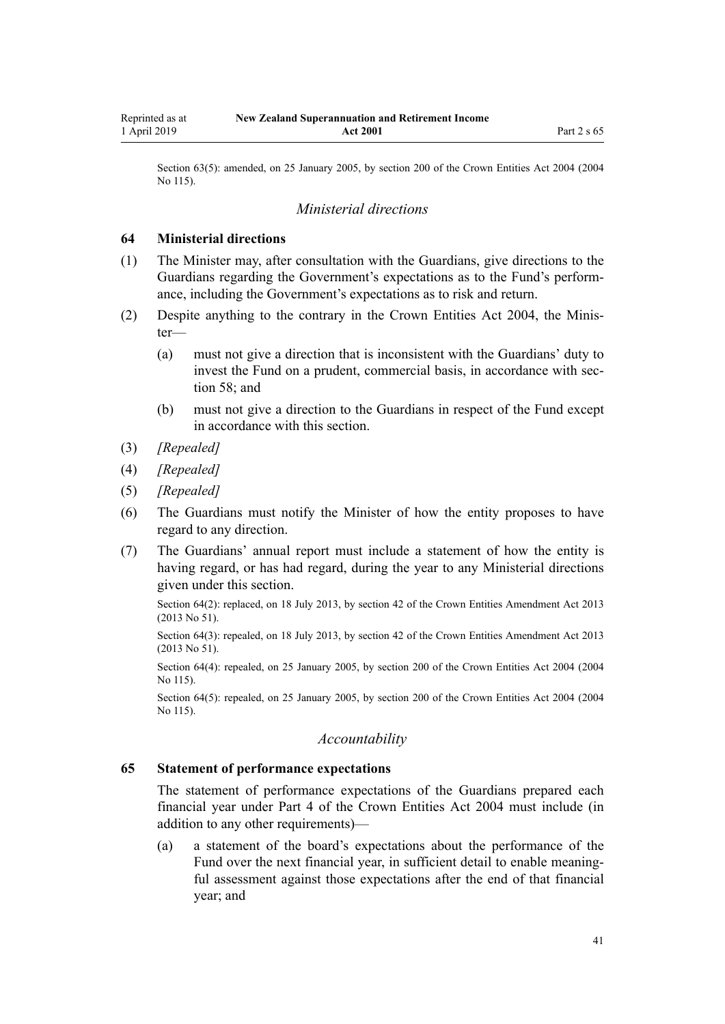Section 63(5): amended, on 25 January 2005, by [section 200](http://legislation.govt.nz/pdflink.aspx?id=DLM331111) of the Crown Entities Act 2004 (2004) No 115).

# *Ministerial directions*

#### **64 Ministerial directions**

- (1) The Minister may, after consultation with the Guardians, give directions to the Guardians regarding the Government's expectations as to the Fund's performance, including the Government's expectations as to risk and return.
- (2) Despite anything to the contrary in the [Crown Entities Act 2004,](http://legislation.govt.nz/pdflink.aspx?id=DLM329630) the Minister—
	- (a) must not give a direction that is inconsistent with the Guardians' duty to invest the Fund on a prudent, commercial basis, in accordance with [sec](#page-36-0)[tion 58](#page-36-0); and
	- (b) must not give a direction to the Guardians in respect of the Fund except in accordance with this section.
- (3) *[Repealed]*
- (4) *[Repealed]*
- (5) *[Repealed]*
- (6) The Guardians must notify the Minister of how the entity proposes to have regard to any direction.
- (7) The Guardians' annual report must include a statement of how the entity is having regard, or has had regard, during the year to any Ministerial directions given under this section.

Section 64(2): replaced, on 18 July 2013, by [section 42](http://legislation.govt.nz/pdflink.aspx?id=DLM5326977) of the Crown Entities Amendment Act 2013 (2013 No 51).

Section 64(3): repealed, on 18 July 2013, by [section 42](http://legislation.govt.nz/pdflink.aspx?id=DLM5326977) of the Crown Entities Amendment Act 2013 (2013 No 51).

Section 64(4): repealed, on 25 January 2005, by [section 200](http://legislation.govt.nz/pdflink.aspx?id=DLM331111) of the Crown Entities Act 2004 (2004 No 115).

Section 64(5): repealed, on 25 January 2005, by [section 200](http://legislation.govt.nz/pdflink.aspx?id=DLM331111) of the Crown Entities Act 2004 (2004) No 115).

# *Accountability*

### **65 Statement of performance expectations**

The statement of performance expectations of the Guardians prepared each financial year under [Part 4](http://legislation.govt.nz/pdflink.aspx?id=DLM330504) of the Crown Entities Act 2004 must include (in addition to any other requirements)—

(a) a statement of the board's expectations about the performance of the Fund over the next financial year, in sufficient detail to enable meaningful assessment against those expectations after the end of that financial year; and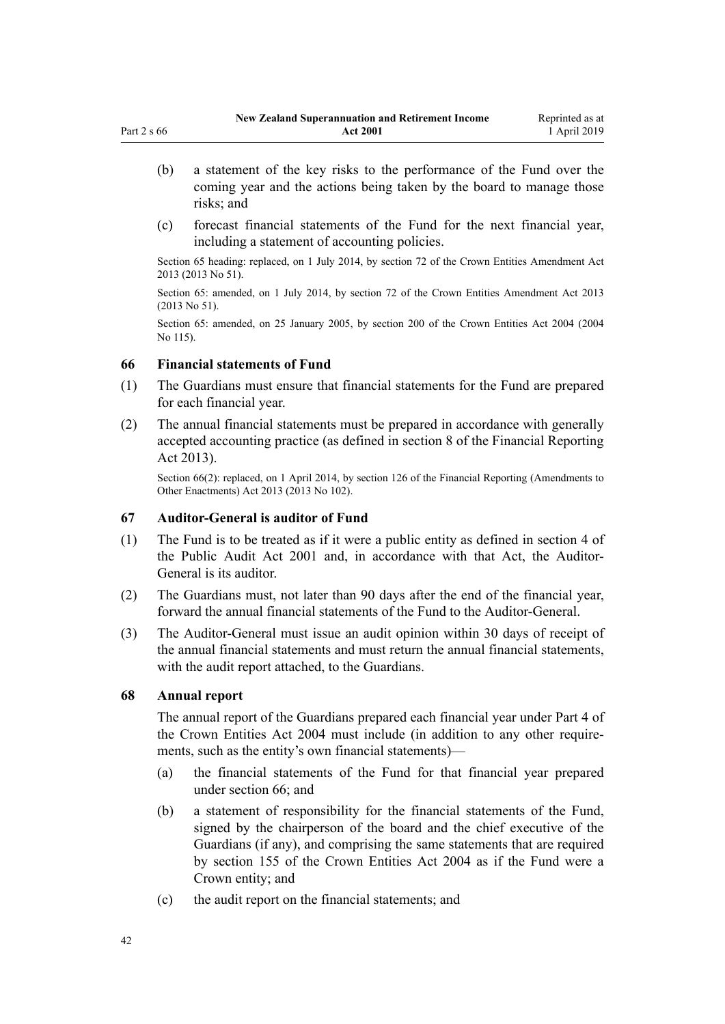- (b) a statement of the key risks to the performance of the Fund over the coming year and the actions being taken by the board to manage those risks; and
- (c) forecast financial statements of the Fund for the next financial year, including a statement of accounting policies.

Section 65 heading: replaced, on 1 July 2014, by [section 72](http://legislation.govt.nz/pdflink.aspx?id=DLM5327162) of the Crown Entities Amendment Act 2013 (2013 No 51).

Section 65: amended, on 1 July 2014, by [section 72](http://legislation.govt.nz/pdflink.aspx?id=DLM5327162) of the Crown Entities Amendment Act 2013 (2013 No 51).

Section 65: amended, on 25 January 2005, by [section 200](http://legislation.govt.nz/pdflink.aspx?id=DLM331111) of the Crown Entities Act 2004 (2004 No 115).

### **66 Financial statements of Fund**

- (1) The Guardians must ensure that financial statements for the Fund are prepared for each financial year.
- (2) The annual financial statements must be prepared in accordance with generally accepted accounting practice (as defined in [section 8](http://legislation.govt.nz/pdflink.aspx?id=DLM4632894) of the Financial Reporting Act 2013).

Section 66(2): replaced, on 1 April 2014, by [section 126](http://legislation.govt.nz/pdflink.aspx?id=DLM5740665) of the Financial Reporting (Amendments to Other Enactments) Act 2013 (2013 No 102).

#### **67 Auditor-General is auditor of Fund**

- (1) The Fund is to be treated as if it were a public entity as defined in [section 4](http://legislation.govt.nz/pdflink.aspx?id=DLM88548) of the Public Audit Act 2001 and, in accordance with that Act, the Auditor-General is its auditor.
- (2) The Guardians must, not later than 90 days after the end of the financial year, forward the annual financial statements of the Fund to the Auditor-General.
- (3) The Auditor-General must issue an audit opinion within 30 days of receipt of the annual financial statements and must return the annual financial statements, with the audit report attached, to the Guardians.

#### **68 Annual report**

The annual report of the Guardians prepared each financial year under [Part 4](http://legislation.govt.nz/pdflink.aspx?id=DLM330504) of the Crown Entities Act 2004 must include (in addition to any other requirements, such as the entity's own financial statements)—

- (a) the financial statements of the Fund for that financial year prepared under section 66; and
- (b) a statement of responsibility for the financial statements of the Fund, signed by the chairperson of the board and the chief executive of the Guardians (if any), and comprising the same statements that are required by [section 155](http://legislation.govt.nz/pdflink.aspx?id=DLM330557) of the Crown Entities Act 2004 as if the Fund were a Crown entity; and
- (c) the audit report on the financial statements; and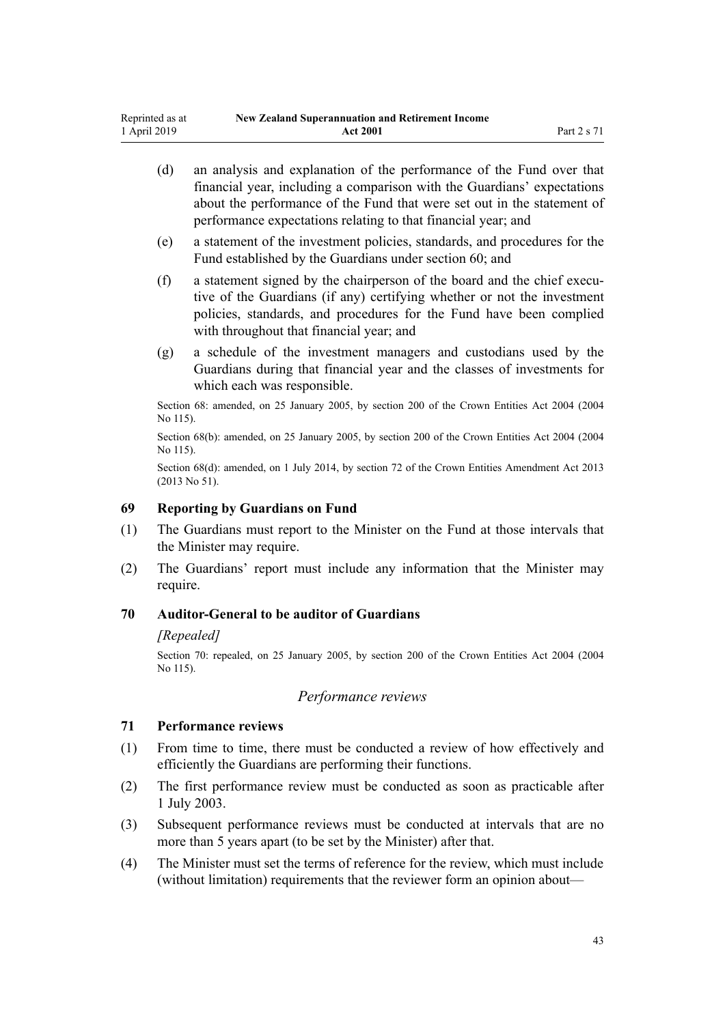- (d) an analysis and explanation of the performance of the Fund over that financial year, including a comparison with the Guardians' expectations about the performance of the Fund that were set out in the statement of performance expectations relating to that financial year; and
- (e) a statement of the investment policies, standards, and procedures for the Fund established by the Guardians under [section 60](#page-38-0); and
- (f) a statement signed by the chairperson of the board and the chief executive of the Guardians (if any) certifying whether or not the investment policies, standards, and procedures for the Fund have been complied with throughout that financial year; and
- (g) a schedule of the investment managers and custodians used by the Guardians during that financial year and the classes of investments for which each was responsible.

Section 68: amended, on 25 January 2005, by [section 200](http://legislation.govt.nz/pdflink.aspx?id=DLM331111) of the Crown Entities Act 2004 (2004 No 115).

Section 68(b): amended, on 25 January 2005, by [section 200](http://legislation.govt.nz/pdflink.aspx?id=DLM331111) of the Crown Entities Act 2004 (2004) No 115).

Section 68(d): amended, on 1 July 2014, by [section 72](http://legislation.govt.nz/pdflink.aspx?id=DLM5327162) of the Crown Entities Amendment Act 2013 (2013 No 51).

#### **69 Reporting by Guardians on Fund**

- (1) The Guardians must report to the Minister on the Fund at those intervals that the Minister may require.
- (2) The Guardians' report must include any information that the Minister may require.

#### **70 Auditor-General to be auditor of Guardians**

#### *[Repealed]*

Section 70: repealed, on 25 January 2005, by [section 200](http://legislation.govt.nz/pdflink.aspx?id=DLM331111) of the Crown Entities Act 2004 (2004 No 115).

# *Performance reviews*

# **71 Performance reviews**

- (1) From time to time, there must be conducted a review of how effectively and efficiently the Guardians are performing their functions.
- (2) The first performance review must be conducted as soon as practicable after 1 July 2003.
- (3) Subsequent performance reviews must be conducted at intervals that are no more than 5 years apart (to be set by the Minister) after that.
- (4) The Minister must set the terms of reference for the review, which must include (without limitation) requirements that the reviewer form an opinion about—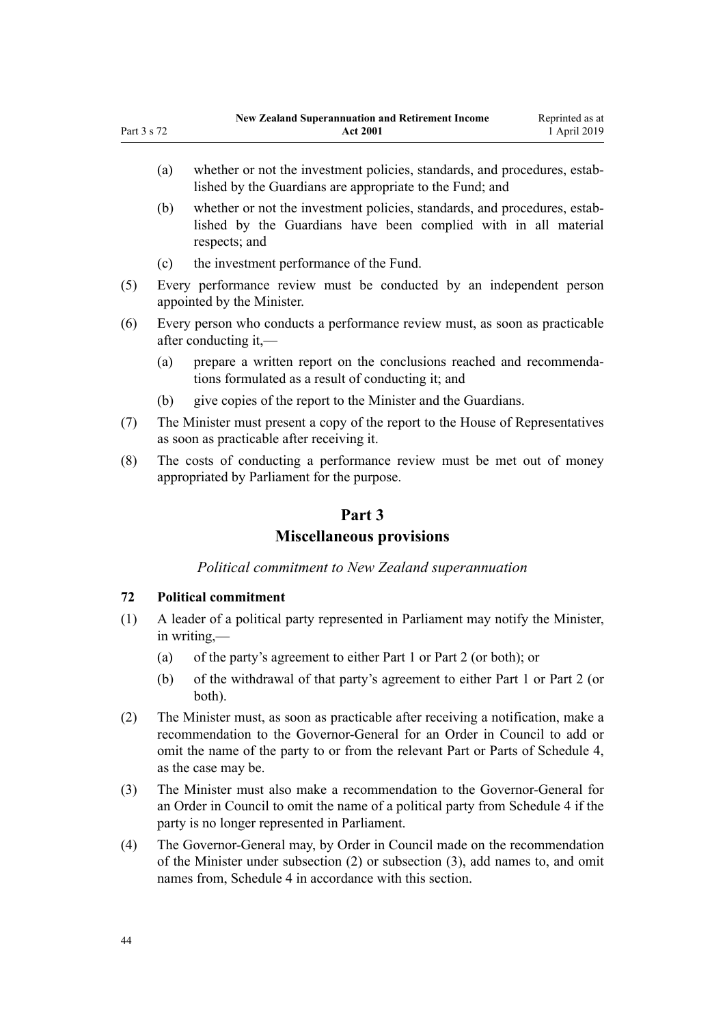- <span id="page-43-0"></span>(a) whether or not the investment policies, standards, and procedures, established by the Guardians are appropriate to the Fund; and
- (b) whether or not the investment policies, standards, and procedures, established by the Guardians have been complied with in all material respects; and
- (c) the investment performance of the Fund.
- (5) Every performance review must be conducted by an independent person appointed by the Minister.
- (6) Every person who conducts a performance review must, as soon as practicable after conducting it,—
	- (a) prepare a written report on the conclusions reached and recommendations formulated as a result of conducting it; and
	- (b) give copies of the report to the Minister and the Guardians.
- (7) The Minister must present a copy of the report to the House of Representatives as soon as practicable after receiving it.
- (8) The costs of conducting a performance review must be met out of money appropriated by Parliament for the purpose.

# **Part 3**

# **Miscellaneous provisions**

# *Political commitment to New Zealand superannuation*

# **72 Political commitment**

- (1) A leader of a political party represented in Parliament may notify the Minister, in writing,—
	- (a) of the party's agreement to either [Part 1](#page-9-0) or [Part 2](#page-30-0) (or both); or
	- (b) of the withdrawal of that party's agreement to either [Part 1](#page-9-0) or [Part 2](#page-30-0) (or both).
- (2) The Minister must, as soon as practicable after receiving a notification, make a recommendation to the Governor-General for an Order in Council to add or omit the name of the party to or from the relevant Part or Parts of [Schedule 4](#page-63-0), as the case may be.
- (3) The Minister must also make a recommendation to the Governor-General for an Order in Council to omit the name of a political party from [Schedule 4](#page-63-0) if the party is no longer represented in Parliament.
- (4) The Governor-General may, by Order in Council made on the recommendation of the Minister under subsection (2) or subsection (3), add names to, and omit names from, [Schedule 4](#page-63-0) in accordance with this section.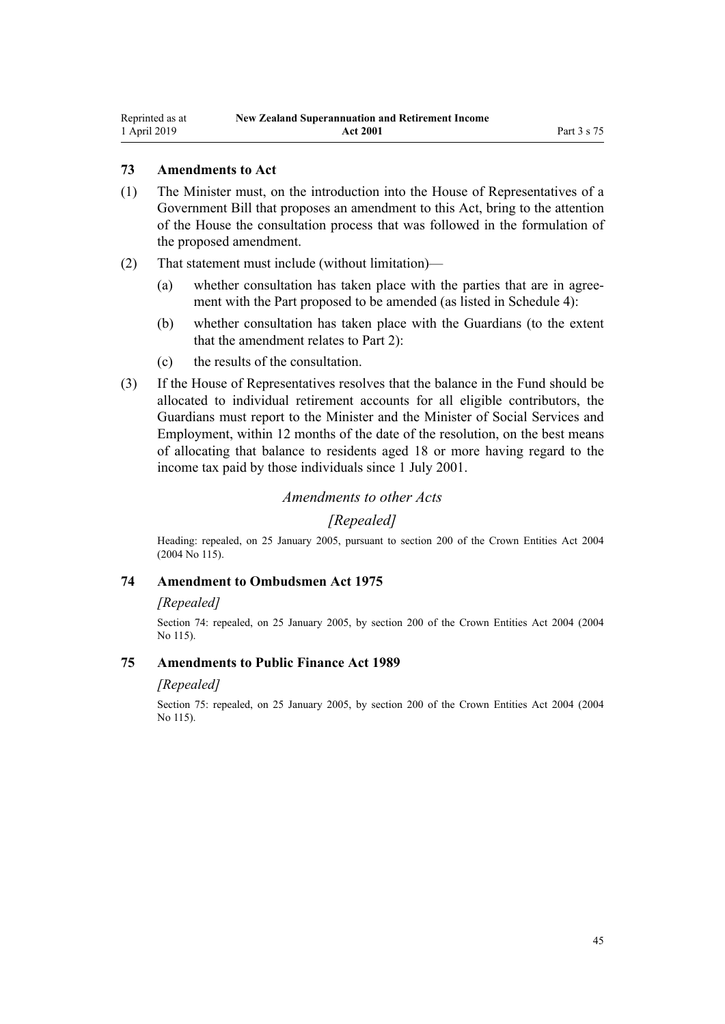# **73 Amendments to Act**

- (1) The Minister must, on the introduction into the House of Representatives of a Government Bill that proposes an amendment to this Act, bring to the attention of the House the consultation process that was followed in the formulation of the proposed amendment.
- (2) That statement must include (without limitation)—
	- (a) whether consultation has taken place with the parties that are in agreement with the Part proposed to be amended (as listed in [Schedule 4](#page-63-0)):
	- (b) whether consultation has taken place with the Guardians (to the extent that the amendment relates to [Part 2\)](#page-30-0):
	- (c) the results of the consultation.
- (3) If the House of Representatives resolves that the balance in the Fund should be allocated to individual retirement accounts for all eligible contributors, the Guardians must report to the Minister and the Minister of Social Services and Employment, within 12 months of the date of the resolution, on the best means of allocating that balance to residents aged 18 or more having regard to the income tax paid by those individuals since 1 July 2001.

#### *Amendments to other Acts*

# *[Repealed]*

Heading: repealed, on 25 January 2005, pursuant to [section 200](http://legislation.govt.nz/pdflink.aspx?id=DLM331111) of the Crown Entities Act 2004 (2004 No 115).

#### **74 Amendment to Ombudsmen Act 1975**

#### *[Repealed]*

Section 74: repealed, on 25 January 2005, by [section 200](http://legislation.govt.nz/pdflink.aspx?id=DLM331111) of the Crown Entities Act 2004 (2004 No 115).

#### **75 Amendments to Public Finance Act 1989**

#### *[Repealed]*

Section 75: repealed, on 25 January 2005, by [section 200](http://legislation.govt.nz/pdflink.aspx?id=DLM331111) of the Crown Entities Act 2004 (2004 No 115).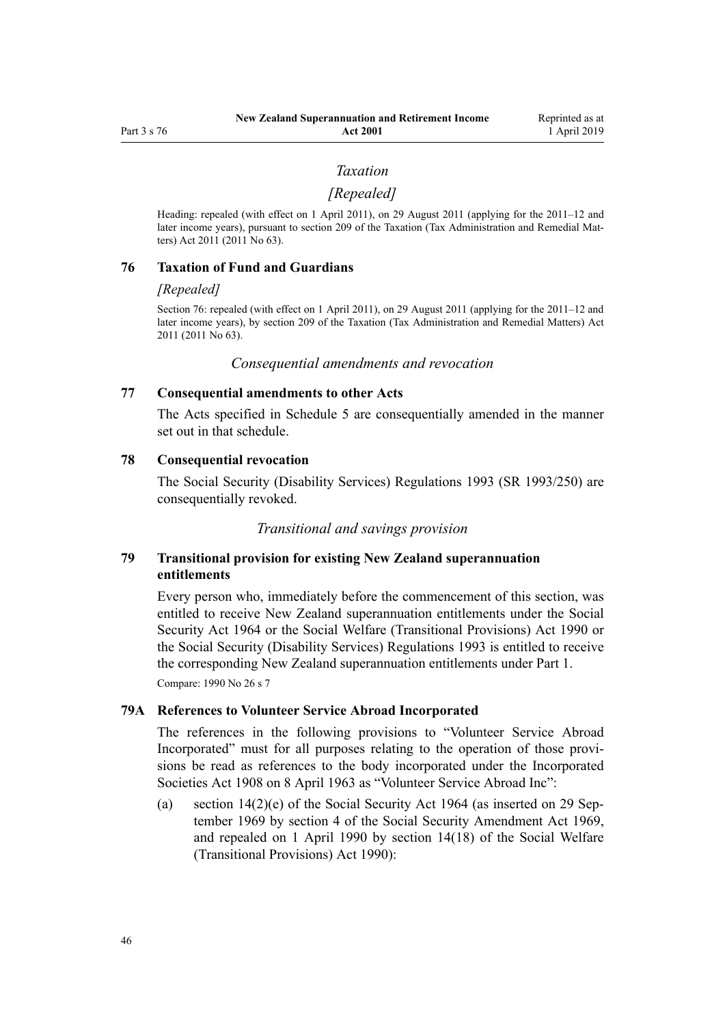#### *Taxation*

#### *[Repealed]*

<span id="page-45-0"></span>Heading: repealed (with effect on 1 April 2011), on 29 August 2011 (applying for the 2011–12 and later income years), pursuant to [section 209](http://legislation.govt.nz/pdflink.aspx?id=DLM3389052) of the Taxation (Tax Administration and Remedial Matters) Act 2011 (2011 No 63).

#### **76 Taxation of Fund and Guardians**

#### *[Repealed]*

Section 76: repealed (with effect on 1 April 2011), on 29 August 2011 (applying for the 2011–12 and later income years), by [section 209](http://legislation.govt.nz/pdflink.aspx?id=DLM3389052) of the Taxation (Tax Administration and Remedial Matters) Act 2011 (2011 No 63).

*Consequential amendments and revocation*

#### **77 Consequential amendments to other Acts**

The Acts specified in [Schedule 5](#page-64-0) are consequentially amended in the manner set out in that schedule.

#### **78 Consequential revocation**

The Social Security (Disability Services) Regulations 1993 (SR 1993/250) are consequentially revoked.

*Transitional and savings provision*

# **79 Transitional provision for existing New Zealand superannuation entitlements**

Every person who, immediately before the commencement of this section, was entitled to receive New Zealand superannuation entitlements under the [Social](http://legislation.govt.nz/pdflink.aspx?id=DLM359106) [Security Act 1964](http://legislation.govt.nz/pdflink.aspx?id=DLM359106) or the Social Welfare (Transitional Provisions) Act 1990 or the Social Security (Disability Services) Regulations 1993 is entitled to receive the corresponding New Zealand superannuation entitlements under [Part 1.](#page-9-0) Compare: 1990 No 26 [s 7](http://legislation.govt.nz/pdflink.aspx?id=DLM204120)

#### **79A References to Volunteer Service Abroad Incorporated**

The references in the following provisions to "Volunteer Service Abroad Incorporated" must for all purposes relating to the operation of those provisions be read as references to the body incorporated under the [Incorporated](http://legislation.govt.nz/pdflink.aspx?id=DLM175774) [Societies Act 1908](http://legislation.govt.nz/pdflink.aspx?id=DLM175774) on 8 April 1963 as "Volunteer Service Abroad Inc":

(a) [section 14\(2\)\(e\)](http://legislation.govt.nz/pdflink.aspx?id=DLM361040) of the Social Security Act 1964 (as inserted on 29 September 1969 by section 4 of the Social Security Amendment Act 1969, and repealed on 1 April 1990 by [section 14\(18\)](http://legislation.govt.nz/pdflink.aspx?id=DLM204161) of the Social Welfare (Transitional Provisions) Act 1990):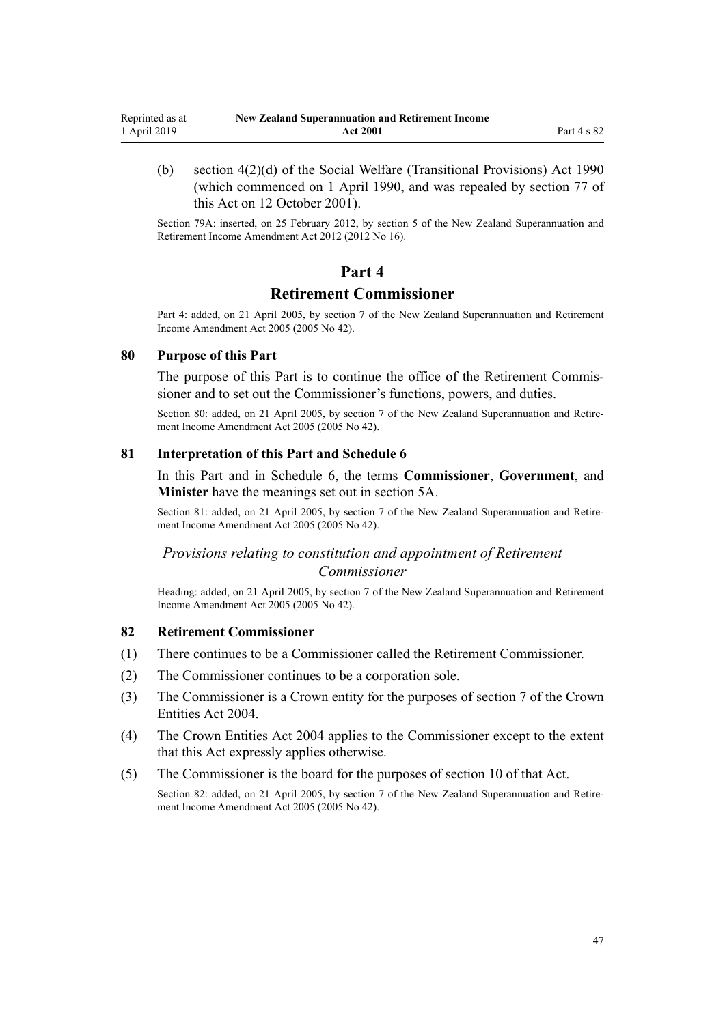<span id="page-46-0"></span>(b) [section 4\(2\)\(d\)](http://legislation.govt.nz/pdflink.aspx?id=DLM204107) of the Social Welfare (Transitional Provisions) Act 1990 (which commenced on 1 April 1990, and was repealed by [section 77](#page-45-0) of this Act on 12 October 2001).

Section 79A: inserted, on 25 February 2012, by [section 5](http://legislation.govt.nz/pdflink.aspx?id=DLM4014808) of the New Zealand Superannuation and Retirement Income Amendment Act 2012 (2012 No 16).

# **Part 4**

# **Retirement Commissioner**

Part 4: added, on 21 April 2005, by [section 7](http://legislation.govt.nz/pdflink.aspx?id=DLM346478) of the New Zealand Superannuation and Retirement Income Amendment Act 2005 (2005 No 42).

#### **80 Purpose of this Part**

The purpose of this Part is to continue the office of the Retirement Commissioner and to set out the Commissioner's functions, powers, and duties.

Section 80: added, on 21 April 2005, by [section 7](http://legislation.govt.nz/pdflink.aspx?id=DLM346478) of the New Zealand Superannuation and Retirement Income Amendment Act 2005 (2005 No 42).

#### **81 Interpretation of this Part and Schedule 6**

In this Part and in [Schedule 6](#page-66-0), the terms **Commissioner**, **Government**, and **Minister** have the meanings set out in [section 5A](#page-8-0).

Section 81: added, on 21 April 2005, by [section 7](http://legislation.govt.nz/pdflink.aspx?id=DLM346478) of the New Zealand Superannuation and Retirement Income Amendment Act 2005 (2005 No 42).

# *Provisions relating to constitution and appointment of Retirement Commissioner*

Heading: added, on 21 April 2005, by [section 7](http://legislation.govt.nz/pdflink.aspx?id=DLM346478) of the New Zealand Superannuation and Retirement Income Amendment Act 2005 (2005 No 42).

#### **82 Retirement Commissioner**

- (1) There continues to be a Commissioner called the Retirement Commissioner.
- (2) The Commissioner continues to be a corporation sole.
- (3) The Commissioner is a Crown entity for the purposes of [section 7](http://legislation.govt.nz/pdflink.aspx?id=DLM329641) of the Crown Entities Act 2004.
- (4) The [Crown Entities Act 2004](http://legislation.govt.nz/pdflink.aspx?id=DLM329630) applies to the Commissioner except to the extent that this Act expressly applies otherwise.
- (5) The Commissioner is the board for the purposes of [section 10](http://legislation.govt.nz/pdflink.aspx?id=DLM329649) of that Act.

Section 82: added, on 21 April 2005, by [section 7](http://legislation.govt.nz/pdflink.aspx?id=DLM346478) of the New Zealand Superannuation and Retirement Income Amendment Act 2005 (2005 No 42).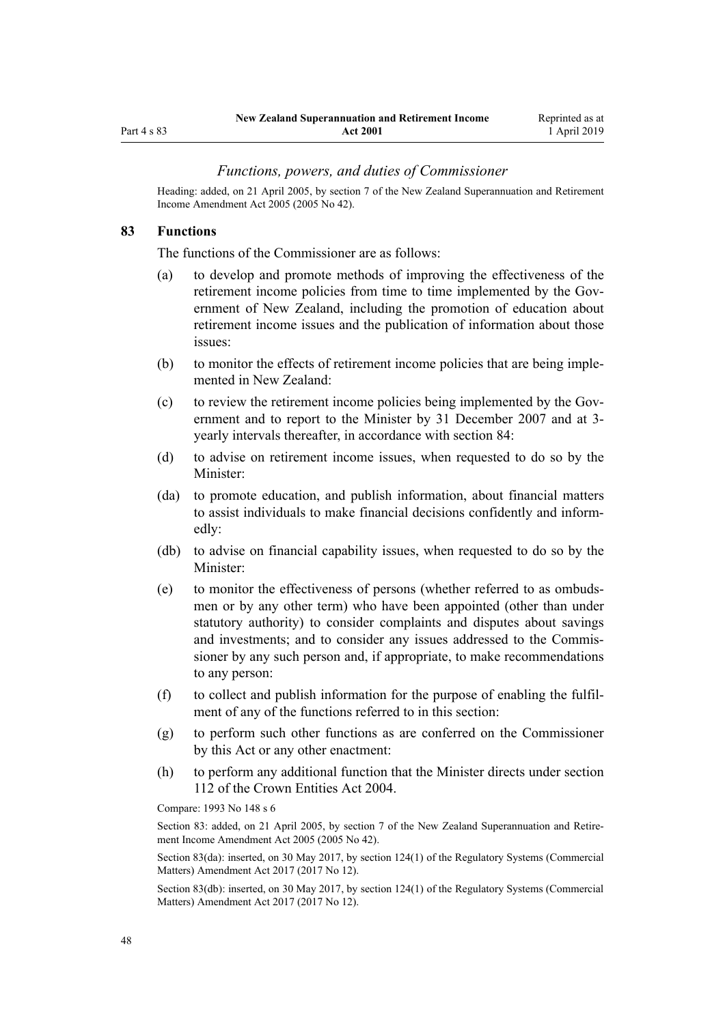<span id="page-47-0"></span>Part 4 s 83

# *Functions, powers, and duties of Commissioner*

Heading: added, on 21 April 2005, by [section 7](http://legislation.govt.nz/pdflink.aspx?id=DLM346478) of the New Zealand Superannuation and Retirement Income Amendment Act 2005 (2005 No 42).

#### **83 Functions**

The functions of the Commissioner are as follows:

- (a) to develop and promote methods of improving the effectiveness of the retirement income policies from time to time implemented by the Government of New Zealand, including the promotion of education about retirement income issues and the publication of information about those issues:
- (b) to monitor the effects of retirement income policies that are being implemented in New Zealand:
- (c) to review the retirement income policies being implemented by the Government and to report to the Minister by 31 December 2007 and at 3 yearly intervals thereafter, in accordance with [section 84](#page-48-0):
- (d) to advise on retirement income issues, when requested to do so by the Minister:
- (da) to promote education, and publish information, about financial matters to assist individuals to make financial decisions confidently and informedly:
- (db) to advise on financial capability issues, when requested to do so by the Minister:
- (e) to monitor the effectiveness of persons (whether referred to as ombudsmen or by any other term) who have been appointed (other than under statutory authority) to consider complaints and disputes about savings and investments; and to consider any issues addressed to the Commissioner by any such person and, if appropriate, to make recommendations to any person:
- (f) to collect and publish information for the purpose of enabling the fulfilment of any of the functions referred to in this section:
- (g) to perform such other functions as are conferred on the Commissioner by this Act or any other enactment:
- (h) to perform any additional function that the Minister directs under [section](http://legislation.govt.nz/pdflink.aspx?id=DLM330360) [112](http://legislation.govt.nz/pdflink.aspx?id=DLM330360) of the Crown Entities Act 2004.

Compare: 1993 No 148 s 6

Section 83: added, on 21 April 2005, by [section 7](http://legislation.govt.nz/pdflink.aspx?id=DLM346478) of the New Zealand Superannuation and Retirement Income Amendment Act 2005 (2005 No 42).

Section 83(da): inserted, on 30 May 2017, by [section 124\(1\)](http://legislation.govt.nz/pdflink.aspx?id=DLM6971839) of the Regulatory Systems (Commercial Matters) Amendment Act 2017 (2017 No 12).

Section 83(db): inserted, on 30 May 2017, by [section 124\(1\)](http://legislation.govt.nz/pdflink.aspx?id=DLM6971839) of the Regulatory Systems (Commercial Matters) Amendment Act 2017 (2017 No 12).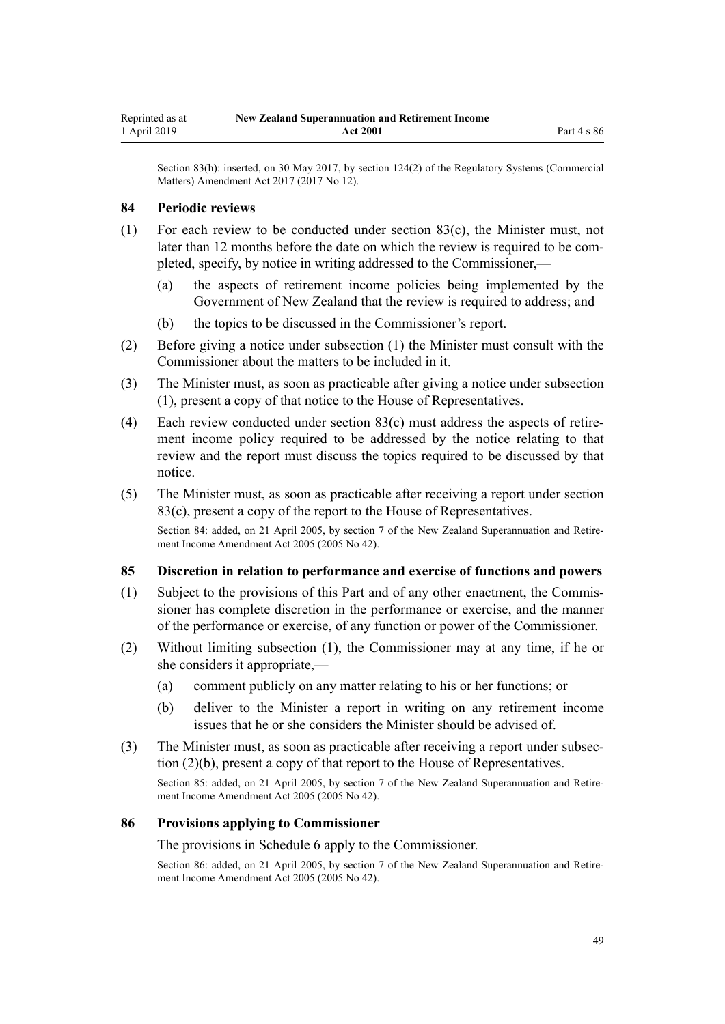<span id="page-48-0"></span>Section 83(h): inserted, on 30 May 2017, by [section 124\(2\)](http://legislation.govt.nz/pdflink.aspx?id=DLM6971839) of the Regulatory Systems (Commercial Matters) Amendment Act 2017 (2017 No 12).

#### **84 Periodic reviews**

- (1) For each review to be conducted under [section 83\(c\),](#page-47-0) the Minister must, not later than 12 months before the date on which the review is required to be completed, specify, by notice in writing addressed to the Commissioner,—
	- (a) the aspects of retirement income policies being implemented by the Government of New Zealand that the review is required to address; and
	- (b) the topics to be discussed in the Commissioner's report.
- (2) Before giving a notice under subsection (1) the Minister must consult with the Commissioner about the matters to be included in it.
- (3) The Minister must, as soon as practicable after giving a notice under subsection (1), present a copy of that notice to the House of Representatives.
- (4) Each review conducted under [section 83\(c\)](#page-47-0) must address the aspects of retirement income policy required to be addressed by the notice relating to that review and the report must discuss the topics required to be discussed by that notice.
- (5) The Minister must, as soon as practicable after receiving a report under [section](#page-47-0) [83\(c\)](#page-47-0), present a copy of the report to the House of Representatives.

Section 84: added, on 21 April 2005, by [section 7](http://legislation.govt.nz/pdflink.aspx?id=DLM346478) of the New Zealand Superannuation and Retirement Income Amendment Act 2005 (2005 No 42).

#### **85 Discretion in relation to performance and exercise of functions and powers**

- (1) Subject to the provisions of this Part and of any other enactment, the Commissioner has complete discretion in the performance or exercise, and the manner of the performance or exercise, of any function or power of the Commissioner.
- (2) Without limiting subsection (1), the Commissioner may at any time, if he or she considers it appropriate,—
	- (a) comment publicly on any matter relating to his or her functions; or
	- (b) deliver to the Minister a report in writing on any retirement income issues that he or she considers the Minister should be advised of.
- (3) The Minister must, as soon as practicable after receiving a report under subsection (2)(b), present a copy of that report to the House of Representatives.

Section 85: added, on 21 April 2005, by [section 7](http://legislation.govt.nz/pdflink.aspx?id=DLM346478) of the New Zealand Superannuation and Retirement Income Amendment Act 2005 (2005 No 42).

#### **86 Provisions applying to Commissioner**

The provisions in [Schedule 6](#page-66-0) apply to the Commissioner.

Section 86: added, on 21 April 2005, by [section 7](http://legislation.govt.nz/pdflink.aspx?id=DLM346478) of the New Zealand Superannuation and Retirement Income Amendment Act 2005 (2005 No 42).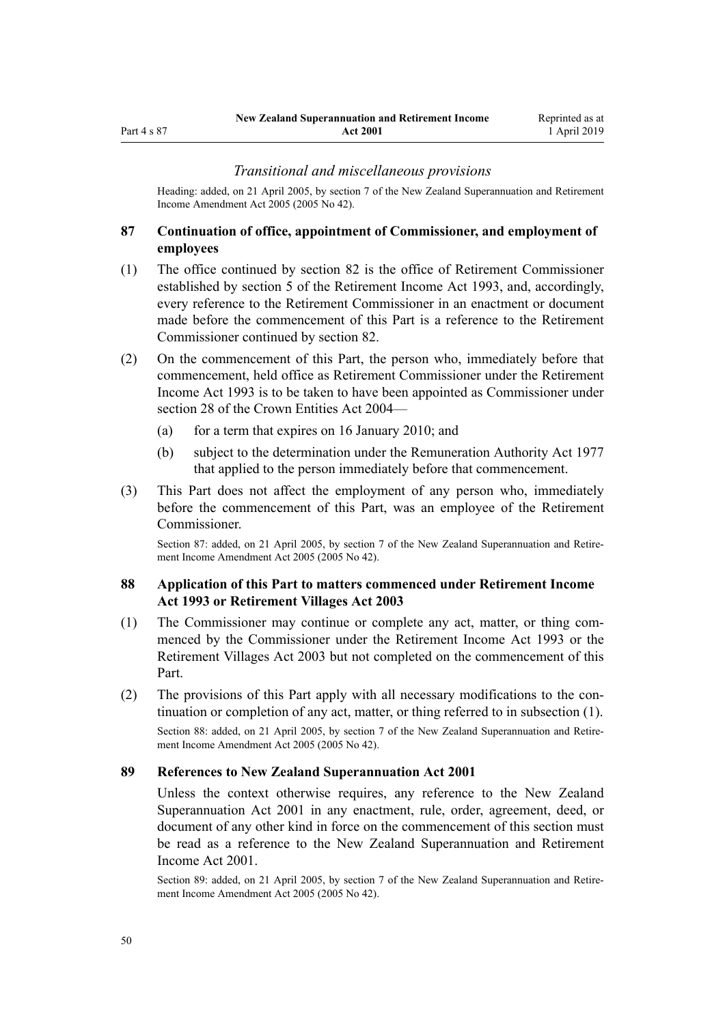#### *Transitional and miscellaneous provisions*

Heading: added, on 21 April 2005, by [section 7](http://legislation.govt.nz/pdflink.aspx?id=DLM346478) of the New Zealand Superannuation and Retirement Income Amendment Act 2005 (2005 No 42).

# **87 Continuation of office, appointment of Commissioner, and employment of employees**

- (1) The office continued by [section 82](#page-46-0) is the office of Retirement Commissioner established by section 5 of the Retirement Income Act 1993, and, accordingly, every reference to the Retirement Commissioner in an enactment or document made before the commencement of this Part is a reference to the Retirement Commissioner continued by section 82.
- (2) On the commencement of this Part, the person who, immediately before that commencement, held office as Retirement Commissioner under the Retirement Income Act 1993 is to be taken to have been appointed as Commissioner under [section 28](http://legislation.govt.nz/pdflink.aspx?id=DLM329954) of the Crown Entities Act 2004—
	- (a) for a term that expires on 16 January 2010; and
	- (b) subject to the determination under the [Remuneration Authority Act 1977](http://legislation.govt.nz/pdflink.aspx?id=DLM15636) that applied to the person immediately before that commencement.
- (3) This Part does not affect the employment of any person who, immediately before the commencement of this Part, was an employee of the Retirement Commissioner.

Section 87: added, on 21 April 2005, by [section 7](http://legislation.govt.nz/pdflink.aspx?id=DLM346478) of the New Zealand Superannuation and Retirement Income Amendment Act 2005 (2005 No 42).

### **88 Application of this Part to matters commenced under Retirement Income Act 1993 or Retirement Villages Act 2003**

- (1) The Commissioner may continue or complete any act, matter, or thing commenced by the Commissioner under the Retirement Income Act 1993 or the [Retirement Villages Act 2003](http://legislation.govt.nz/pdflink.aspx?id=DLM220364) but not completed on the commencement of this Part.
- (2) The provisions of this Part apply with all necessary modifications to the continuation or completion of any act, matter, or thing referred to in subsection (1). Section 88: added, on 21 April 2005, by [section 7](http://legislation.govt.nz/pdflink.aspx?id=DLM346478) of the New Zealand Superannuation and Retirement Income Amendment Act 2005 (2005 No 42).

#### **89 References to New Zealand Superannuation Act 2001**

Unless the context otherwise requires, any reference to the New Zealand Superannuation Act 2001 in any enactment, rule, order, agreement, deed, or document of any other kind in force on the commencement of this section must be read as a reference to the New Zealand Superannuation and Retirement Income Act 2001.

Section 89: added, on 21 April 2005, by [section 7](http://legislation.govt.nz/pdflink.aspx?id=DLM346478) of the New Zealand Superannuation and Retirement Income Amendment Act 2005 (2005 No 42).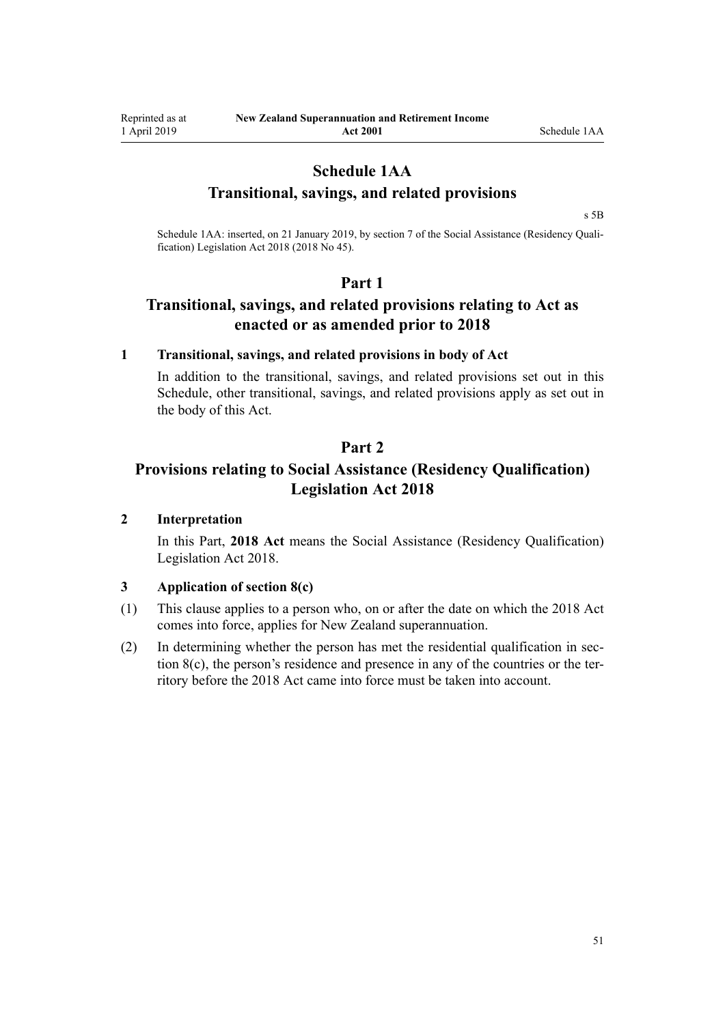# **Schedule 1AA**

# **Transitional, savings, and related provisions**

[s 5B](#page-8-0)

Schedule 1AA: inserted, on 21 January 2019, by [section 7](http://legislation.govt.nz/pdflink.aspx?id=LMS26071) of the Social Assistance (Residency Qualification) Legislation Act 2018 (2018 No 45).

# **Part 1**

# **Transitional, savings, and related provisions relating to Act as enacted or as amended prior to 2018**

# **1 Transitional, savings, and related provisions in body of Act**

In addition to the transitional, savings, and related provisions set out in this Schedule, other transitional, savings, and related provisions apply as set out in the body of this Act.

# **Part 2**

# **Provisions relating to Social Assistance (Residency Qualification) Legislation Act 2018**

# **2 Interpretation**

In this Part, **2018 Act** means the [Social Assistance \(Residency Qualification\)](http://legislation.govt.nz/pdflink.aspx?id=LMS26056) [Legislation Act 2018](http://legislation.govt.nz/pdflink.aspx?id=LMS26056).

#### **3 Application of section 8(c)**

- (1) This clause applies to a person who, on or after the date on which the 2018 Act comes into force, applies for New Zealand superannuation.
- (2) In determining whether the person has met the residential qualification in [sec](#page-9-0)[tion 8\(c\),](#page-9-0) the person's residence and presence in any of the countries or the territory before the 2018 Act came into force must be taken into account.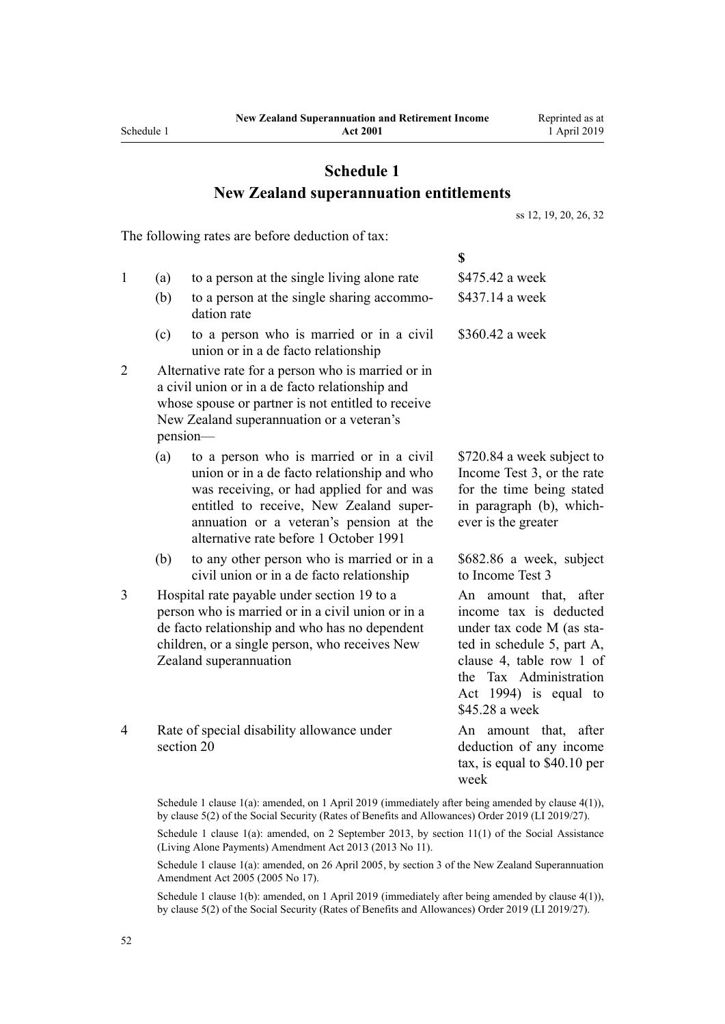# **Schedule 1 New Zealand superannuation entitlements**

[ss 12](#page-11-0), [19,](#page-17-0) [20](#page-18-0), [26,](#page-21-0) [32](#page-28-0)

The following rates are before deduction of tax:

**\$** 1 (a) to a person at the single living alone rate \$475.42 a week (b) to a person at the single sharing accommodation rate \$437.14 a week (c) to a person who is married or in a civil union or in a de facto relationship \$360.42 a week 2 Alternative rate for a person who is married or in a civil union or in a de facto relationship and whose spouse or partner is not entitled to receive New Zealand superannuation or a veteran's pension— (a) to a person who is married or in a civil union or in a de facto relationship and who was receiving, or had applied for and was entitled to receive, New Zealand superannuation or a veteran's pension at the alternative rate before 1 October 1991 \$720.84 a week subject to Income Test 3, or the rate for the time being stated in paragraph (b), whichever is the greater (b) to any other person who is married or in a civil union or in a de facto relationship \$682.86 a week, subject to Income Test 3 3 Hospital rate payable under [section 19](#page-17-0) to a person who is married or in a civil union or in a de facto relationship and who has no dependent children, or a single person, who receives New Zealand superannuation An amount that, after income tax is deducted under tax code M (as stated in schedule 5, part A, clause 4, table row 1 of the Tax Administration Act 1994) is equal to \$45.28 a week 4 Rate of special disability allowance under [section 20](#page-18-0) An amount that, after deduction of any income tax, is equal to \$40.10 per week

Schedule 1 clause 1(a): amended, on 1 April 2019 (immediately after being amended by [clause 4\(1\)\)](http://legislation.govt.nz/pdflink.aspx?id=LMS156280), by [clause 5\(2\)](http://legislation.govt.nz/pdflink.aspx?id=LMS156281) of the Social Security (Rates of Benefits and Allowances) Order 2019 (LI 2019/27).

Schedule 1 clause 1(a): amended, on 2 September 2013, by [section 11\(1\)](http://legislation.govt.nz/pdflink.aspx?id=DLM3365238) of the Social Assistance (Living Alone Payments) Amendment Act 2013 (2013 No 11).

Schedule 1 clause 1(a): amended, on 26 April 2005, by [section 3](http://legislation.govt.nz/pdflink.aspx?id=DLM336342) of the New Zealand Superannuation Amendment Act 2005 (2005 No 17).

Schedule 1 clause 1(b): amended, on 1 April 2019 (immediately after being amended by [clause 4\(1\)\)](http://legislation.govt.nz/pdflink.aspx?id=LMS156280), by [clause 5\(2\)](http://legislation.govt.nz/pdflink.aspx?id=LMS156281) of the Social Security (Rates of Benefits and Allowances) Order 2019 (LI 2019/27).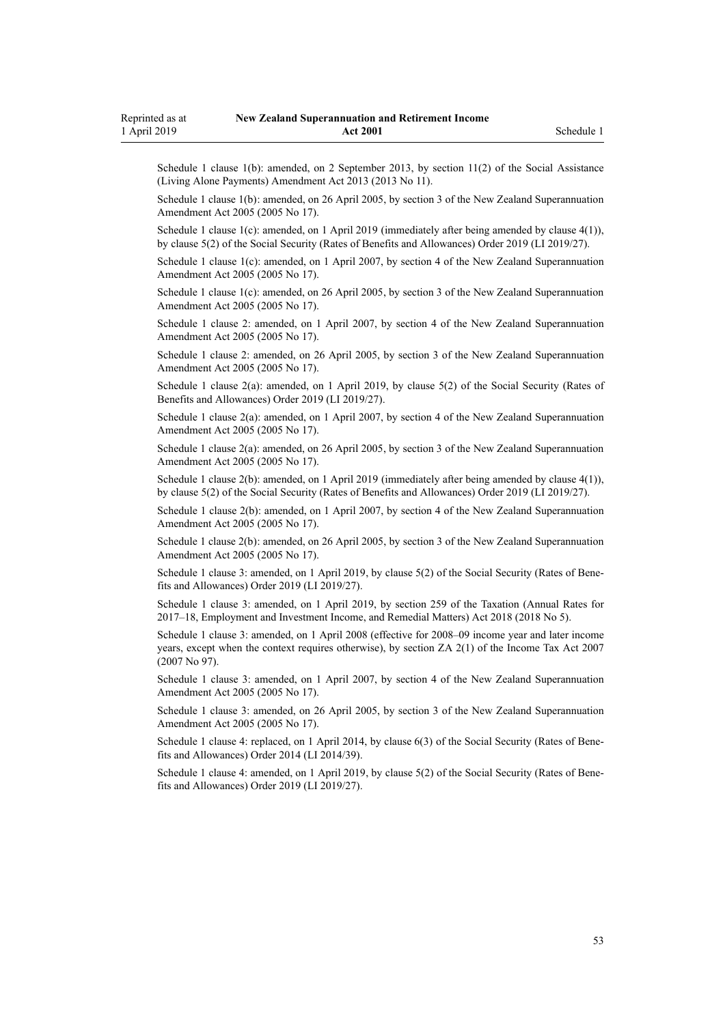Schedule 1 clause 1(b): amended, on 2 September 2013, by [section 11\(2\)](http://legislation.govt.nz/pdflink.aspx?id=DLM3365238) of the Social Assistance (Living Alone Payments) Amendment Act 2013 (2013 No 11).

Schedule 1 clause 1(b): amended, on 26 April 2005, by [section 3](http://legislation.govt.nz/pdflink.aspx?id=DLM336342) of the New Zealand Superannuation Amendment Act 2005 (2005 No 17).

Schedule 1 clause 1(c): amended, on 1 April 2019 (immediately after being amended by [clause 4\(1\)\)](http://legislation.govt.nz/pdflink.aspx?id=LMS156280), by [clause 5\(2\)](http://legislation.govt.nz/pdflink.aspx?id=LMS156281) of the Social Security (Rates of Benefits and Allowances) Order 2019 (LI 2019/27).

Schedule 1 clause 1(c): amended, on 1 April 2007, by [section 4](http://legislation.govt.nz/pdflink.aspx?id=DLM336343) of the New Zealand Superannuation Amendment Act 2005 (2005 No 17).

Schedule 1 clause 1(c): amended, on 26 April 2005, by [section 3](http://legislation.govt.nz/pdflink.aspx?id=DLM336342) of the New Zealand Superannuation Amendment Act 2005 (2005 No 17).

Schedule 1 clause 2: amended, on 1 April 2007, by [section 4](http://legislation.govt.nz/pdflink.aspx?id=DLM336343) of the New Zealand Superannuation Amendment Act 2005 (2005 No 17).

Schedule 1 clause 2: amended, on 26 April 2005, by [section 3](http://legislation.govt.nz/pdflink.aspx?id=DLM336342) of the New Zealand Superannuation Amendment Act 2005 (2005 No 17).

Schedule 1 clause 2(a): amended, on 1 April 2019, by [clause 5\(2\)](http://legislation.govt.nz/pdflink.aspx?id=LMS156281) of the Social Security (Rates of Benefits and Allowances) Order 2019 (LI 2019/27).

Schedule 1 clause 2(a): amended, on 1 April 2007, by [section 4](http://legislation.govt.nz/pdflink.aspx?id=DLM336343) of the New Zealand Superannuation Amendment Act 2005 (2005 No 17).

Schedule 1 clause 2(a): amended, on 26 April 2005, by [section 3](http://legislation.govt.nz/pdflink.aspx?id=DLM336342) of the New Zealand Superannuation Amendment Act 2005 (2005 No 17).

Schedule 1 clause 2(b): amended, on 1 April 2019 (immediately after being amended by [clause 4\(1\)\)](http://legislation.govt.nz/pdflink.aspx?id=LMS156280), by [clause 5\(2\)](http://legislation.govt.nz/pdflink.aspx?id=LMS156281) of the Social Security (Rates of Benefits and Allowances) Order 2019 (LI 2019/27).

Schedule 1 clause 2(b): amended, on 1 April 2007, by [section 4](http://legislation.govt.nz/pdflink.aspx?id=DLM336343) of the New Zealand Superannuation Amendment Act 2005 (2005 No 17).

Schedule 1 clause 2(b): amended, on 26 April 2005, by [section 3](http://legislation.govt.nz/pdflink.aspx?id=DLM336342) of the New Zealand Superannuation Amendment Act 2005 (2005 No 17).

Schedule 1 clause 3: amended, on 1 April 2019, by [clause 5\(2\)](http://legislation.govt.nz/pdflink.aspx?id=LMS156281) of the Social Security (Rates of Benefits and Allowances) Order 2019 (LI 2019/27).

Schedule 1 clause 3: amended, on 1 April 2019, by [section 259](http://legislation.govt.nz/pdflink.aspx?id=LMS12363) of the Taxation (Annual Rates for 2017–18, Employment and Investment Income, and Remedial Matters) Act 2018 (2018 No 5).

Schedule 1 clause 3: amended, on 1 April 2008 (effective for 2008–09 income year and later income years, except when the context requires otherwise), by [section ZA 2\(1\)](http://legislation.govt.nz/pdflink.aspx?id=DLM1523176) of the Income Tax Act 2007 (2007 No 97).

Schedule 1 clause 3: amended, on 1 April 2007, by [section 4](http://legislation.govt.nz/pdflink.aspx?id=DLM336343) of the New Zealand Superannuation Amendment Act 2005 (2005 No 17).

Schedule 1 clause 3: amended, on 26 April 2005, by [section 3](http://legislation.govt.nz/pdflink.aspx?id=DLM336342) of the New Zealand Superannuation Amendment Act 2005 (2005 No 17).

Schedule 1 clause 4: replaced, on 1 April 2014, by [clause 6\(3\)](http://legislation.govt.nz/pdflink.aspx?id=DLM5940923) of the Social Security (Rates of Benefits and Allowances) Order 2014 (LI 2014/39).

Schedule 1 clause 4: amended, on 1 April 2019, by [clause 5\(2\)](http://legislation.govt.nz/pdflink.aspx?id=LMS156281) of the Social Security (Rates of Benefits and Allowances) Order 2019 (LI 2019/27).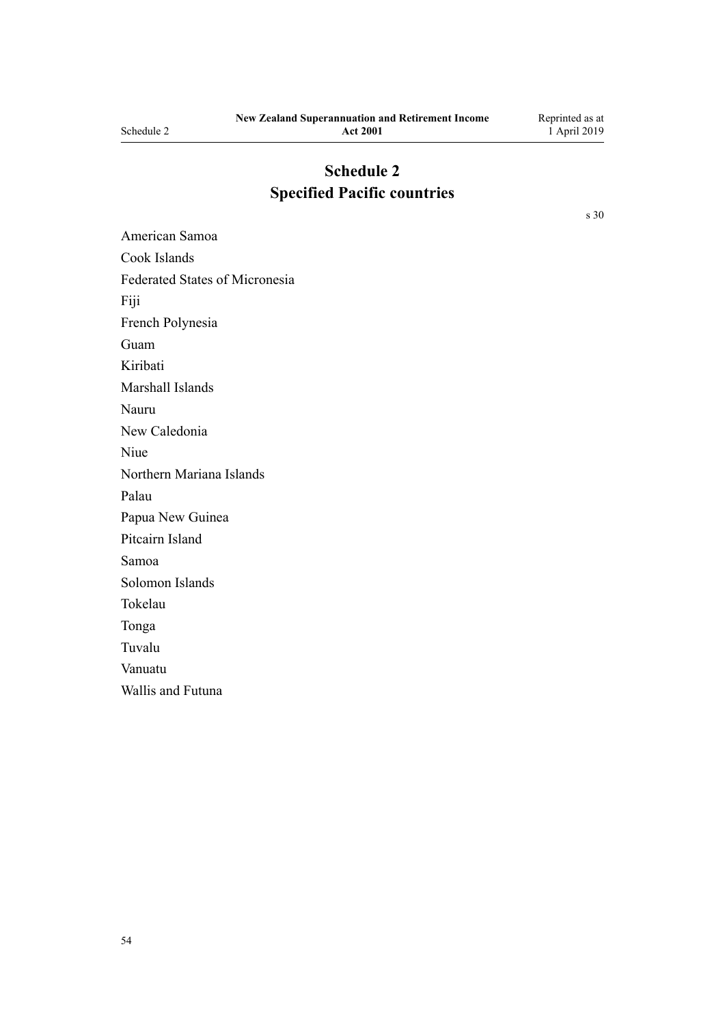# **Schedule 2 Specified Pacific countries**

[s 30](#page-25-0)

American Samoa Cook Islands Federated States of Micronesia Fiji French Polynesia Guam Kiribati Marshall Islands Nauru New Caledonia Niue Northern Mariana Islands Palau Papua New Guinea Pitcairn Island Samoa Solomon Islands Tokelau Tonga Tuvalu Vanuatu Wallis and Futuna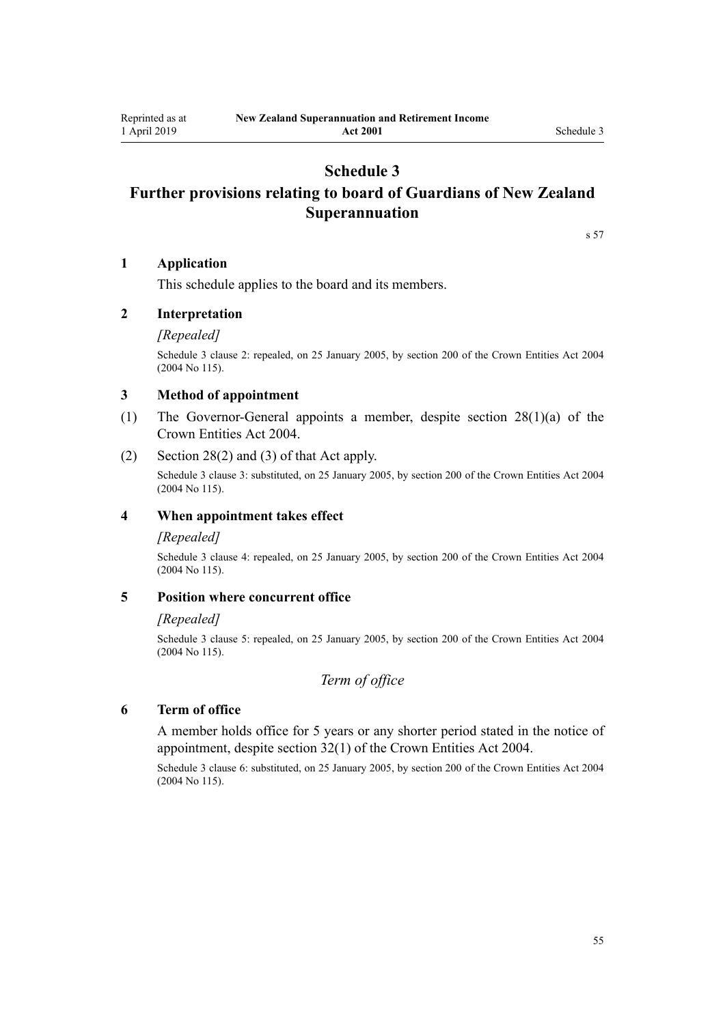# **Schedule 3**

# <span id="page-54-0"></span>**Further provisions relating to board of Guardians of New Zealand Superannuation**

[s 57](#page-36-0)

#### **1 Application**

This schedule applies to the board and its members.

# **2 Interpretation**

#### *[Repealed]*

Schedule 3 clause 2: repealed, on 25 January 2005, by [section 200](http://legislation.govt.nz/pdflink.aspx?id=DLM331111) of the Crown Entities Act 2004 (2004 No 115).

#### **3 Method of appointment**

- (1) The Governor-General appoints a member, despite [section 28\(1\)\(a\)](http://legislation.govt.nz/pdflink.aspx?id=DLM329954) of the Crown Entities Act 2004.
- (2) [Section 28\(2\) and \(3\)](http://legislation.govt.nz/pdflink.aspx?id=DLM329954) of that Act apply.

Schedule 3 clause 3: substituted, on 25 January 2005, by [section 200](http://legislation.govt.nz/pdflink.aspx?id=DLM331111) of the Crown Entities Act 2004 (2004 No 115).

#### **4 When appointment takes effect**

#### *[Repealed]*

Schedule 3 clause 4: repealed, on 25 January 2005, by [section 200](http://legislation.govt.nz/pdflink.aspx?id=DLM331111) of the Crown Entities Act 2004 (2004 No 115).

#### **5 Position where concurrent office**

#### *[Repealed]*

Schedule 3 clause 5: repealed, on 25 January 2005, by [section 200](http://legislation.govt.nz/pdflink.aspx?id=DLM331111) of the Crown Entities Act 2004 (2004 No 115).

# *Term of office*

#### **6 Term of office**

A member holds office for 5 years or any shorter period stated in the notice of appointment, despite [section 32\(1\)](http://legislation.govt.nz/pdflink.aspx?id=DLM329959) of the Crown Entities Act 2004.

Schedule 3 clause 6: substituted, on 25 January 2005, by [section 200](http://legislation.govt.nz/pdflink.aspx?id=DLM331111) of the Crown Entities Act 2004 (2004 No 115).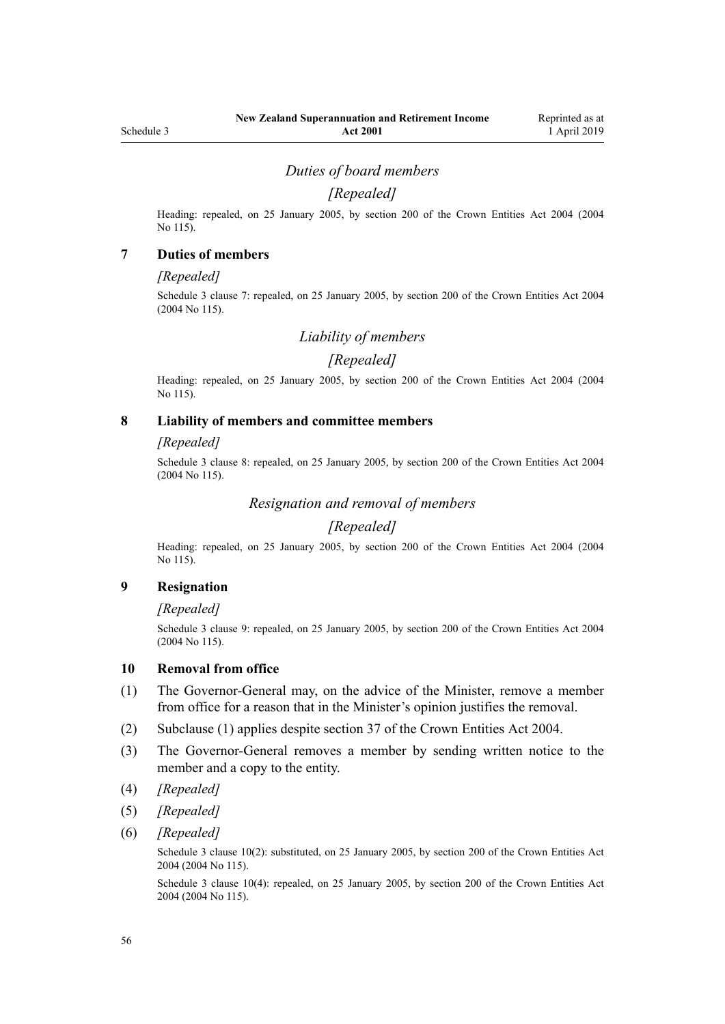# *Duties of board members*

# *[Repealed]*

Heading: repealed, on 25 January 2005, by [section 200](http://legislation.govt.nz/pdflink.aspx?id=DLM331111) of the Crown Entities Act 2004 (2004 No 115).

#### **7 Duties of members**

#### *[Repealed]*

Schedule 3 clause 7: repealed, on 25 January 2005, by [section 200](http://legislation.govt.nz/pdflink.aspx?id=DLM331111) of the Crown Entities Act 2004 (2004 No 115).

### *Liability of members*

#### *[Repealed]*

Heading: repealed, on 25 January 2005, by [section 200](http://legislation.govt.nz/pdflink.aspx?id=DLM331111) of the Crown Entities Act 2004 (2004 No 115).

### **8 Liability of members and committee members**

#### *[Repealed]*

Schedule 3 clause 8: repealed, on 25 January 2005, by [section 200](http://legislation.govt.nz/pdflink.aspx?id=DLM331111) of the Crown Entities Act 2004 (2004 No 115).

# *Resignation and removal of members*

# *[Repealed]*

Heading: repealed, on 25 January 2005, by [section 200](http://legislation.govt.nz/pdflink.aspx?id=DLM331111) of the Crown Entities Act 2004 (2004 No 115).

#### **9 Resignation**

#### *[Repealed]*

Schedule 3 clause 9: repealed, on 25 January 2005, by [section 200](http://legislation.govt.nz/pdflink.aspx?id=DLM331111) of the Crown Entities Act 2004 (2004 No 115).

#### **10 Removal from office**

- (1) The Governor-General may, on the advice of the Minister, remove a member from office for a reason that in the Minister's opinion justifies the removal.
- (2) Subclause (1) applies despite [section 37](http://legislation.govt.nz/pdflink.aspx?id=DLM329964) of the Crown Entities Act 2004.
- (3) The Governor-General removes a member by sending written notice to the member and a copy to the entity.
- (4) *[Repealed]*
- (5) *[Repealed]*
- (6) *[Repealed]*

Schedule 3 clause 10(2): substituted, on 25 January 2005, by [section 200](http://legislation.govt.nz/pdflink.aspx?id=DLM331111) of the Crown Entities Act 2004 (2004 No 115).

Schedule 3 clause 10(4): repealed, on 25 January 2005, by [section 200](http://legislation.govt.nz/pdflink.aspx?id=DLM331111) of the Crown Entities Act 2004 (2004 No 115).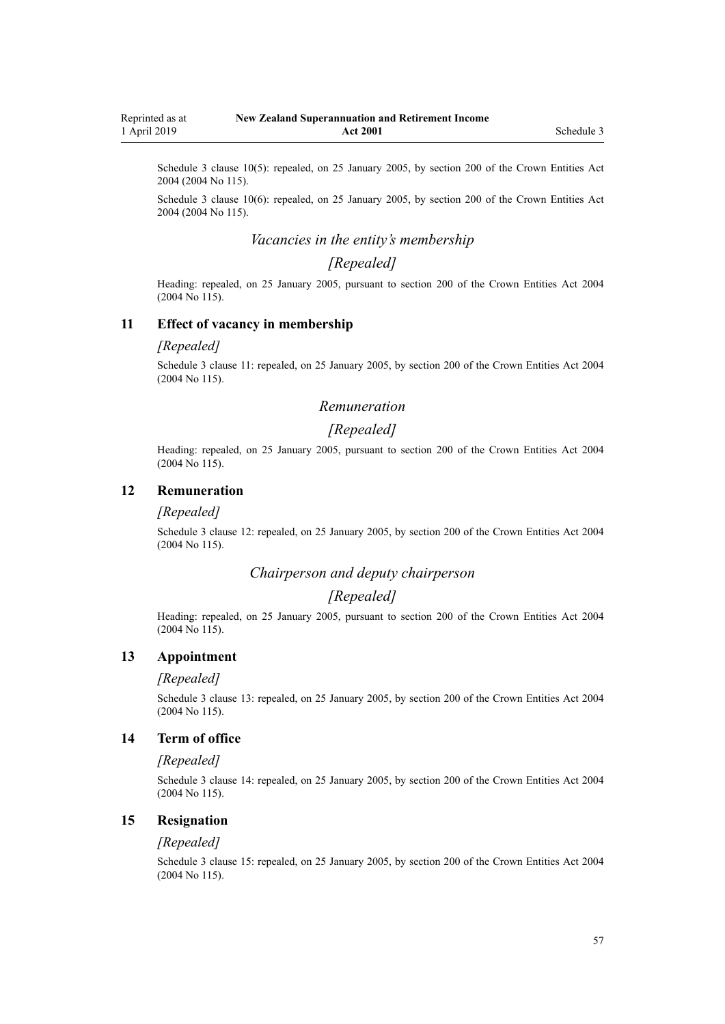Schedule 3 clause 10(5): repealed, on 25 January 2005, by [section 200](http://legislation.govt.nz/pdflink.aspx?id=DLM331111) of the Crown Entities Act 2004 (2004 No 115).

Schedule 3 clause 10(6): repealed, on 25 January 2005, by [section 200](http://legislation.govt.nz/pdflink.aspx?id=DLM331111) of the Crown Entities Act 2004 (2004 No 115).

# *Vacancies in the entity's membership*

# *[Repealed]*

Heading: repealed, on 25 January 2005, pursuant to [section 200](http://legislation.govt.nz/pdflink.aspx?id=DLM331111) of the Crown Entities Act 2004 (2004 No 115).

#### **11 Effect of vacancy in membership**

#### *[Repealed]*

Schedule 3 clause 11: repealed, on 25 January 2005, by [section 200](http://legislation.govt.nz/pdflink.aspx?id=DLM331111) of the Crown Entities Act 2004 (2004 No 115).

#### *Remuneration*

### *[Repealed]*

Heading: repealed, on 25 January 2005, pursuant to [section 200](http://legislation.govt.nz/pdflink.aspx?id=DLM331111) of the Crown Entities Act 2004 (2004 No 115).

#### **12 Remuneration**

#### *[Repealed]*

Schedule 3 clause 12: repealed, on 25 January 2005, by [section 200](http://legislation.govt.nz/pdflink.aspx?id=DLM331111) of the Crown Entities Act 2004 (2004 No 115).

#### *Chairperson and deputy chairperson*

# *[Repealed]*

Heading: repealed, on 25 January 2005, pursuant to [section 200](http://legislation.govt.nz/pdflink.aspx?id=DLM331111) of the Crown Entities Act 2004 (2004 No 115).

#### **13 Appointment**

#### *[Repealed]*

Schedule 3 clause 13: repealed, on 25 January 2005, by [section 200](http://legislation.govt.nz/pdflink.aspx?id=DLM331111) of the Crown Entities Act 2004 (2004 No 115).

### **14 Term of office**

#### *[Repealed]*

Schedule 3 clause 14: repealed, on 25 January 2005, by [section 200](http://legislation.govt.nz/pdflink.aspx?id=DLM331111) of the Crown Entities Act 2004 (2004 No 115).

### **15 Resignation**

#### *[Repealed]*

Schedule 3 clause 15: repealed, on 25 January 2005, by [section 200](http://legislation.govt.nz/pdflink.aspx?id=DLM331111) of the Crown Entities Act 2004 (2004 No 115).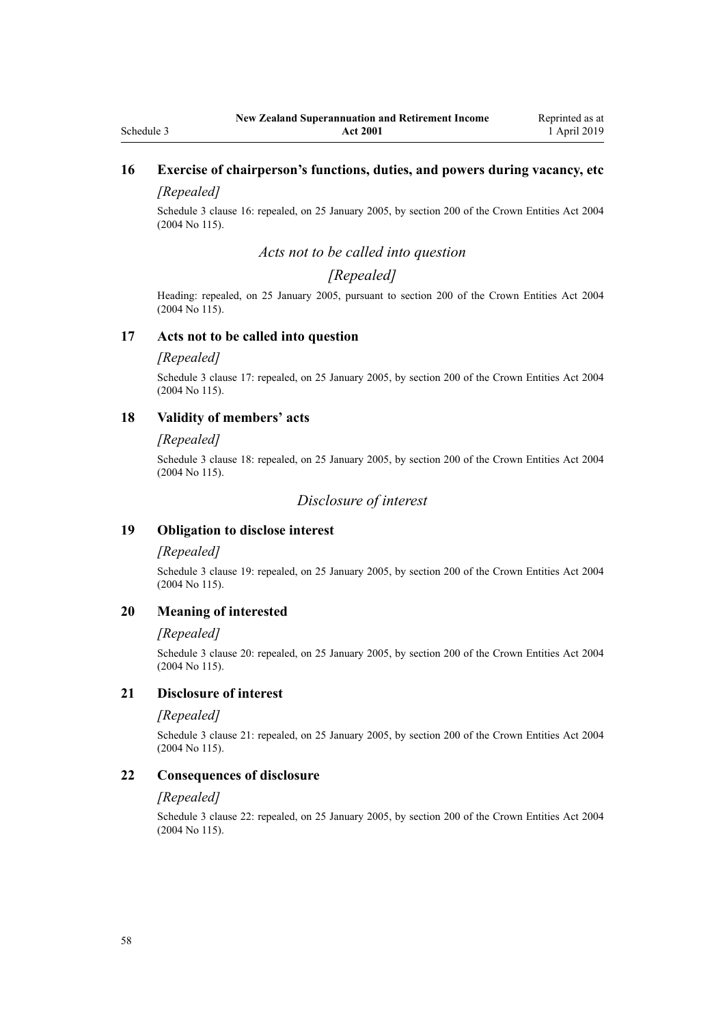# **16 Exercise of chairperson's functions, duties, and powers during vacancy, etc**

# *[Repealed]*

Schedule 3 clause 16: repealed, on 25 January 2005, by [section 200](http://legislation.govt.nz/pdflink.aspx?id=DLM331111) of the Crown Entities Act 2004 (2004 No 115).

### *Acts not to be called into question*

# *[Repealed]*

Heading: repealed, on 25 January 2005, pursuant to [section 200](http://legislation.govt.nz/pdflink.aspx?id=DLM331111) of the Crown Entities Act 2004 (2004 No 115).

#### **17 Acts not to be called into question**

#### *[Repealed]*

Schedule 3 clause 17: repealed, on 25 January 2005, by [section 200](http://legislation.govt.nz/pdflink.aspx?id=DLM331111) of the Crown Entities Act 2004 (2004 No 115).

#### **18 Validity of members' acts**

#### *[Repealed]*

Schedule 3 clause 18: repealed, on 25 January 2005, by [section 200](http://legislation.govt.nz/pdflink.aspx?id=DLM331111) of the Crown Entities Act 2004 (2004 No 115).

# *Disclosure of interest*

### **19 Obligation to disclose interest**

### *[Repealed]*

Schedule 3 clause 19: repealed, on 25 January 2005, by [section 200](http://legislation.govt.nz/pdflink.aspx?id=DLM331111) of the Crown Entities Act 2004 (2004 No 115).

#### **20 Meaning of interested**

#### *[Repealed]*

Schedule 3 clause 20: repealed, on 25 January 2005, by [section 200](http://legislation.govt.nz/pdflink.aspx?id=DLM331111) of the Crown Entities Act 2004 (2004 No 115).

#### **21 Disclosure of interest**

#### *[Repealed]*

Schedule 3 clause 21: repealed, on 25 January 2005, by [section 200](http://legislation.govt.nz/pdflink.aspx?id=DLM331111) of the Crown Entities Act 2004 (2004 No 115).

#### **22 Consequences of disclosure**

#### *[Repealed]*

Schedule 3 clause 22: repealed, on 25 January 2005, by [section 200](http://legislation.govt.nz/pdflink.aspx?id=DLM331111) of the Crown Entities Act 2004 (2004 No 115).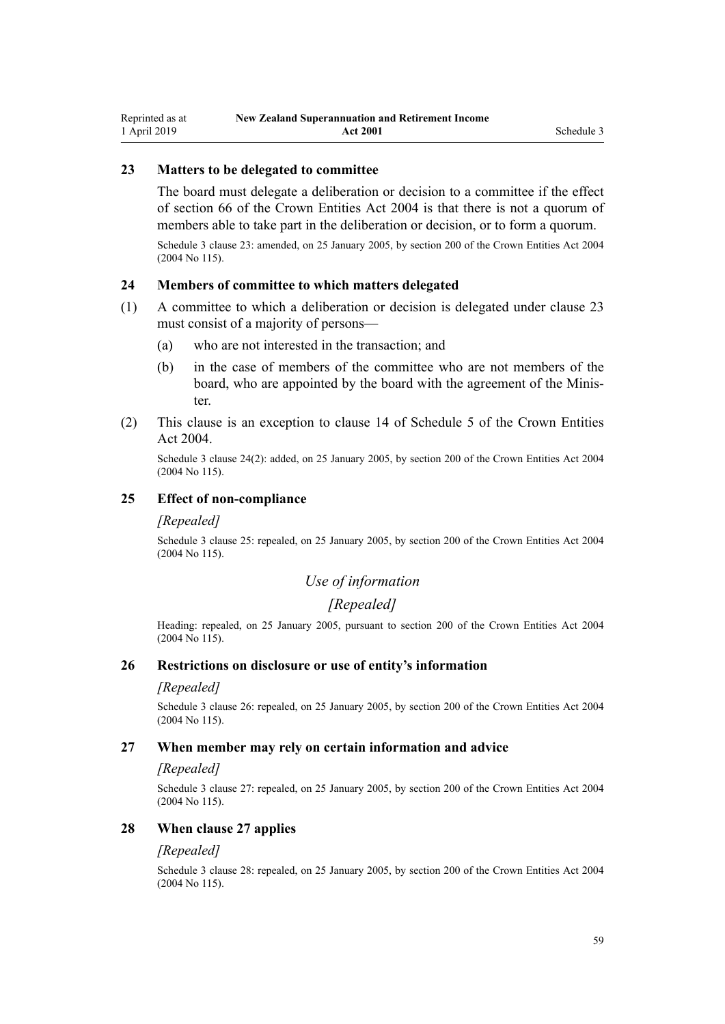# **23 Matters to be delegated to committee**

The board must delegate a deliberation or decision to a committee if the effect of [section 66](http://legislation.govt.nz/pdflink.aspx?id=DLM330300) of the Crown Entities Act 2004 is that there is not a quorum of members able to take part in the deliberation or decision, or to form a quorum.

Schedule 3 clause 23: amended, on 25 January 2005, by [section 200](http://legislation.govt.nz/pdflink.aspx?id=DLM331111) of the Crown Entities Act 2004 (2004 No 115).

# **24 Members of committee to which matters delegated**

- (1) A committee to which a deliberation or decision is delegated under clause 23 must consist of a majority of persons—
	- (a) who are not interested in the transaction; and
	- (b) in the case of members of the committee who are not members of the board, who are appointed by the board with the agreement of the Minister.
- (2) This clause is an exception to [clause 14](http://legislation.govt.nz/pdflink.aspx?id=DLM331147) of Schedule 5 of the Crown Entities Act 2004.

Schedule 3 clause 24(2): added, on 25 January 2005, by [section 200](http://legislation.govt.nz/pdflink.aspx?id=DLM331111) of the Crown Entities Act 2004 (2004 No 115).

### **25 Effect of non-compliance**

#### *[Repealed]*

Schedule 3 clause 25: repealed, on 25 January 2005, by [section 200](http://legislation.govt.nz/pdflink.aspx?id=DLM331111) of the Crown Entities Act 2004 (2004 No 115).

# *Use of information*

# *[Repealed]*

Heading: repealed, on 25 January 2005, pursuant to [section 200](http://legislation.govt.nz/pdflink.aspx?id=DLM331111) of the Crown Entities Act 2004 (2004 No 115).

#### **26 Restrictions on disclosure or use of entity's information**

#### *[Repealed]*

Schedule 3 clause 26: repealed, on 25 January 2005, by [section 200](http://legislation.govt.nz/pdflink.aspx?id=DLM331111) of the Crown Entities Act 2004 (2004 No 115).

#### **27 When member may rely on certain information and advice**

#### *[Repealed]*

Schedule 3 clause 27: repealed, on 25 January 2005, by [section 200](http://legislation.govt.nz/pdflink.aspx?id=DLM331111) of the Crown Entities Act 2004 (2004 No 115).

#### **28 When clause 27 applies**

#### *[Repealed]*

Schedule 3 clause 28: repealed, on 25 January 2005, by [section 200](http://legislation.govt.nz/pdflink.aspx?id=DLM331111) of the Crown Entities Act 2004 (2004 No 115).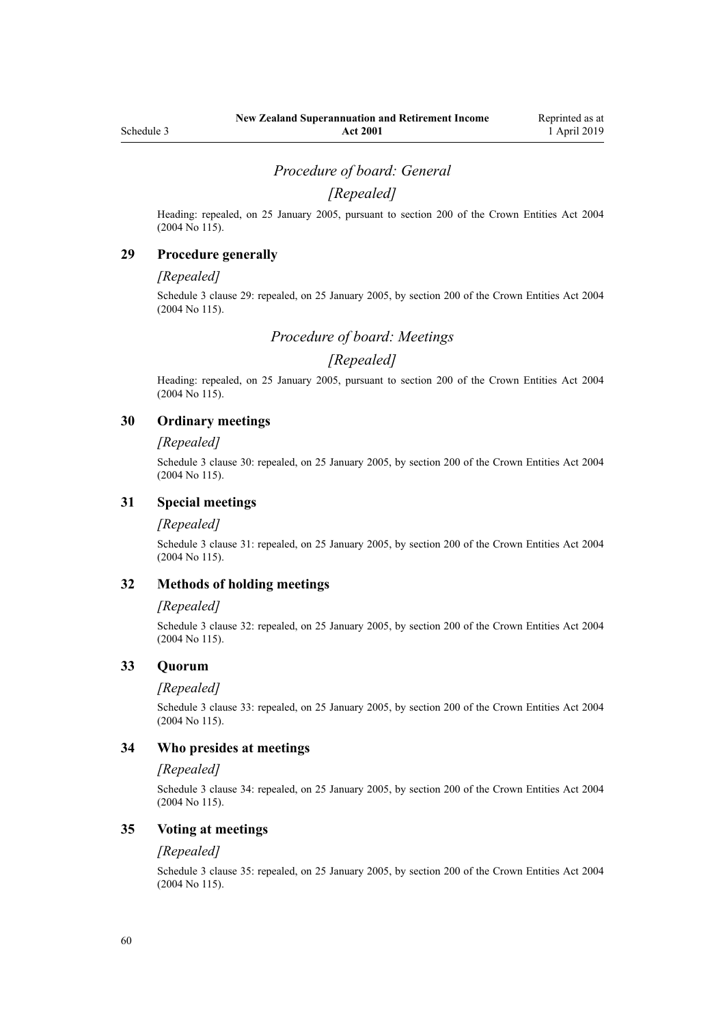# *Procedure of board: General*

# *[Repealed]*

Heading: repealed, on 25 January 2005, pursuant to [section 200](http://legislation.govt.nz/pdflink.aspx?id=DLM331111) of the Crown Entities Act 2004 (2004 No 115).

### **29 Procedure generally**

#### *[Repealed]*

Schedule 3 clause 29: repealed, on 25 January 2005, by [section 200](http://legislation.govt.nz/pdflink.aspx?id=DLM331111) of the Crown Entities Act 2004 (2004 No 115).

*Procedure of board: Meetings*

# *[Repealed]*

Heading: repealed, on 25 January 2005, pursuant to [section 200](http://legislation.govt.nz/pdflink.aspx?id=DLM331111) of the Crown Entities Act 2004 (2004 No 115).

# **30 Ordinary meetings**

#### *[Repealed]*

Schedule 3 clause 30: repealed, on 25 January 2005, by [section 200](http://legislation.govt.nz/pdflink.aspx?id=DLM331111) of the Crown Entities Act 2004 (2004 No 115).

### **31 Special meetings**

#### *[Repealed]*

Schedule 3 clause 31: repealed, on 25 January 2005, by [section 200](http://legislation.govt.nz/pdflink.aspx?id=DLM331111) of the Crown Entities Act 2004 (2004 No 115).

#### **32 Methods of holding meetings**

#### *[Repealed]*

Schedule 3 clause 32: repealed, on 25 January 2005, by [section 200](http://legislation.govt.nz/pdflink.aspx?id=DLM331111) of the Crown Entities Act 2004 (2004 No 115).

#### **33 Quorum**

#### *[Repealed]*

Schedule 3 clause 33: repealed, on 25 January 2005, by [section 200](http://legislation.govt.nz/pdflink.aspx?id=DLM331111) of the Crown Entities Act 2004 (2004 No 115).

#### **34 Who presides at meetings**

#### *[Repealed]*

Schedule 3 clause 34: repealed, on 25 January 2005, by [section 200](http://legislation.govt.nz/pdflink.aspx?id=DLM331111) of the Crown Entities Act 2004 (2004 No 115).

#### **35 Voting at meetings**

#### *[Repealed]*

Schedule 3 clause 35: repealed, on 25 January 2005, by [section 200](http://legislation.govt.nz/pdflink.aspx?id=DLM331111) of the Crown Entities Act 2004 (2004 No 115).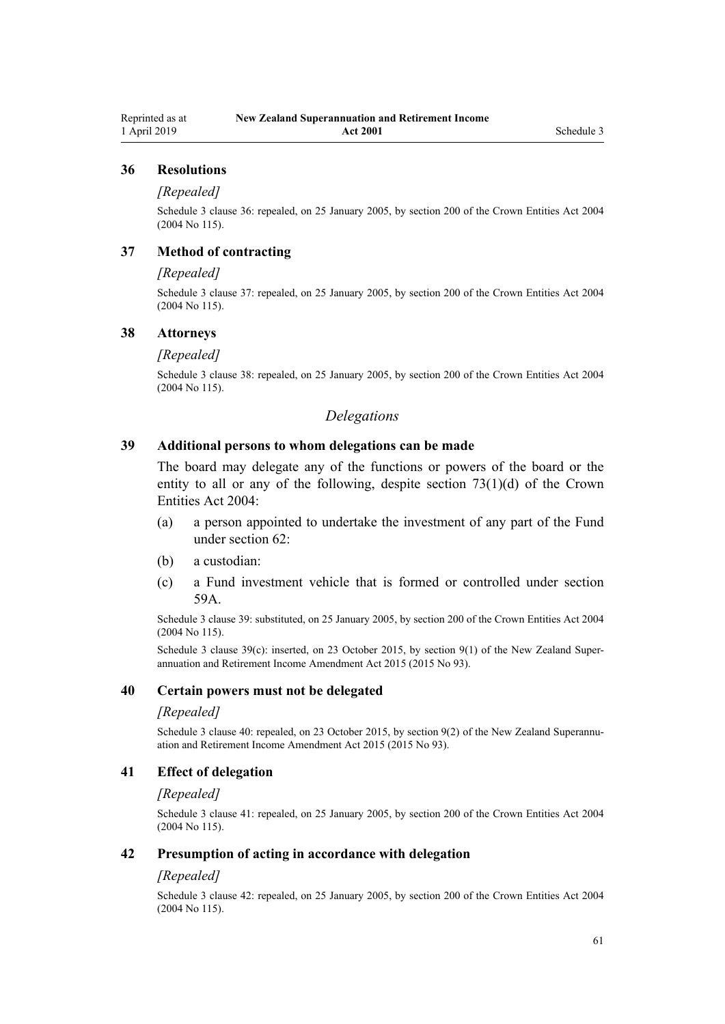#### **36 Resolutions**

#### *[Repealed]*

Schedule 3 clause 36: repealed, on 25 January 2005, by [section 200](http://legislation.govt.nz/pdflink.aspx?id=DLM331111) of the Crown Entities Act 2004 (2004 No 115).

# **37 Method of contracting**

#### *[Repealed]*

Schedule 3 clause 37: repealed, on 25 January 2005, by [section 200](http://legislation.govt.nz/pdflink.aspx?id=DLM331111) of the Crown Entities Act 2004 (2004 No 115).

#### **38 Attorneys**

#### *[Repealed]*

Schedule 3 clause 38: repealed, on 25 January 2005, by [section 200](http://legislation.govt.nz/pdflink.aspx?id=DLM331111) of the Crown Entities Act 2004 (2004 No 115).

### *Delegations*

### **39 Additional persons to whom delegations can be made**

The board may delegate any of the functions or powers of the board or the entity to all or any of the following, despite section  $73(1)(d)$  of the Crown Entities Act 2004:

- (a) a person appointed to undertake the investment of any part of the Fund under [section 62](#page-39-0):
- (b) a custodian:
- (c) a Fund investment vehicle that is formed or controlled under [section](#page-38-0) [59A](#page-38-0).

Schedule 3 clause 39: substituted, on 25 January 2005, by [section 200](http://legislation.govt.nz/pdflink.aspx?id=DLM331111) of the Crown Entities Act 2004 (2004 No 115).

Schedule 3 clause 39(c): inserted, on 23 October 2015, by [section 9\(1\)](http://legislation.govt.nz/pdflink.aspx?id=DLM5708819) of the New Zealand Superannuation and Retirement Income Amendment Act 2015 (2015 No 93).

#### **40 Certain powers must not be delegated**

#### *[Repealed]*

Schedule 3 clause 40: repealed, on 23 October 2015, by [section 9\(2\)](http://legislation.govt.nz/pdflink.aspx?id=DLM5708819) of the New Zealand Superannuation and Retirement Income Amendment Act 2015 (2015 No 93).

# **41 Effect of delegation**

#### *[Repealed]*

Schedule 3 clause 41: repealed, on 25 January 2005, by [section 200](http://legislation.govt.nz/pdflink.aspx?id=DLM331111) of the Crown Entities Act 2004 (2004 No 115).

#### **42 Presumption of acting in accordance with delegation**

#### *[Repealed]*

Schedule 3 clause 42: repealed, on 25 January 2005, by [section 200](http://legislation.govt.nz/pdflink.aspx?id=DLM331111) of the Crown Entities Act 2004 (2004 No 115).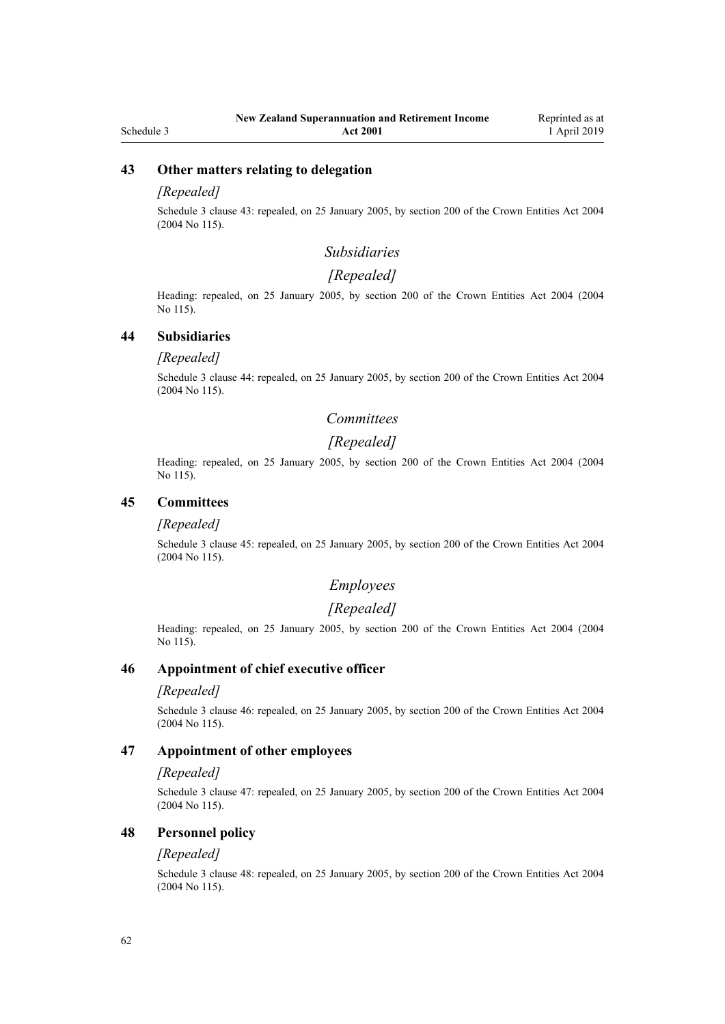#### Schedule 3

# **43 Other matters relating to delegation**

#### *[Repealed]*

Schedule 3 clause 43: repealed, on 25 January 2005, by [section 200](http://legislation.govt.nz/pdflink.aspx?id=DLM331111) of the Crown Entities Act 2004 (2004 No 115).

### *Subsidiaries*

#### *[Repealed]*

Heading: repealed, on 25 January 2005, by [section 200](http://legislation.govt.nz/pdflink.aspx?id=DLM331111) of the Crown Entities Act 2004 (2004 No 115).

### **44 Subsidiaries**

#### *[Repealed]*

Schedule 3 clause 44: repealed, on 25 January 2005, by [section 200](http://legislation.govt.nz/pdflink.aspx?id=DLM331111) of the Crown Entities Act 2004 (2004 No 115).

# *Committees*

### *[Repealed]*

Heading: repealed, on 25 January 2005, by [section 200](http://legislation.govt.nz/pdflink.aspx?id=DLM331111) of the Crown Entities Act 2004 (2004 No 115).

#### **45 Committees**

#### *[Repealed]*

Schedule 3 clause 45: repealed, on 25 January 2005, by [section 200](http://legislation.govt.nz/pdflink.aspx?id=DLM331111) of the Crown Entities Act 2004 (2004 No 115).

# *Employees*

# *[Repealed]*

Heading: repealed, on 25 January 2005, by [section 200](http://legislation.govt.nz/pdflink.aspx?id=DLM331111) of the Crown Entities Act 2004 (2004 No 115).

#### **46 Appointment of chief executive officer**

### *[Repealed]*

Schedule 3 clause 46: repealed, on 25 January 2005, by [section 200](http://legislation.govt.nz/pdflink.aspx?id=DLM331111) of the Crown Entities Act 2004 (2004 No 115).

#### **47 Appointment of other employees**

#### *[Repealed]*

Schedule 3 clause 47: repealed, on 25 January 2005, by [section 200](http://legislation.govt.nz/pdflink.aspx?id=DLM331111) of the Crown Entities Act 2004 (2004 No 115).

### **48 Personnel policy**

#### *[Repealed]*

Schedule 3 clause 48: repealed, on 25 January 2005, by [section 200](http://legislation.govt.nz/pdflink.aspx?id=DLM331111) of the Crown Entities Act 2004 (2004 No 115).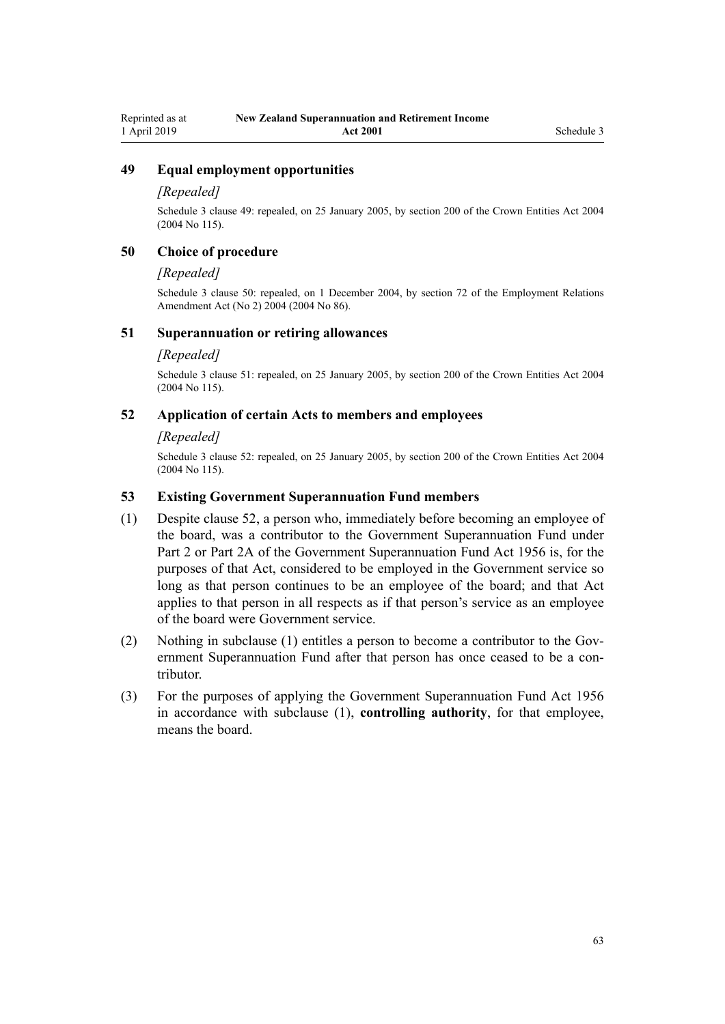# **49 Equal employment opportunities**

#### *[Repealed]*

Schedule 3 clause 49: repealed, on 25 January 2005, by [section 200](http://legislation.govt.nz/pdflink.aspx?id=DLM331111) of the Crown Entities Act 2004 (2004 No 115).

# **50 Choice of procedure**

#### *[Repealed]*

Schedule 3 clause 50: repealed, on 1 December 2004, by [section 72](http://legislation.govt.nz/pdflink.aspx?id=DLM316477) of the Employment Relations Amendment Act (No 2) 2004 (2004 No 86).

#### **51 Superannuation or retiring allowances**

#### *[Repealed]*

Schedule 3 clause 51: repealed, on 25 January 2005, by [section 200](http://legislation.govt.nz/pdflink.aspx?id=DLM331111) of the Crown Entities Act 2004 (2004 No 115).

#### **52 Application of certain Acts to members and employees**

#### *[Repealed]*

Schedule 3 clause 52: repealed, on 25 January 2005, by [section 200](http://legislation.govt.nz/pdflink.aspx?id=DLM331111) of the Crown Entities Act 2004 (2004 No 115).

#### **53 Existing Government Superannuation Fund members**

- (1) Despite clause 52, a person who, immediately before becoming an employee of the board, was a contributor to the Government Superannuation Fund under [Part 2](http://legislation.govt.nz/pdflink.aspx?id=DLM446395) or [Part 2A](http://legislation.govt.nz/pdflink.aspx?id=DLM446842) of the Government Superannuation Fund Act 1956 is, for the purposes of that Act, considered to be employed in the Government service so long as that person continues to be an employee of the board; and that Act applies to that person in all respects as if that person's service as an employee of the board were Government service.
- (2) Nothing in subclause (1) entitles a person to become a contributor to the Government Superannuation Fund after that person has once ceased to be a contributor.
- (3) For the purposes of applying the [Government Superannuation Fund Act 1956](http://legislation.govt.nz/pdflink.aspx?id=DLM446000) in accordance with subclause (1), **controlling authority**, for that employee, means the board.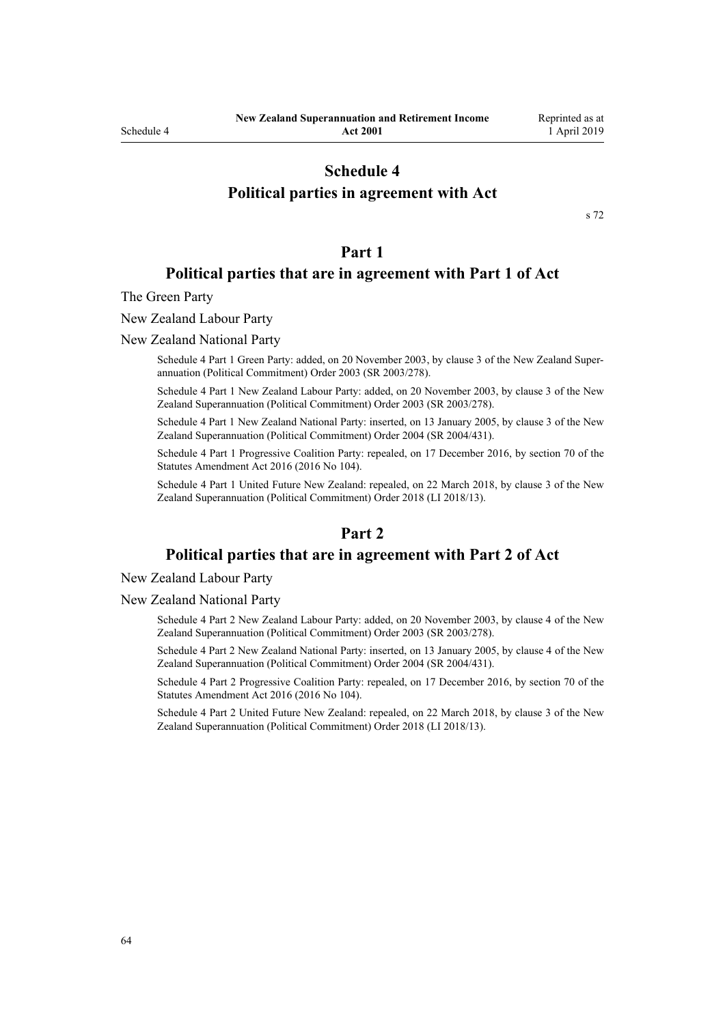# **Schedule 4**

# <span id="page-63-0"></span>**Political parties in agreement with Act**

[s 72](#page-43-0)

# **Part 1**

# **Political parties that are in agreement with Part 1 of Act**

The Green Party

New Zealand Labour Party

New Zealand National Party

Schedule 4 Part 1 Green Party: added, on 20 November 2003, by [clause 3](http://legislation.govt.nz/pdflink.aspx?id=DLM216849) of the New Zealand Superannuation (Political Commitment) Order 2003 (SR 2003/278).

Schedule 4 Part 1 New Zealand Labour Party: added, on 20 November 2003, by [clause 3](http://legislation.govt.nz/pdflink.aspx?id=DLM216849) of the New Zealand Superannuation (Political Commitment) Order 2003 (SR 2003/278).

Schedule 4 Part 1 New Zealand National Party: inserted, on 13 January 2005, by [clause 3](http://legislation.govt.nz/pdflink.aspx?id=DLM304133) of the New Zealand Superannuation (Political Commitment) Order 2004 (SR 2004/431).

Schedule 4 Part 1 Progressive Coalition Party: repealed, on 17 December 2016, by [section 70](http://legislation.govt.nz/pdflink.aspx?id=DLM6623847) of the Statutes Amendment Act 2016 (2016 No 104).

Schedule 4 Part 1 United Future New Zealand: repealed, on 22 March 2018, by [clause 3](http://legislation.govt.nz/pdflink.aspx?id=LMS10889) of the New Zealand Superannuation (Political Commitment) Order 2018 (LI 2018/13).

# **Part 2**

# **Political parties that are in agreement with Part 2 of Act**

New Zealand Labour Party

New Zealand National Party

Schedule 4 Part 2 New Zealand Labour Party: added, on 20 November 2003, by [clause 4](http://legislation.govt.nz/pdflink.aspx?id=DLM216852) of the New Zealand Superannuation (Political Commitment) Order 2003 (SR 2003/278).

Schedule 4 Part 2 New Zealand National Party: inserted, on 13 January 2005, by [clause 4](http://legislation.govt.nz/pdflink.aspx?id=DLM304134) of the New Zealand Superannuation (Political Commitment) Order 2004 (SR 2004/431).

Schedule 4 Part 2 Progressive Coalition Party: repealed, on 17 December 2016, by [section 70](http://legislation.govt.nz/pdflink.aspx?id=DLM6623847) of the Statutes Amendment Act 2016 (2016 No 104).

Schedule 4 Part 2 United Future New Zealand: repealed, on 22 March 2018, by [clause 3](http://legislation.govt.nz/pdflink.aspx?id=LMS10889) of the New Zealand Superannuation (Political Commitment) Order 2018 (LI 2018/13).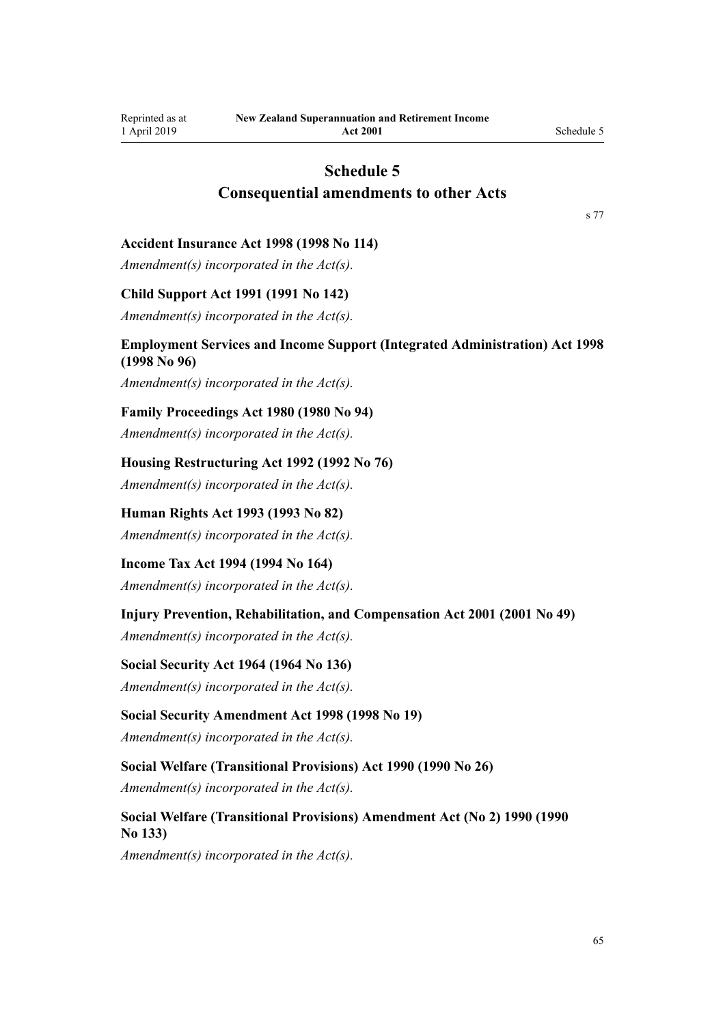# **Schedule 5 Consequential amendments to other Acts**

[s 77](#page-45-0)

#### <span id="page-64-0"></span>**Accident Insurance Act 1998 (1998 No 114)**

*Amendment(s) incorporated in the Act(s).*

#### **Child Support Act 1991 (1991 No 142)**

*Amendment(s) incorporated in the [Act\(s\).](http://legislation.govt.nz/pdflink.aspx?id=DLM256015)*

# **Employment Services and Income Support (Integrated Administration) Act 1998 (1998 No 96)**

*Amendment(s) incorporated in the [Act\(s\).](http://legislation.govt.nz/pdflink.aspx?id=DLM429015)*

#### **Family Proceedings Act 1980 (1980 No 94)**

*Amendment(s) incorporated in the [Act\(s\).](http://legislation.govt.nz/pdflink.aspx?id=DLM41238)*

### **Housing Restructuring Act 1992 (1992 No 76)**

*Amendment(s) incorporated in the [Act\(s\).](http://legislation.govt.nz/pdflink.aspx?id=DLM269812)*

# **Human Rights Act 1993 (1993 No 82)**

*Amendment(s) incorporated in the [Act\(s\).](http://legislation.govt.nz/pdflink.aspx?id=DLM304475)*

# **Income Tax Act 1994 (1994 No 164)**

*Amendment(s) incorporated in the Act(s).*

# **Injury Prevention, Rehabilitation, and Compensation Act 2001 (2001 No 49)**

*Amendment(s) incorporated in the [Act\(s\).](http://legislation.govt.nz/pdflink.aspx?id=DLM100103)*

#### **Social Security Act 1964 (1964 No 136)**

*Amendment(s) incorporated in the [Act\(s\).](http://legislation.govt.nz/pdflink.aspx?id=DLM359146)*

#### **Social Security Amendment Act 1998 (1998 No 19)**

*Amendment(s) incorporated in the [Act\(s\).](http://legislation.govt.nz/pdflink.aspx?id=DLM426027)*

### **Social Welfare (Transitional Provisions) Act 1990 (1990 No 26)**

*Amendment(s) incorporated in the [Act\(s\).](http://legislation.govt.nz/pdflink.aspx?id=DLM204101)*

# **Social Welfare (Transitional Provisions) Amendment Act (No 2) 1990 (1990 No 133)**

*Amendment(s) incorporated in the Act(s).*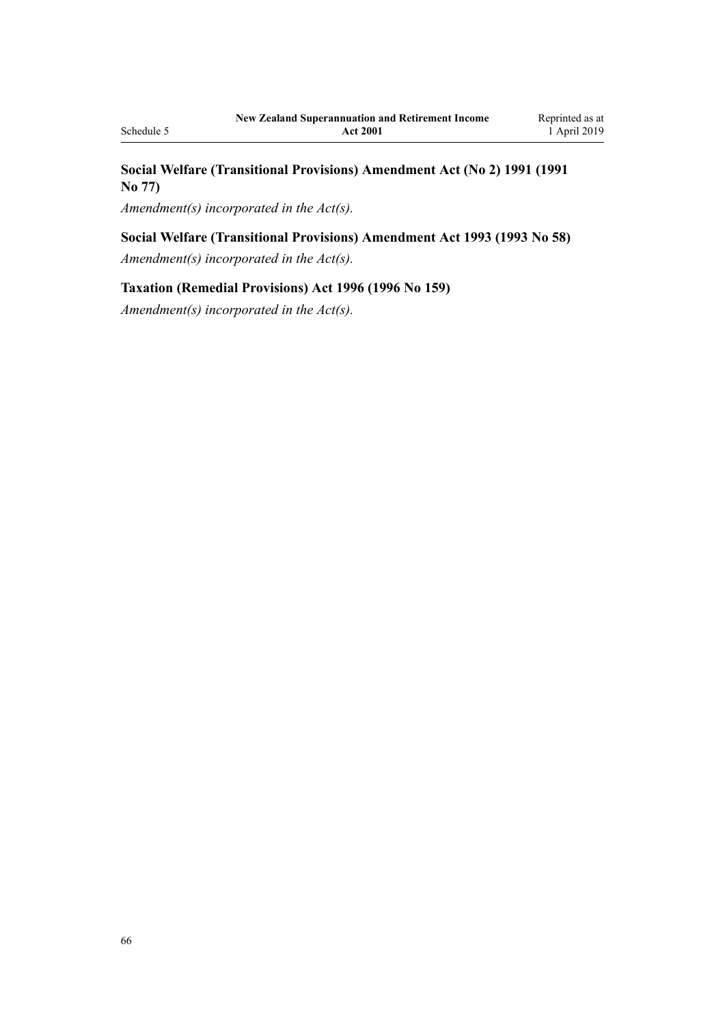# **Social Welfare (Transitional Provisions) Amendment Act (No 2) 1991 (1991 No 77)**

*Amendment(s) incorporated in the Act(s).*

# **Social Welfare (Transitional Provisions) Amendment Act 1993 (1993 No 58)**

*Amendment(s) incorporated in the Act(s).*

# **Taxation (Remedial Provisions) Act 1996 (1996 No 159)**

*Amendment(s) incorporated in the [Act\(s\).](http://legislation.govt.nz/pdflink.aspx?id=DLM407400)*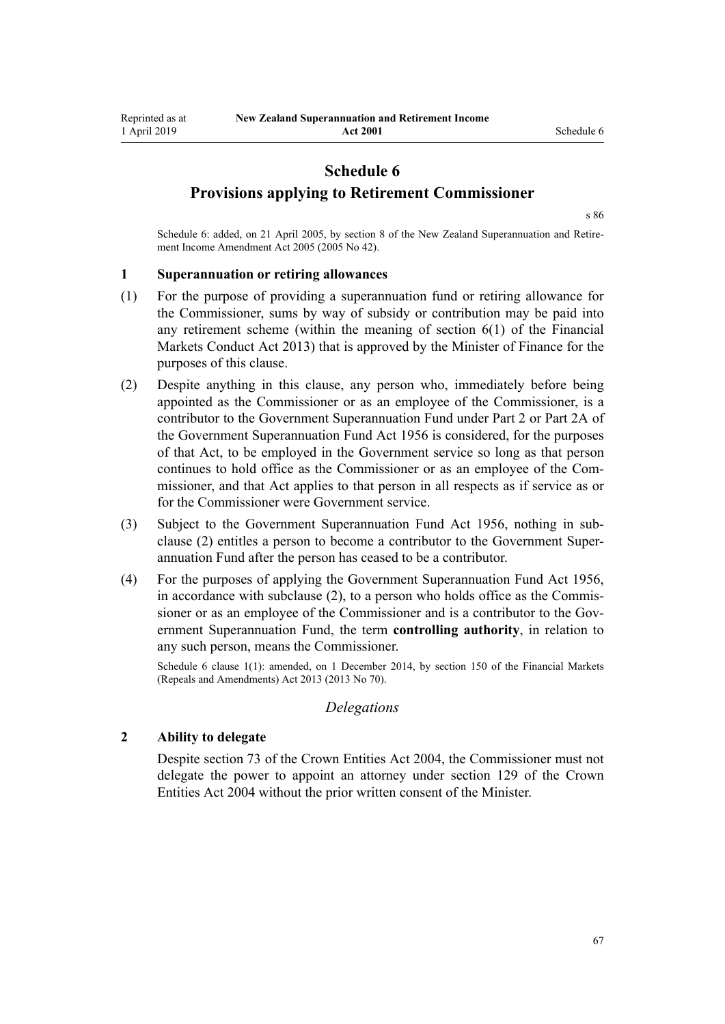# **Schedule 6**

<span id="page-66-0"></span>**Provisions applying to Retirement Commissioner**

[s 86](#page-48-0)

Schedule 6: added, on 21 April 2005, by [section 8](http://legislation.govt.nz/pdflink.aspx?id=DLM346493) of the New Zealand Superannuation and Retirement Income Amendment Act 2005 (2005 No 42).

#### **1 Superannuation or retiring allowances**

- (1) For the purpose of providing a superannuation fund or retiring allowance for the Commissioner, sums by way of subsidy or contribution may be paid into any retirement scheme (within the meaning of [section 6\(1\)](http://legislation.govt.nz/pdflink.aspx?id=DLM4090590) of the Financial Markets Conduct Act 2013) that is approved by the Minister of Finance for the purposes of this clause.
- (2) Despite anything in this clause, any person who, immediately before being appointed as the Commissioner or as an employee of the Commissioner, is a contributor to the Government Superannuation Fund under [Part 2](http://legislation.govt.nz/pdflink.aspx?id=DLM446395) or [Part 2A](http://legislation.govt.nz/pdflink.aspx?id=DLM446842) of the Government Superannuation Fund Act 1956 is considered, for the purposes of that Act, to be employed in the Government service so long as that person continues to hold office as the Commissioner or as an employee of the Commissioner, and that Act applies to that person in all respects as if service as or for the Commissioner were Government service.
- (3) Subject to the [Government Superannuation Fund Act 1956](http://legislation.govt.nz/pdflink.aspx?id=DLM446000), nothing in subclause (2) entitles a person to become a contributor to the Government Superannuation Fund after the person has ceased to be a contributor.
- (4) For the purposes of applying the [Government Superannuation Fund Act 1956](http://legislation.govt.nz/pdflink.aspx?id=DLM446000), in accordance with subclause (2), to a person who holds office as the Commissioner or as an employee of the Commissioner and is a contributor to the Government Superannuation Fund, the term **controlling authority**, in relation to any such person, means the Commissioner.

Schedule 6 clause 1(1): amended, on 1 December 2014, by [section 150](http://legislation.govt.nz/pdflink.aspx?id=DLM5561603) of the Financial Markets (Repeals and Amendments) Act 2013 (2013 No 70).

#### *Delegations*

#### **2 Ability to delegate**

Despite [section 73](http://legislation.govt.nz/pdflink.aspx?id=DLM330308) of the Crown Entities Act 2004, the Commissioner must not delegate the power to appoint an attorney under [section 129](http://legislation.govt.nz/pdflink.aspx?id=DLM330396) of the Crown Entities Act 2004 without the prior written consent of the Minister.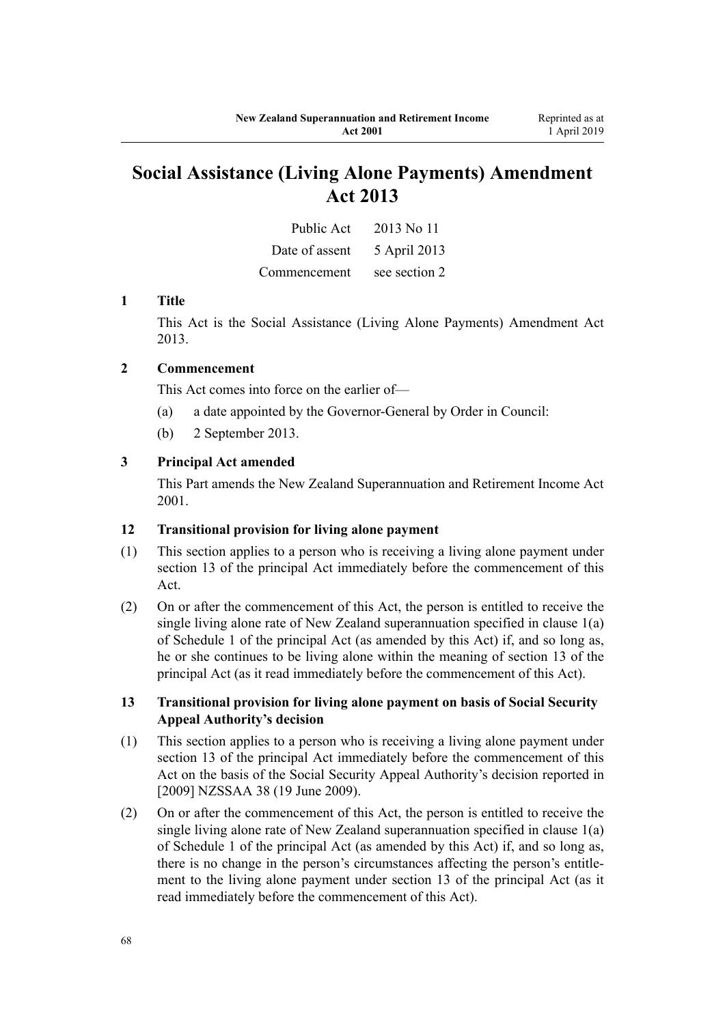# **Social Assistance (Living Alone Payments) Amendment Act 2013**

| Public Act     | 2013 No 11    |
|----------------|---------------|
| Date of assent | 5 April 2013  |
| Commencement   | see section 2 |

# **1 Title**

This Act is the [Social Assistance \(Living Alone Payments\) Amendment Act](http://legislation.govt.nz/pdflink.aspx?id=DLM3365202) [2013](http://legislation.govt.nz/pdflink.aspx?id=DLM3365202).

# **2 Commencement**

This Act comes into force on the earlier of—

- (a) a date appointed by the Governor-General by Order in Council:
- (b) 2 September 2013.

# **3 Principal Act amended**

This Part amends the New Zealand Superannuation and Retirement Income Act 2001.

### **12 Transitional provision for living alone payment**

- (1) This section applies to a person who is receiving a living alone payment under section 13 of the principal Act immediately before the commencement of this Act.
- (2) On or after the commencement of this Act, the person is entitled to receive the single living alone rate of New Zealand superannuation specified in clause 1(a) of Schedule 1 of the principal Act (as amended by this Act) if, and so long as, he or she continues to be living alone within the meaning of section 13 of the principal Act (as it read immediately before the commencement of this Act).

# **13 Transitional provision for living alone payment on basis of Social Security Appeal Authority's decision**

- (1) This section applies to a person who is receiving a living alone payment under section 13 of the principal Act immediately before the commencement of this Act on the basis of the Social Security Appeal Authority's decision reported in [2009] NZSSAA 38 (19 June 2009).
- (2) On or after the commencement of this Act, the person is entitled to receive the single living alone rate of New Zealand superannuation specified in clause 1(a) of Schedule 1 of the principal Act (as amended by this Act) if, and so long as, there is no change in the person's circumstances affecting the person's entitlement to the living alone payment under section 13 of the principal Act (as it read immediately before the commencement of this Act).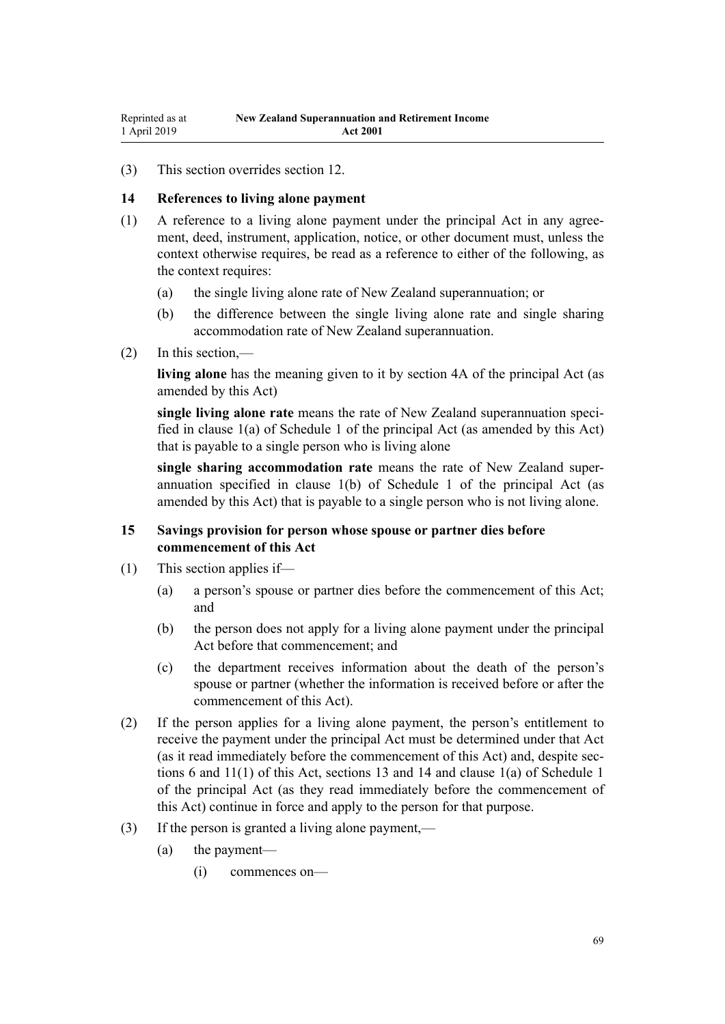(3) This section overrides section 12.

# **14 References to living alone payment**

- (1) A reference to a living alone payment under the principal Act in any agreement, deed, instrument, application, notice, or other document must, unless the context otherwise requires, be read as a reference to either of the following, as the context requires:
	- (a) the single living alone rate of New Zealand superannuation; or
	- (b) the difference between the single living alone rate and single sharing accommodation rate of New Zealand superannuation.
- (2) In this section,—

**living alone** has the meaning given to it by section 4A of the principal Act (as amended by this Act)

**single living alone rate** means the rate of New Zealand superannuation specified in clause 1(a) of Schedule 1 of the principal Act (as amended by this Act) that is payable to a single person who is living alone

**single sharing accommodation rate** means the rate of New Zealand superannuation specified in clause 1(b) of Schedule 1 of the principal Act (as amended by this Act) that is payable to a single person who is not living alone.

# **15 Savings provision for person whose spouse or partner dies before commencement of this Act**

- (1) This section applies if—
	- (a) a person's spouse or partner dies before the commencement of this Act; and
	- (b) the person does not apply for a living alone payment under the principal Act before that commencement; and
	- (c) the department receives information about the death of the person's spouse or partner (whether the information is received before or after the commencement of this Act).
- (2) If the person applies for a living alone payment, the person's entitlement to receive the payment under the principal Act must be determined under that Act (as it read immediately before the commencement of this Act) and, despite sections 6 and 11(1) of this Act, sections 13 and 14 and clause 1(a) of Schedule 1 of the principal Act (as they read immediately before the commencement of this Act) continue in force and apply to the person for that purpose.
- (3) If the person is granted a living alone payment,—
	- (a) the payment—
		- (i) commences on—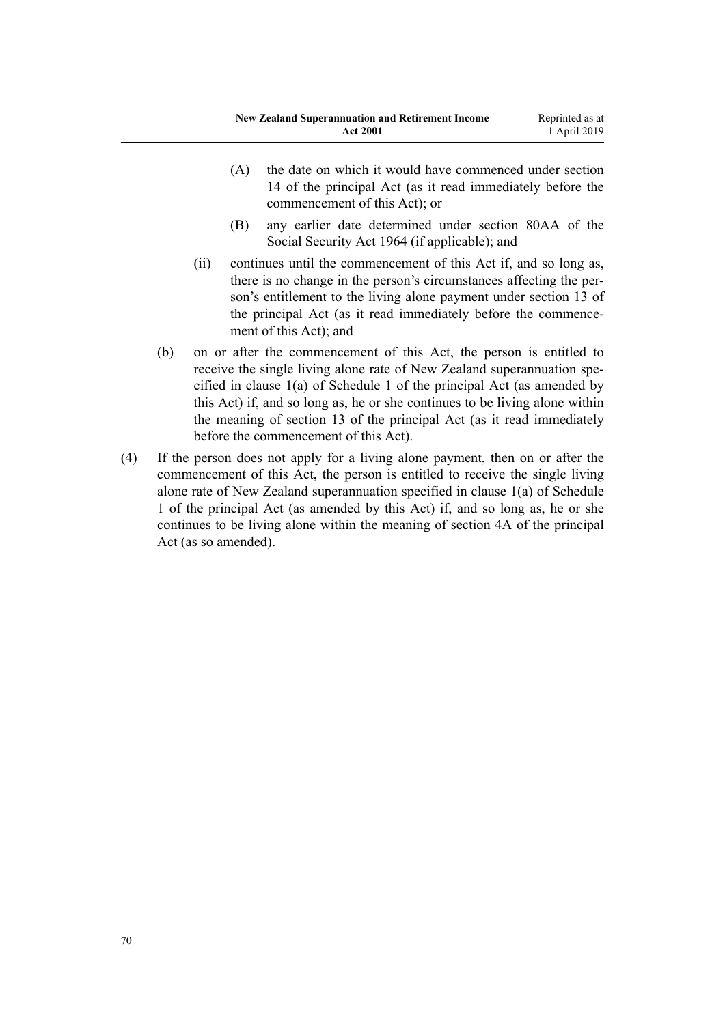- (A) the date on which it would have commenced under section 14 of the principal Act (as it read immediately before the commencement of this Act); or
- (B) any earlier date determined under section 80AA of the Social Security Act 1964 (if applicable); and
- (ii) continues until the commencement of this Act if, and so long as, there is no change in the person's circumstances affecting the person's entitlement to the living alone payment under section 13 of the principal Act (as it read immediately before the commencement of this Act); and
- (b) on or after the commencement of this Act, the person is entitled to receive the single living alone rate of New Zealand superannuation specified in clause 1(a) of Schedule 1 of the principal Act (as amended by this Act) if, and so long as, he or she continues to be living alone within the meaning of section 13 of the principal Act (as it read immediately before the commencement of this Act).
- (4) If the person does not apply for a living alone payment, then on or after the commencement of this Act, the person is entitled to receive the single living alone rate of New Zealand superannuation specified in clause 1(a) of Schedule 1 of the principal Act (as amended by this Act) if, and so long as, he or she continues to be living alone within the meaning of section 4A of the principal Act (as so amended).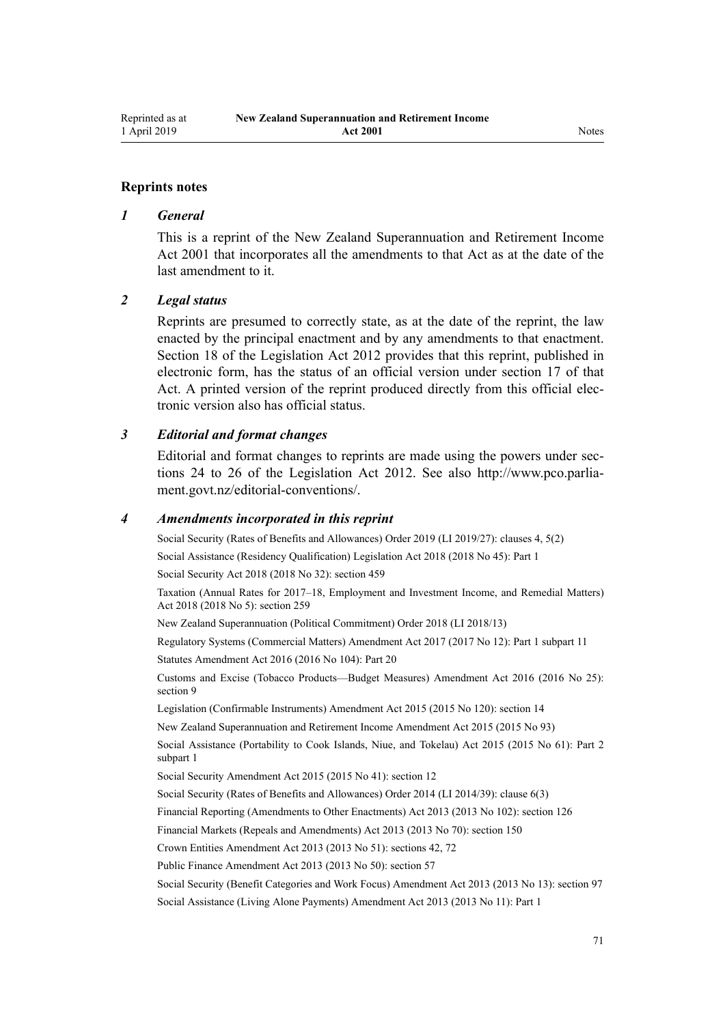# **Reprints notes**

# *1 General*

This is a reprint of the New Zealand Superannuation and Retirement Income Act 2001 that incorporates all the amendments to that Act as at the date of the last amendment to it.

# *2 Legal status*

Reprints are presumed to correctly state, as at the date of the reprint, the law enacted by the principal enactment and by any amendments to that enactment. [Section 18](http://legislation.govt.nz/pdflink.aspx?id=DLM2998516) of the Legislation Act 2012 provides that this reprint, published in electronic form, has the status of an official version under [section 17](http://legislation.govt.nz/pdflink.aspx?id=DLM2998515) of that Act. A printed version of the reprint produced directly from this official electronic version also has official status.

# *3 Editorial and format changes*

Editorial and format changes to reprints are made using the powers under [sec](http://legislation.govt.nz/pdflink.aspx?id=DLM2998532)[tions 24 to 26](http://legislation.govt.nz/pdflink.aspx?id=DLM2998532) of the Legislation Act 2012. See also [http://www.pco.parlia](http://www.pco.parliament.govt.nz/editorial-conventions/)[ment.govt.nz/editorial-conventions/](http://www.pco.parliament.govt.nz/editorial-conventions/).

# *4 Amendments incorporated in this reprint*

Social Security (Rates of Benefits and Allowances) Order 2019 (LI 2019/27): [clauses 4,](http://legislation.govt.nz/pdflink.aspx?id=LMS156280) [5\(2\)](http://legislation.govt.nz/pdflink.aspx?id=LMS156281) Social Assistance (Residency Qualification) Legislation Act 2018 (2018 No 45): [Part 1](http://legislation.govt.nz/pdflink.aspx?id=LMS26072)

Social Security Act 2018 (2018 No 32): [section 459](http://legislation.govt.nz/pdflink.aspx?id=DLM6784038)

Taxation (Annual Rates for 2017–18, Employment and Investment Income, and Remedial Matters) Act 2018 (2018 No 5): [section 259](http://legislation.govt.nz/pdflink.aspx?id=LMS12363)

[New Zealand Superannuation \(Political Commitment\) Order 2018](http://legislation.govt.nz/pdflink.aspx?id=LMS10884) (LI 2018/13)

Regulatory Systems (Commercial Matters) Amendment Act 2017 (2017 No 12): Part 1 [subpart 11](http://legislation.govt.nz/pdflink.aspx?id=DLM6971836) Statutes Amendment Act 2016 (2016 No 104): [Part 20](http://legislation.govt.nz/pdflink.aspx?id=DLM6623844)

Customs and Excise (Tobacco Products—Budget Measures) Amendment Act 2016 (2016 No 25): [section 9](http://legislation.govt.nz/pdflink.aspx?id=DLM6851124)

Legislation (Confirmable Instruments) Amendment Act 2015 (2015 No 120): [section 14](http://legislation.govt.nz/pdflink.aspx?id=DLM6681248)

[New Zealand Superannuation and Retirement Income Amendment Act 2015](http://legislation.govt.nz/pdflink.aspx?id=DLM5708801) (2015 No 93)

Social Assistance (Portability to Cook Islands, Niue, and Tokelau) Act 2015 (2015 No 61): Part 2 [subpart 1](http://legislation.govt.nz/pdflink.aspx?id=DLM6222917)

Social Security Amendment Act 2015 (2015 No 41): [section 12](http://legislation.govt.nz/pdflink.aspx?id=DLM6419004)

Social Security (Rates of Benefits and Allowances) Order 2014 (LI 2014/39): [clause 6\(3\)](http://legislation.govt.nz/pdflink.aspx?id=DLM5940923)

Financial Reporting (Amendments to Other Enactments) Act 2013 (2013 No 102): [section 126](http://legislation.govt.nz/pdflink.aspx?id=DLM5740665)

Financial Markets (Repeals and Amendments) Act 2013 (2013 No 70): [section 150](http://legislation.govt.nz/pdflink.aspx?id=DLM5561603)

Crown Entities Amendment Act 2013 (2013 No 51): [sections 42](http://legislation.govt.nz/pdflink.aspx?id=DLM5326977), [72](http://legislation.govt.nz/pdflink.aspx?id=DLM5327162)

Public Finance Amendment Act 2013 (2013 No 50): [section 57](http://legislation.govt.nz/pdflink.aspx?id=DLM5326333)

Social Security (Benefit Categories and Work Focus) Amendment Act 2013 (2013 No 13): [section 97](http://legislation.govt.nz/pdflink.aspx?id=DLM4542434)

Social Assistance (Living Alone Payments) Amendment Act 2013 (2013 No 11): [Part 1](http://legislation.govt.nz/pdflink.aspx?id=DLM3365214)